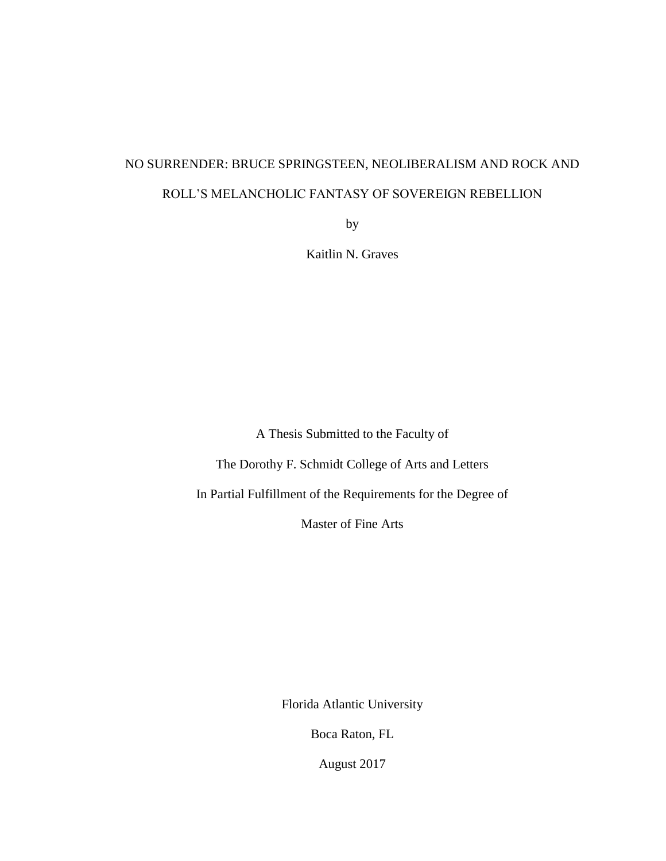# NO SURRENDER: BRUCE SPRINGSTEEN, NEOLIBERALISM AND ROCK AND ROLL'S MELANCHOLIC FANTASY OF SOVEREIGN REBELLION

by

Kaitlin N. Graves

A Thesis Submitted to the Faculty of

The Dorothy F. Schmidt College of Arts and Letters

In Partial Fulfillment of the Requirements for the Degree of

Master of Fine Arts

Florida Atlantic University

Boca Raton, FL

August 2017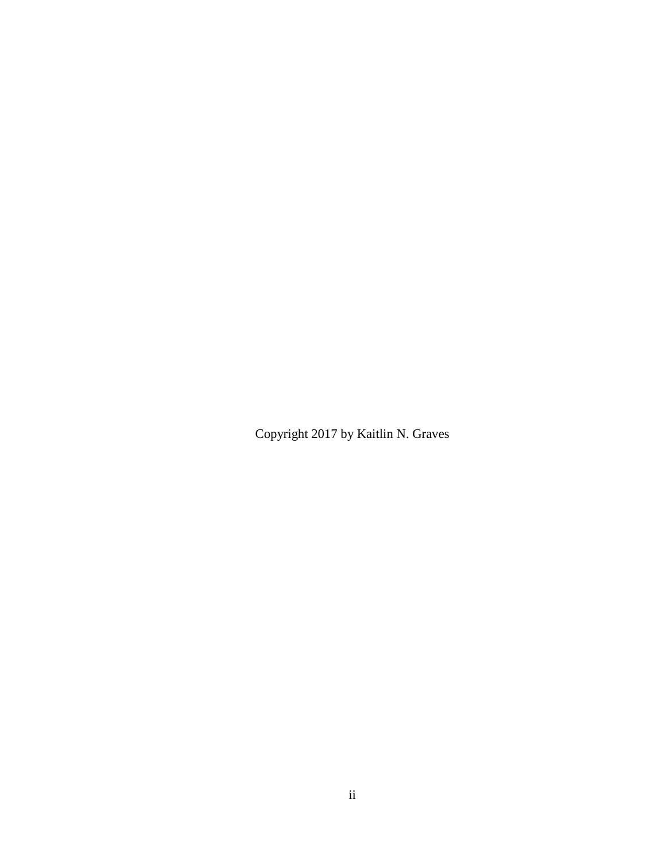Copyright 2017 by Kaitlin N. Graves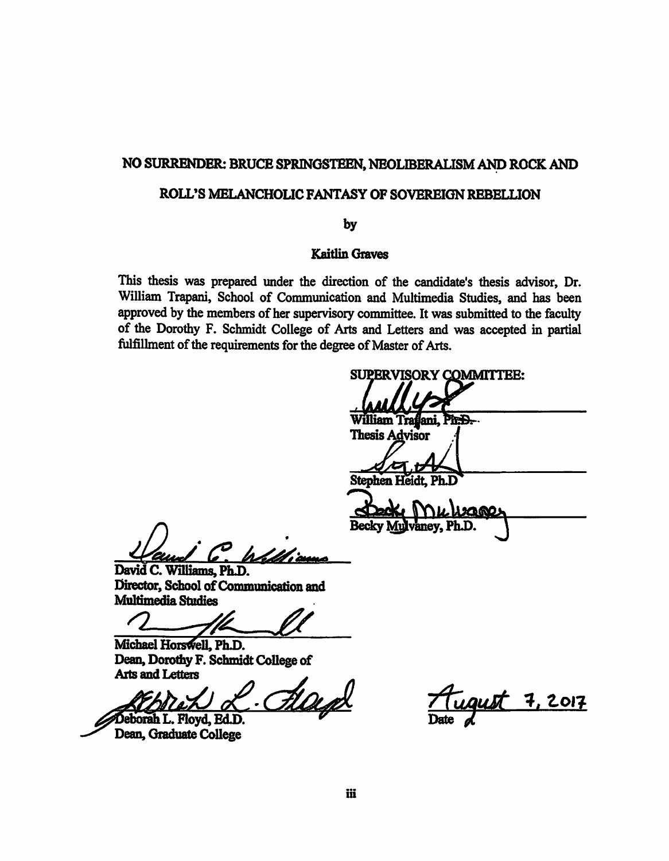# NO SURRENDER: BRUCE SPRINGSTEEN, NEOLIBERALISM AND ROCK AND

## ROLL'S MELANCHOLIC FANTASY OF SOVEREIGN REBELLION

by

### **Kaitlin Graves**

This thesis was prepared under the direction of the candidate's thesis advisor, Dr. William Trapani, School of Communication and Multimedia Studies, and has been approved by the members of her supervisory committee. It was submitted to the faculty of the Dorothy F. Schmidt College of Arts and Letters and was accepted in partial fulfillment of the requirements for the degree of Master of Arts.

**SUPERVISORY COMMITTEE:** William Tradani, Ph.D. **Thesis Advisor** Stephen Heidt, Ph.D **Becky** M

David C. Williams, Ph.D. Director, School of Communication and **Multimedia Studies** 

Michael Horswell, Ph.D. Dean, Dorothy F. Schmidt College of **Arts and Letters** 

Flagd Deborah L. Floyd, Ed.D.

Dean, Graduate College

Tugust 7, 2017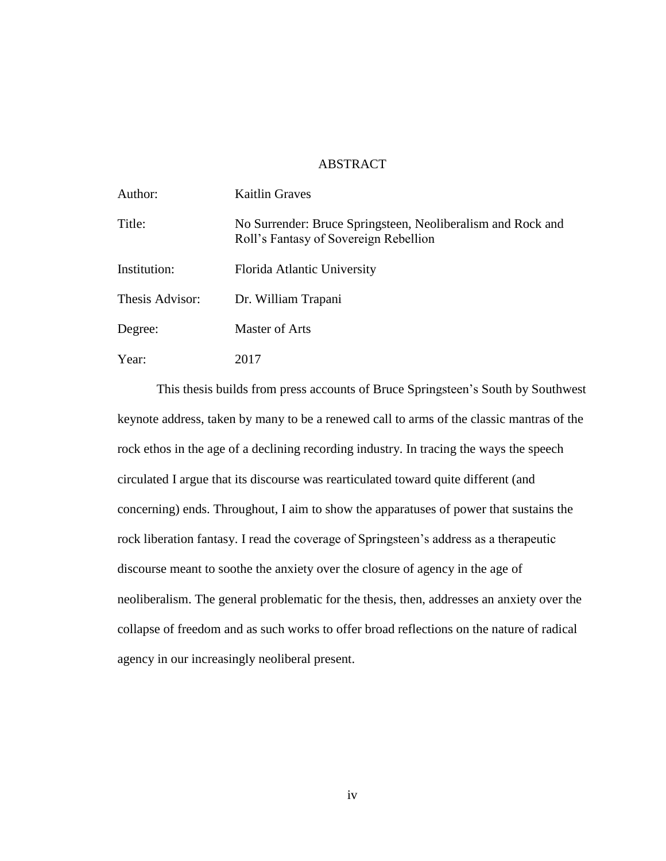# **ABSTRACT**

| Author:         | <b>Kaitlin Graves</b>                                                                                |
|-----------------|------------------------------------------------------------------------------------------------------|
| Title:          | No Surrender: Bruce Springsteen, Neoliberalism and Rock and<br>Roll's Fantasy of Sovereign Rebellion |
| Institution:    | Florida Atlantic University                                                                          |
| Thesis Advisor: | Dr. William Trapani                                                                                  |
| Degree:         | <b>Master of Arts</b>                                                                                |
| Year:           | 2017                                                                                                 |

This thesis builds from press accounts of Bruce Springsteen's South by Southwest keynote address, taken by many to be a renewed call to arms of the classic mantras of the rock ethos in the age of a declining recording industry. In tracing the ways the speech circulated I argue that its discourse was rearticulated toward quite different (and concerning) ends. Throughout, I aim to show the apparatuses of power that sustains the rock liberation fantasy. I read the coverage of Springsteen's address as a therapeutic discourse meant to soothe the anxiety over the closure of agency in the age of neoliberalism. The general problematic for the thesis, then, addresses an anxiety over the collapse of freedom and as such works to offer broad reflections on the nature of radical agency in our increasingly neoliberal present.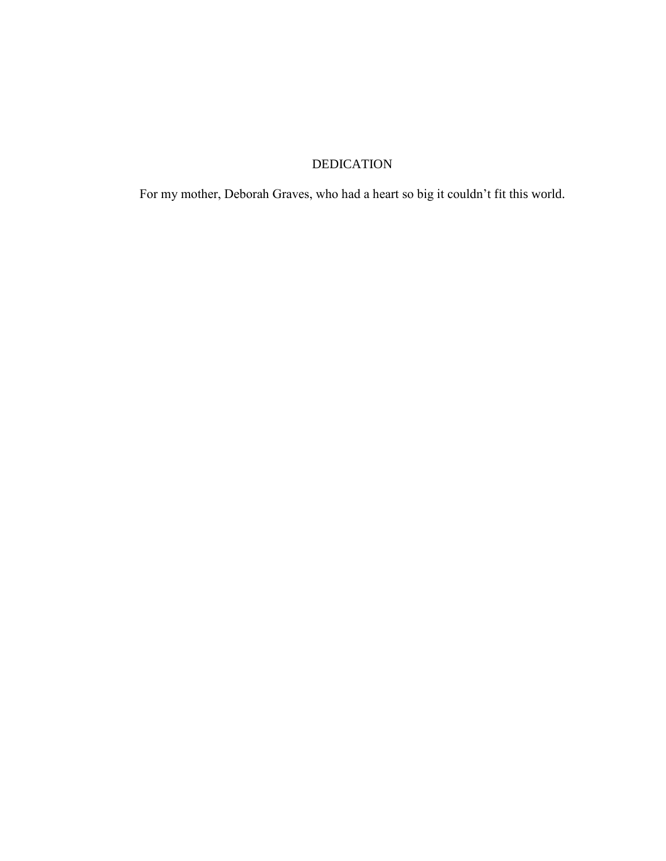# DEDICATION

For my mother, Deborah Graves, who had a heart so big it couldn't fit this world.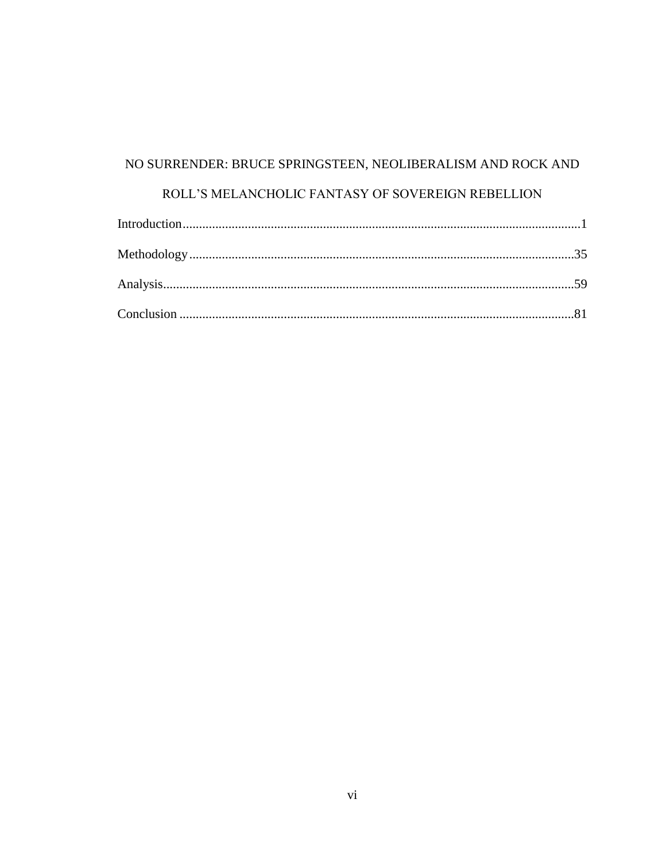# NO SURRENDER: BRUCE SPRINGSTEEN, NEOLIBERALISM AND ROCK AND

# ROLL'S MELANCHOLIC FANTASY OF SOVEREIGN REBELLION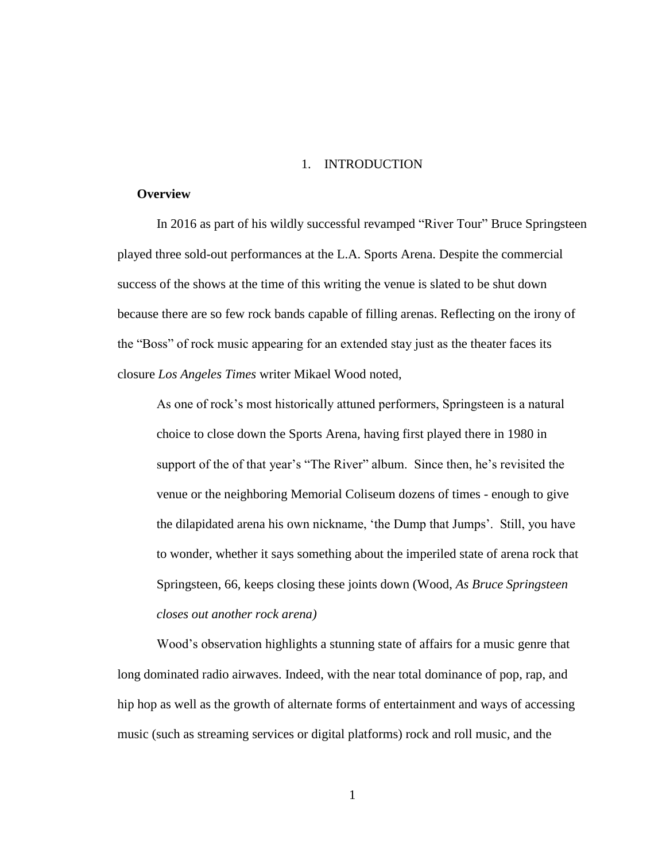#### 1. INTRODUCTION

## **Overview**

In 2016 as part of his wildly successful revamped "River Tour" Bruce Springsteen played three sold-out performances at the L.A. Sports Arena. Despite the commercial success of the shows at the time of this writing the venue is slated to be shut down because there are so few rock bands capable of filling arenas. Reflecting on the irony of the "Boss" of rock music appearing for an extended stay just as the theater faces its closure *Los Angeles Times* writer Mikael Wood noted,

As one of rock's most historically attuned performers, Springsteen is a natural choice to close down the Sports Arena, having first played there in 1980 in support of the of that year's "The River" album. Since then, he's revisited the venue or the neighboring Memorial Coliseum dozens of times - enough to give the dilapidated arena his own nickname, 'the Dump that Jumps'. Still, you have to wonder, whether it says something about the imperiled state of arena rock that Springsteen, 66, keeps closing these joints down (Wood, *As Bruce Springsteen closes out another rock arena)*

Wood's observation highlights a stunning state of affairs for a music genre that long dominated radio airwaves. Indeed, with the near total dominance of pop, rap, and hip hop as well as the growth of alternate forms of entertainment and ways of accessing music (such as streaming services or digital platforms) rock and roll music, and the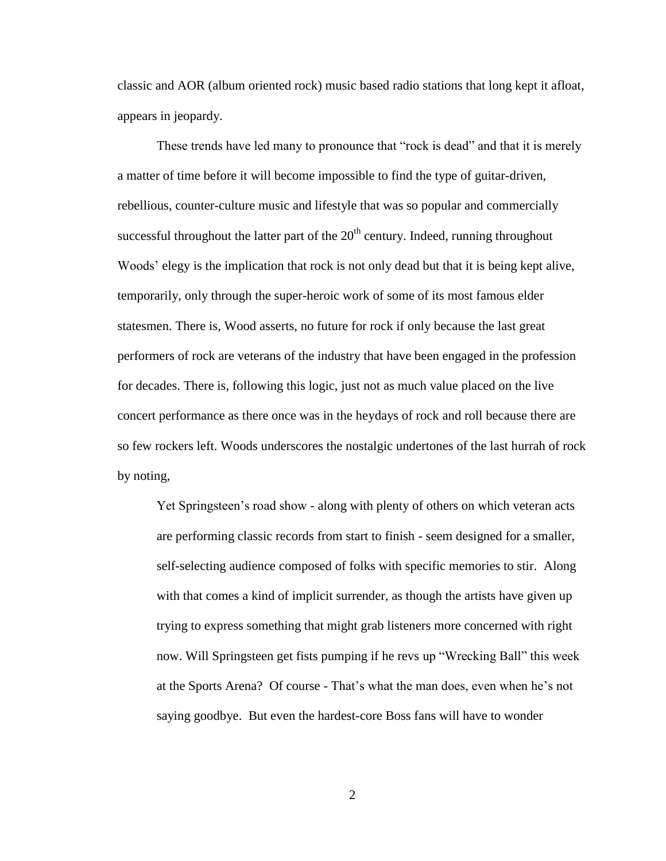classic and AOR (album oriented rock) music based radio stations that long kept it afloat, appears in jeopardy.

These trends have led many to pronounce that "rock is dead" and that it is merely a matter of time before it will become impossible to find the type of guitar-driven, rebellious, counter-culture music and lifestyle that was so popular and commercially successful throughout the latter part of the  $20<sup>th</sup>$  century. Indeed, running throughout Woods' elegy is the implication that rock is not only dead but that it is being kept alive, temporarily, only through the super-heroic work of some of its most famous elder statesmen. There is, Wood asserts, no future for rock if only because the last great performers of rock are veterans of the industry that have been engaged in the profession for decades. There is, following this logic, just not as much value placed on the live concert performance as there once was in the heydays of rock and roll because there are so few rockers left. Woods underscores the nostalgic undertones of the last hurrah of rock by noting,

Yet Springsteen's road show - along with plenty of others on which veteran acts are performing classic records from start to finish - seem designed for a smaller, self-selecting audience composed of folks with specific memories to stir. Along with that comes a kind of implicit surrender, as though the artists have given up trying to express something that might grab listeners more concerned with right now. Will Springsteen get fists pumping if he revs up "Wrecking Ball" this week at the Sports Arena? Of course - That's what the man does, even when he's not saying goodbye. But even the hardest-core Boss fans will have to wonder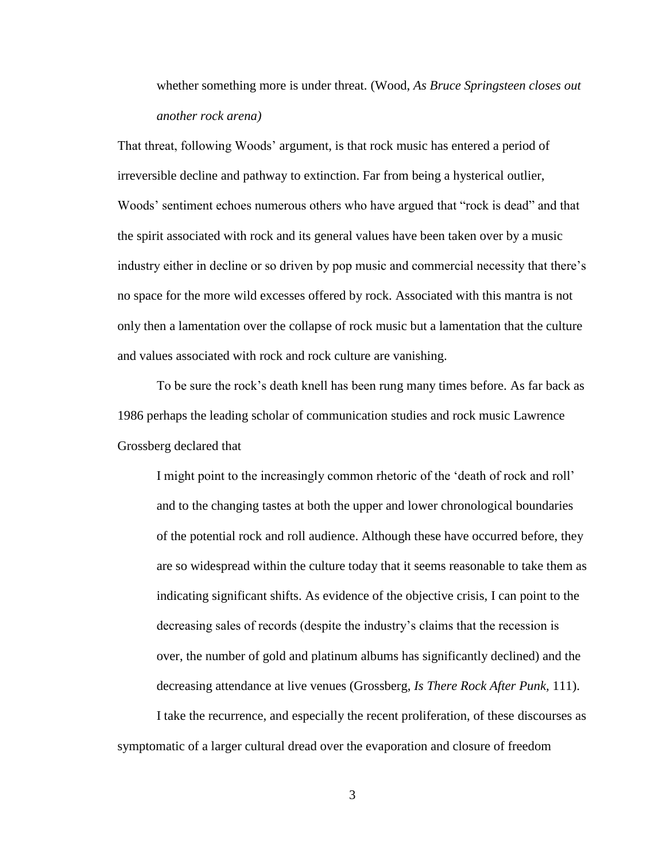whether something more is under threat. (Wood, *As Bruce Springsteen closes out another rock arena)*

That threat, following Woods' argument, is that rock music has entered a period of irreversible decline and pathway to extinction. Far from being a hysterical outlier, Woods' sentiment echoes numerous others who have argued that "rock is dead" and that the spirit associated with rock and its general values have been taken over by a music industry either in decline or so driven by pop music and commercial necessity that there's no space for the more wild excesses offered by rock. Associated with this mantra is not only then a lamentation over the collapse of rock music but a lamentation that the culture and values associated with rock and rock culture are vanishing.

To be sure the rock's death knell has been rung many times before. As far back as 1986 perhaps the leading scholar of communication studies and rock music Lawrence Grossberg declared that

I might point to the increasingly common rhetoric of the 'death of rock and roll' and to the changing tastes at both the upper and lower chronological boundaries of the potential rock and roll audience. Although these have occurred before, they are so widespread within the culture today that it seems reasonable to take them as indicating significant shifts. As evidence of the objective crisis, I can point to the decreasing sales of records (despite the industry's claims that the recession is over, the number of gold and platinum albums has significantly declined) and the decreasing attendance at live venues (Grossberg, *Is There Rock After Punk,* 111).

I take the recurrence, and especially the recent proliferation, of these discourses as symptomatic of a larger cultural dread over the evaporation and closure of freedom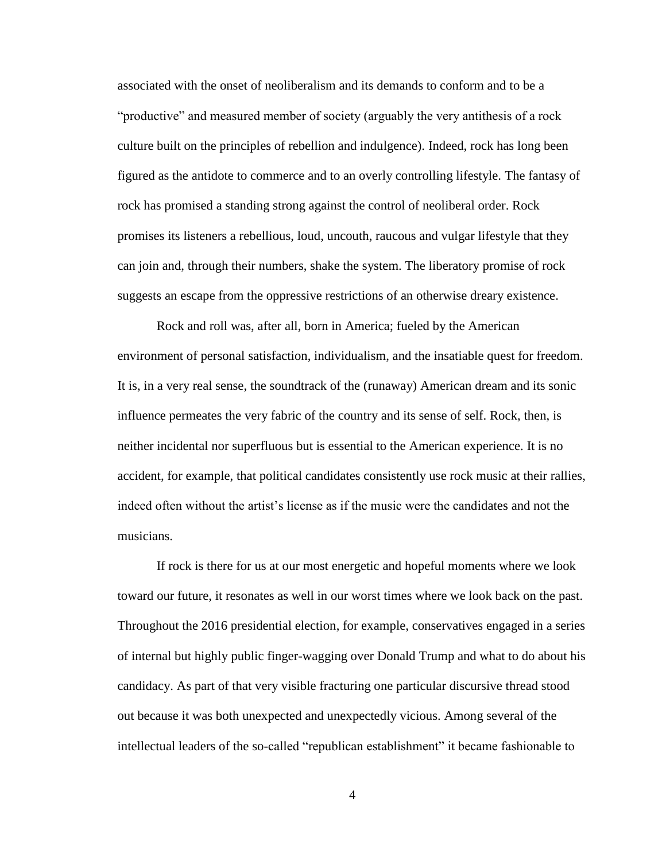associated with the onset of neoliberalism and its demands to conform and to be a "productive" and measured member of society (arguably the very antithesis of a rock culture built on the principles of rebellion and indulgence). Indeed, rock has long been figured as the antidote to commerce and to an overly controlling lifestyle. The fantasy of rock has promised a standing strong against the control of neoliberal order. Rock promises its listeners a rebellious, loud, uncouth, raucous and vulgar lifestyle that they can join and, through their numbers, shake the system. The liberatory promise of rock suggests an escape from the oppressive restrictions of an otherwise dreary existence.

Rock and roll was, after all, born in America; fueled by the American environment of personal satisfaction, individualism, and the insatiable quest for freedom. It is, in a very real sense, the soundtrack of the (runaway) American dream and its sonic influence permeates the very fabric of the country and its sense of self. Rock, then, is neither incidental nor superfluous but is essential to the American experience. It is no accident, for example, that political candidates consistently use rock music at their rallies, indeed often without the artist's license as if the music were the candidates and not the musicians.

If rock is there for us at our most energetic and hopeful moments where we look toward our future, it resonates as well in our worst times where we look back on the past. Throughout the 2016 presidential election, for example, conservatives engaged in a series of internal but highly public finger-wagging over Donald Trump and what to do about his candidacy. As part of that very visible fracturing one particular discursive thread stood out because it was both unexpected and unexpectedly vicious. Among several of the intellectual leaders of the so-called "republican establishment" it became fashionable to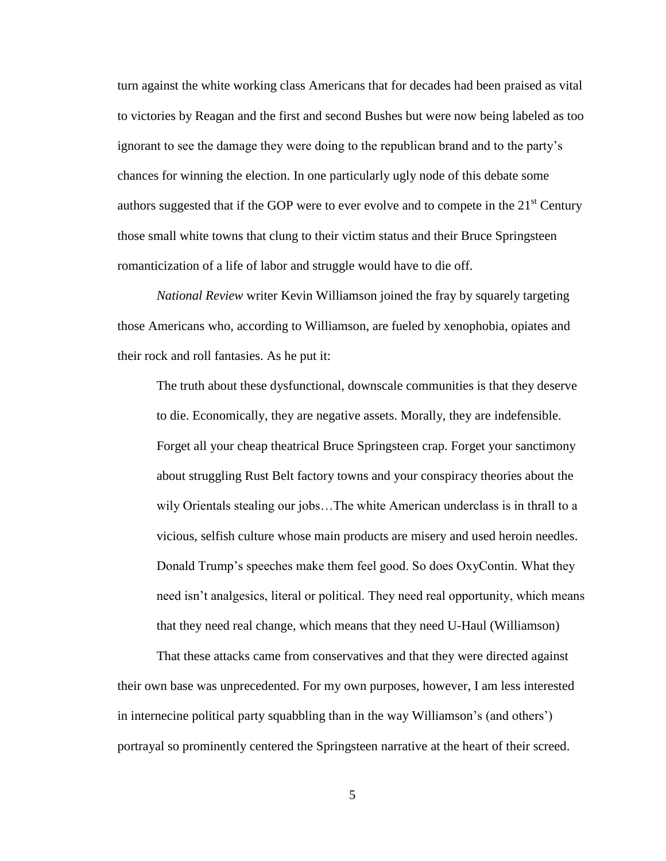turn against the white working class Americans that for decades had been praised as vital to victories by Reagan and the first and second Bushes but were now being labeled as too ignorant to see the damage they were doing to the republican brand and to the party's chances for winning the election. In one particularly ugly node of this debate some authors suggested that if the GOP were to ever evolve and to compete in the  $21<sup>st</sup>$  Century those small white towns that clung to their victim status and their Bruce Springsteen romanticization of a life of labor and struggle would have to die off.

*National Review* writer Kevin Williamson joined the fray by squarely targeting those Americans who, according to Williamson, are fueled by xenophobia, opiates and their rock and roll fantasies. As he put it:

The truth about these dysfunctional, downscale communities is that they deserve to die. Economically, they are negative assets. Morally, they are indefensible. Forget all your cheap theatrical Bruce Springsteen crap. Forget your sanctimony about struggling Rust Belt factory towns and your conspiracy theories about the wily Orientals stealing our jobs…The white American underclass is in thrall to a vicious, selfish culture whose main products are misery and used heroin needles. Donald Trump's speeches make them feel good. So does OxyContin. What they need isn't analgesics, literal or political. They need real opportunity, which means that they need real change, which means that they need U-Haul (Williamson)

That these attacks came from conservatives and that they were directed against their own base was unprecedented. For my own purposes, however, I am less interested in internecine political party squabbling than in the way Williamson's (and others') portrayal so prominently centered the Springsteen narrative at the heart of their screed.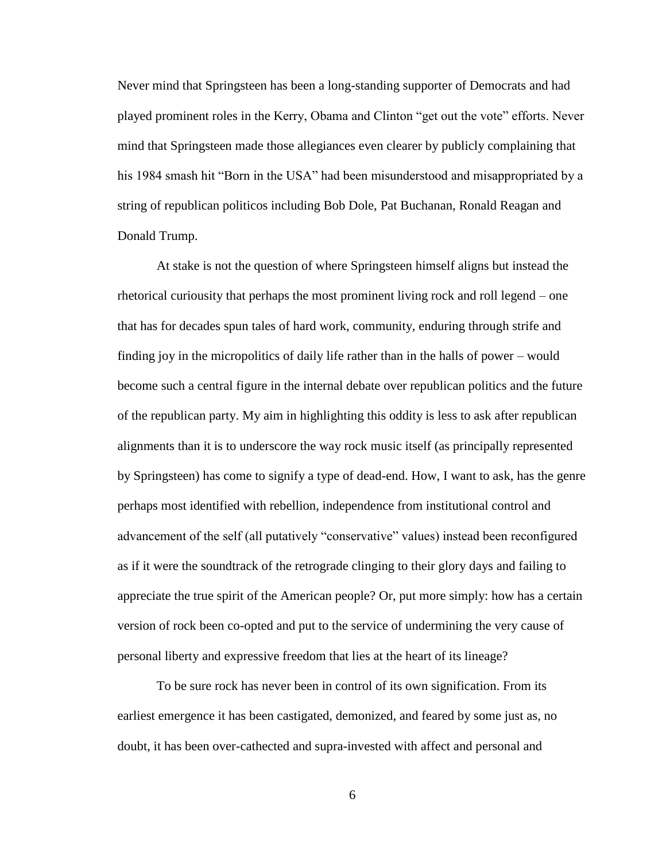Never mind that Springsteen has been a long-standing supporter of Democrats and had played prominent roles in the Kerry, Obama and Clinton "get out the vote" efforts. Never mind that Springsteen made those allegiances even clearer by publicly complaining that his 1984 smash hit "Born in the USA" had been misunderstood and misappropriated by a string of republican politicos including Bob Dole, Pat Buchanan, Ronald Reagan and Donald Trump.

At stake is not the question of where Springsteen himself aligns but instead the rhetorical curiousity that perhaps the most prominent living rock and roll legend – one that has for decades spun tales of hard work, community, enduring through strife and finding joy in the micropolitics of daily life rather than in the halls of power – would become such a central figure in the internal debate over republican politics and the future of the republican party. My aim in highlighting this oddity is less to ask after republican alignments than it is to underscore the way rock music itself (as principally represented by Springsteen) has come to signify a type of dead-end. How, I want to ask, has the genre perhaps most identified with rebellion, independence from institutional control and advancement of the self (all putatively "conservative" values) instead been reconfigured as if it were the soundtrack of the retrograde clinging to their glory days and failing to appreciate the true spirit of the American people? Or, put more simply: how has a certain version of rock been co-opted and put to the service of undermining the very cause of personal liberty and expressive freedom that lies at the heart of its lineage?

To be sure rock has never been in control of its own signification. From its earliest emergence it has been castigated, demonized, and feared by some just as, no doubt, it has been over-cathected and supra-invested with affect and personal and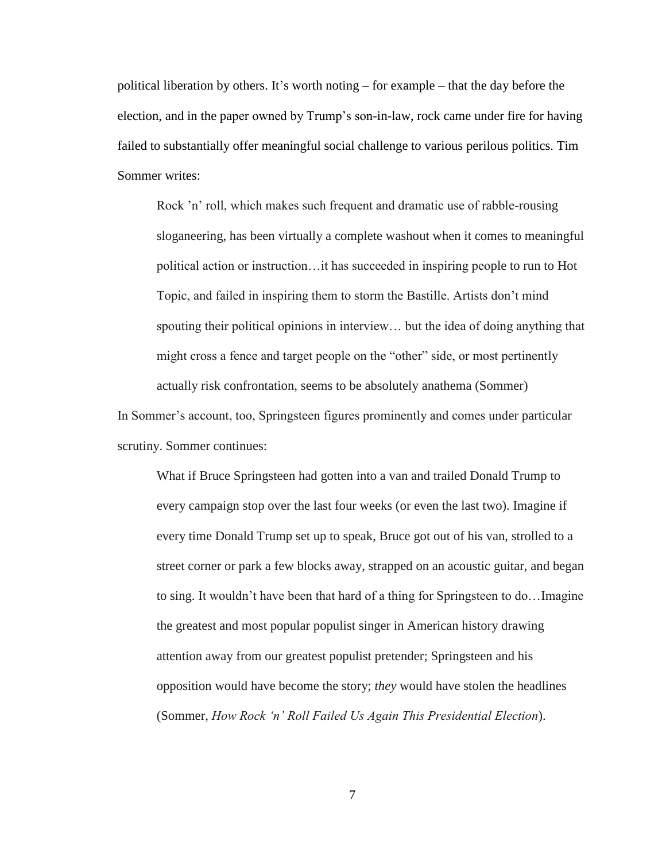political liberation by others. It's worth noting – for example – that the day before the election, and in the paper owned by Trump's son-in-law, rock came under fire for having failed to substantially offer meaningful social challenge to various perilous politics. Tim Sommer writes:

Rock 'n' roll, which makes such frequent and dramatic use of rabble-rousing sloganeering, has been virtually a complete washout when it comes to meaningful political action or instruction…it has succeeded in inspiring people to run to Hot Topic, and failed in inspiring them to storm the Bastille. Artists don't mind spouting their political opinions in interview… but the idea of doing anything that might cross a fence and target people on the "other" side, or most pertinently actually risk confrontation, seems to be absolutely anathema (Sommer)

In Sommer's account, too, Springsteen figures prominently and comes under particular scrutiny. Sommer continues:

What if Bruce Springsteen had gotten into a van and trailed Donald Trump to every campaign stop over the last four weeks (or even the last two). Imagine if every time Donald Trump set up to speak, Bruce got out of his van, strolled to a street corner or park a few blocks away, strapped on an acoustic guitar, and began to sing. It wouldn't have been that hard of a thing for Springsteen to do…Imagine the greatest and most popular populist singer in American history drawing attention away from our greatest populist pretender; Springsteen and his opposition would have become the story; *they* would have stolen the headlines (Sommer, *How Rock 'n' Roll Failed Us Again This Presidential Election*).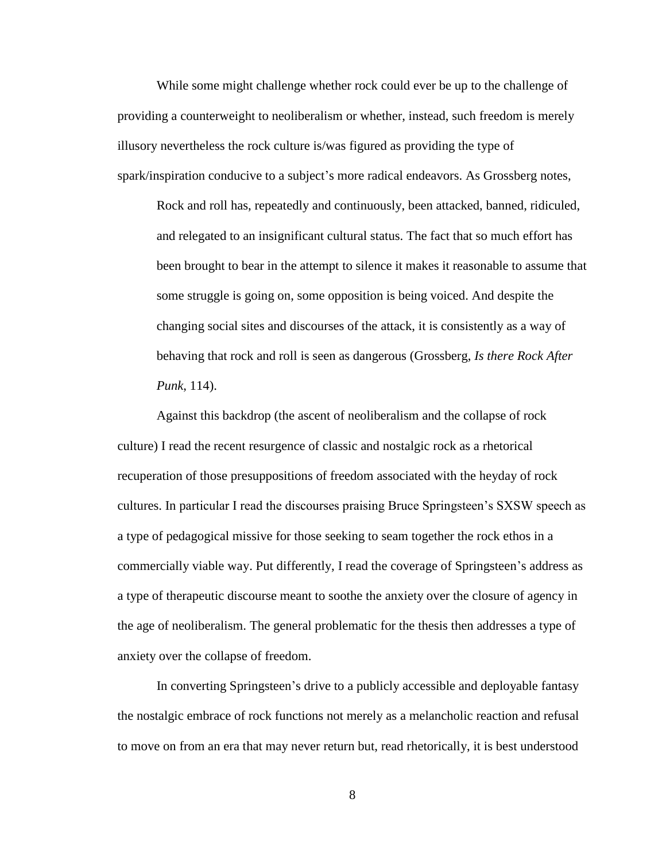While some might challenge whether rock could ever be up to the challenge of providing a counterweight to neoliberalism or whether, instead, such freedom is merely illusory nevertheless the rock culture is/was figured as providing the type of spark/inspiration conducive to a subject's more radical endeavors. As Grossberg notes,

Rock and roll has, repeatedly and continuously, been attacked, banned, ridiculed, and relegated to an insignificant cultural status. The fact that so much effort has been brought to bear in the attempt to silence it makes it reasonable to assume that some struggle is going on, some opposition is being voiced. And despite the changing social sites and discourses of the attack, it is consistently as a way of behaving that rock and roll is seen as dangerous (Grossberg, *Is there Rock After Punk*, 114).

Against this backdrop (the ascent of neoliberalism and the collapse of rock culture) I read the recent resurgence of classic and nostalgic rock as a rhetorical recuperation of those presuppositions of freedom associated with the heyday of rock cultures. In particular I read the discourses praising Bruce Springsteen's SXSW speech as a type of pedagogical missive for those seeking to seam together the rock ethos in a commercially viable way. Put differently, I read the coverage of Springsteen's address as a type of therapeutic discourse meant to soothe the anxiety over the closure of agency in the age of neoliberalism. The general problematic for the thesis then addresses a type of anxiety over the collapse of freedom.

In converting Springsteen's drive to a publicly accessible and deployable fantasy the nostalgic embrace of rock functions not merely as a melancholic reaction and refusal to move on from an era that may never return but, read rhetorically, it is best understood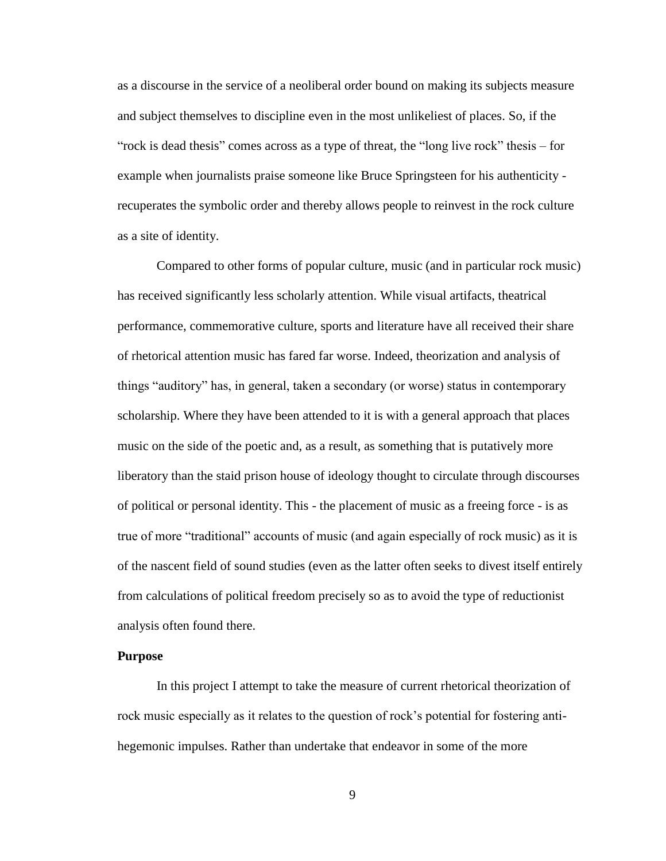as a discourse in the service of a neoliberal order bound on making its subjects measure and subject themselves to discipline even in the most unlikeliest of places. So, if the "rock is dead thesis" comes across as a type of threat, the "long live rock" thesis – for example when journalists praise someone like Bruce Springsteen for his authenticity recuperates the symbolic order and thereby allows people to reinvest in the rock culture as a site of identity.

Compared to other forms of popular culture, music (and in particular rock music) has received significantly less scholarly attention. While visual artifacts, theatrical performance, commemorative culture, sports and literature have all received their share of rhetorical attention music has fared far worse. Indeed, theorization and analysis of things "auditory" has, in general, taken a secondary (or worse) status in contemporary scholarship. Where they have been attended to it is with a general approach that places music on the side of the poetic and, as a result, as something that is putatively more liberatory than the staid prison house of ideology thought to circulate through discourses of political or personal identity. This - the placement of music as a freeing force - is as true of more "traditional" accounts of music (and again especially of rock music) as it is of the nascent field of sound studies (even as the latter often seeks to divest itself entirely from calculations of political freedom precisely so as to avoid the type of reductionist analysis often found there.

#### **Purpose**

In this project I attempt to take the measure of current rhetorical theorization of rock music especially as it relates to the question of rock's potential for fostering antihegemonic impulses. Rather than undertake that endeavor in some of the more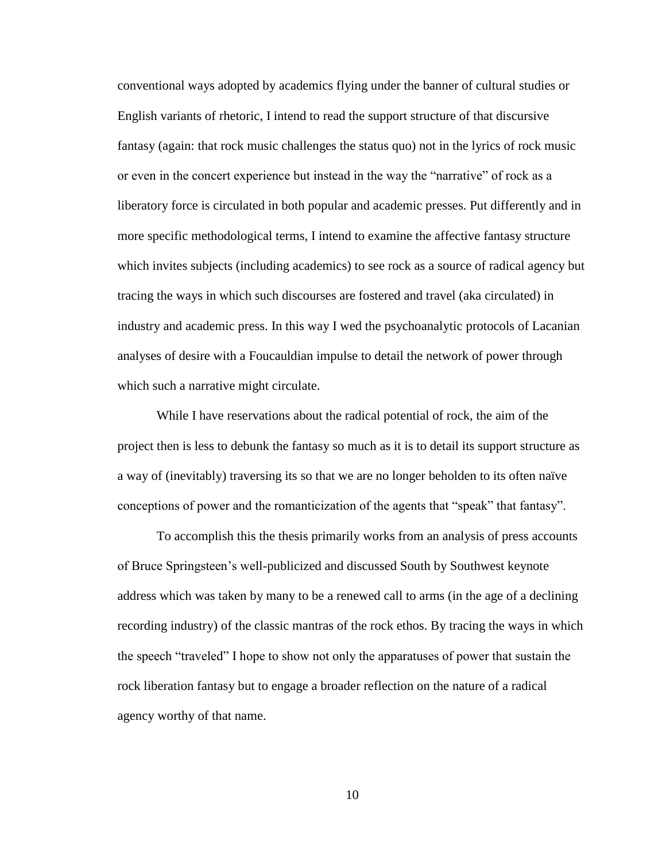conventional ways adopted by academics flying under the banner of cultural studies or English variants of rhetoric, I intend to read the support structure of that discursive fantasy (again: that rock music challenges the status quo) not in the lyrics of rock music or even in the concert experience but instead in the way the "narrative" of rock as a liberatory force is circulated in both popular and academic presses. Put differently and in more specific methodological terms, I intend to examine the affective fantasy structure which invites subjects (including academics) to see rock as a source of radical agency but tracing the ways in which such discourses are fostered and travel (aka circulated) in industry and academic press. In this way I wed the psychoanalytic protocols of Lacanian analyses of desire with a Foucauldian impulse to detail the network of power through which such a narrative might circulate.

While I have reservations about the radical potential of rock, the aim of the project then is less to debunk the fantasy so much as it is to detail its support structure as a way of (inevitably) traversing its so that we are no longer beholden to its often naïve conceptions of power and the romanticization of the agents that "speak" that fantasy".

To accomplish this the thesis primarily works from an analysis of press accounts of Bruce Springsteen's well-publicized and discussed South by Southwest keynote address which was taken by many to be a renewed call to arms (in the age of a declining recording industry) of the classic mantras of the rock ethos. By tracing the ways in which the speech "traveled" I hope to show not only the apparatuses of power that sustain the rock liberation fantasy but to engage a broader reflection on the nature of a radical agency worthy of that name.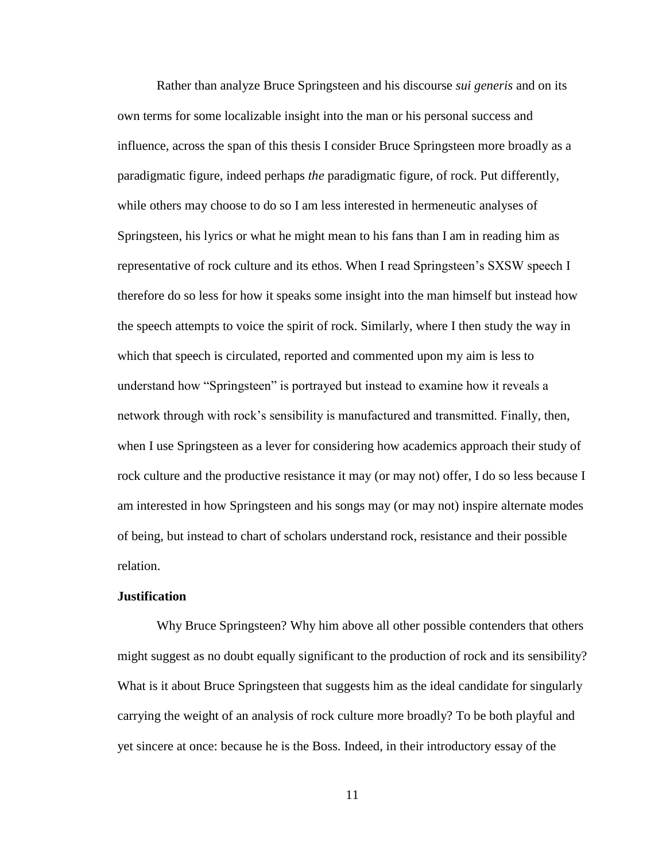Rather than analyze Bruce Springsteen and his discourse *sui generis* and on its own terms for some localizable insight into the man or his personal success and influence, across the span of this thesis I consider Bruce Springsteen more broadly as a paradigmatic figure, indeed perhaps *the* paradigmatic figure, of rock. Put differently, while others may choose to do so I am less interested in hermeneutic analyses of Springsteen, his lyrics or what he might mean to his fans than I am in reading him as representative of rock culture and its ethos. When I read Springsteen's SXSW speech I therefore do so less for how it speaks some insight into the man himself but instead how the speech attempts to voice the spirit of rock. Similarly, where I then study the way in which that speech is circulated, reported and commented upon my aim is less to understand how "Springsteen" is portrayed but instead to examine how it reveals a network through with rock's sensibility is manufactured and transmitted. Finally, then, when I use Springsteen as a lever for considering how academics approach their study of rock culture and the productive resistance it may (or may not) offer, I do so less because I am interested in how Springsteen and his songs may (or may not) inspire alternate modes of being, but instead to chart of scholars understand rock, resistance and their possible relation.

#### **Justification**

Why Bruce Springsteen? Why him above all other possible contenders that others might suggest as no doubt equally significant to the production of rock and its sensibility? What is it about Bruce Springsteen that suggests him as the ideal candidate for singularly carrying the weight of an analysis of rock culture more broadly? To be both playful and yet sincere at once: because he is the Boss. Indeed, in their introductory essay of the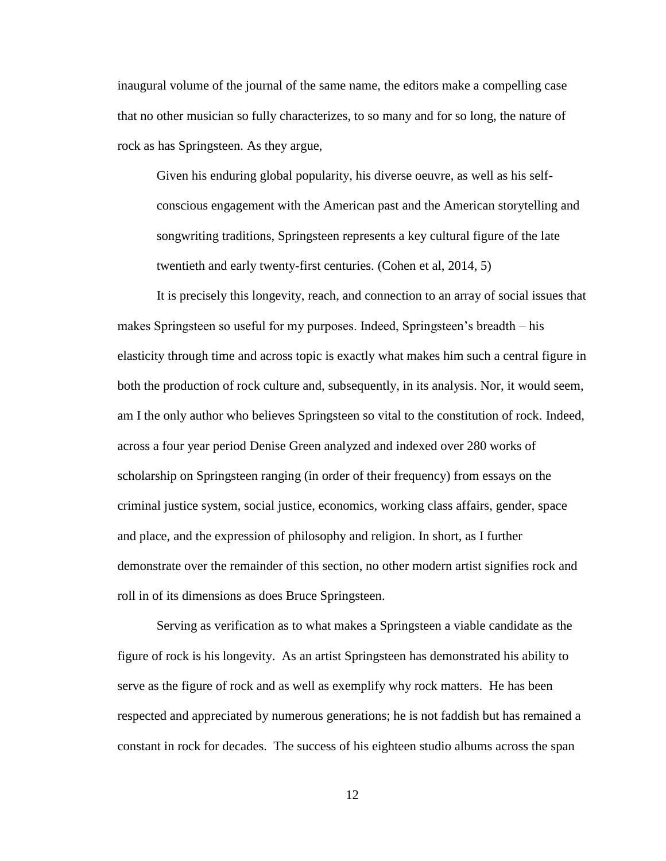inaugural volume of the journal of the same name, the editors make a compelling case that no other musician so fully characterizes, to so many and for so long, the nature of rock as has Springsteen. As they argue,

Given his enduring global popularity, his diverse oeuvre, as well as his selfconscious engagement with the American past and the American storytelling and songwriting traditions, Springsteen represents a key cultural figure of the late twentieth and early twenty-first centuries. (Cohen et al, 2014, 5)

It is precisely this longevity, reach, and connection to an array of social issues that makes Springsteen so useful for my purposes. Indeed, Springsteen's breadth – his elasticity through time and across topic is exactly what makes him such a central figure in both the production of rock culture and, subsequently, in its analysis. Nor, it would seem, am I the only author who believes Springsteen so vital to the constitution of rock. Indeed, across a four year period Denise Green analyzed and indexed over 280 works of scholarship on Springsteen ranging (in order of their frequency) from essays on the criminal justice system, social justice, economics, working class affairs, gender, space and place, and the expression of philosophy and religion. In short, as I further demonstrate over the remainder of this section, no other modern artist signifies rock and roll in of its dimensions as does Bruce Springsteen.

Serving as verification as to what makes a Springsteen a viable candidate as the figure of rock is his longevity. As an artist Springsteen has demonstrated his ability to serve as the figure of rock and as well as exemplify why rock matters. He has been respected and appreciated by numerous generations; he is not faddish but has remained a constant in rock for decades. The success of his eighteen studio albums across the span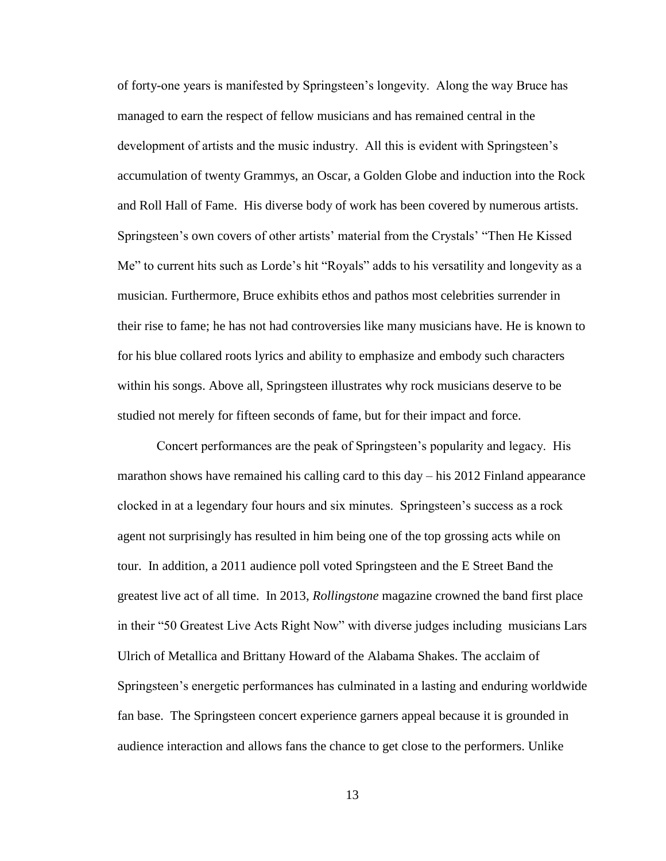of forty-one years is manifested by Springsteen's longevity. Along the way Bruce has managed to earn the respect of fellow musicians and has remained central in the development of artists and the music industry. All this is evident with Springsteen's accumulation of twenty Grammys, an Oscar, a Golden Globe and induction into the Rock and Roll Hall of Fame. His diverse body of work has been covered by numerous artists. Springsteen's own covers of other artists' material from the Crystals' "Then He Kissed Me" to current hits such as Lorde's hit "Royals" adds to his versatility and longevity as a musician. Furthermore, Bruce exhibits ethos and pathos most celebrities surrender in their rise to fame; he has not had controversies like many musicians have. He is known to for his blue collared roots lyrics and ability to emphasize and embody such characters within his songs. Above all, Springsteen illustrates why rock musicians deserve to be studied not merely for fifteen seconds of fame, but for their impact and force.

Concert performances are the peak of Springsteen's popularity and legacy. His marathon shows have remained his calling card to this day – his 2012 Finland appearance clocked in at a legendary four hours and six minutes. Springsteen's success as a rock agent not surprisingly has resulted in him being one of the top grossing acts while on tour. In addition, a 2011 audience poll voted Springsteen and the E Street Band the greatest live act of all time. In 2013, *Rollingstone* magazine crowned the band first place in their "50 Greatest Live Acts Right Now" with diverse judges including musicians Lars Ulrich of Metallica and Brittany Howard of the Alabama Shakes. The acclaim of Springsteen's energetic performances has culminated in a lasting and enduring worldwide fan base. The Springsteen concert experience garners appeal because it is grounded in audience interaction and allows fans the chance to get close to the performers. Unlike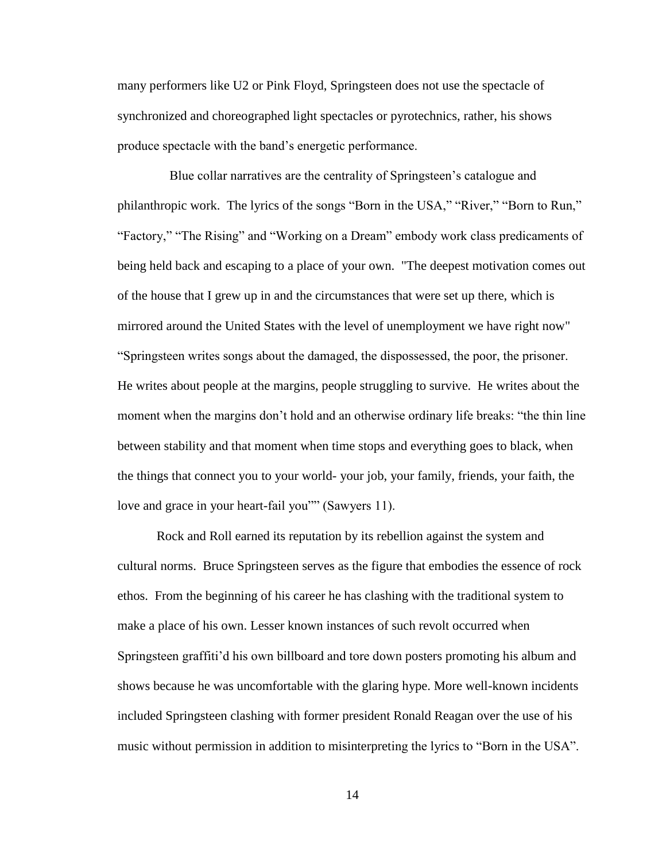many performers like U2 or Pink Floyd, Springsteen does not use the spectacle of synchronized and choreographed light spectacles or pyrotechnics, rather, his shows produce spectacle with the band's energetic performance.

 Blue collar narratives are the centrality of Springsteen's catalogue and philanthropic work. The lyrics of the songs "Born in the USA," "River," "Born to Run," "Factory," "The Rising" and "Working on a Dream" embody work class predicaments of being held back and escaping to a place of your own. "The deepest motivation comes out of the house that I grew up in and the circumstances that were set up there, which is mirrored around the United States with the level of unemployment we have right now" "Springsteen writes songs about the damaged, the dispossessed, the poor, the prisoner. He writes about people at the margins, people struggling to survive. He writes about the moment when the margins don't hold and an otherwise ordinary life breaks: "the thin line between stability and that moment when time stops and everything goes to black, when the things that connect you to your world- your job, your family, friends, your faith, the love and grace in your heart-fail you"" (Sawyers 11).

Rock and Roll earned its reputation by its rebellion against the system and cultural norms. Bruce Springsteen serves as the figure that embodies the essence of rock ethos. From the beginning of his career he has clashing with the traditional system to make a place of his own. Lesser known instances of such revolt occurred when Springsteen graffiti'd his own billboard and tore down posters promoting his album and shows because he was uncomfortable with the glaring hype. More well-known incidents included Springsteen clashing with former president Ronald Reagan over the use of his music without permission in addition to misinterpreting the lyrics to "Born in the USA".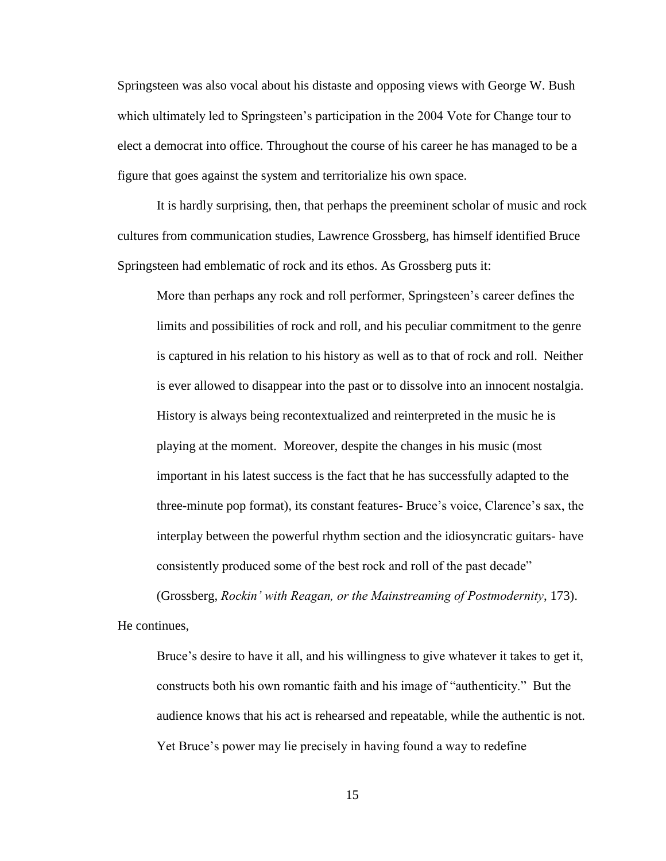Springsteen was also vocal about his distaste and opposing views with George W. Bush which ultimately led to Springsteen's participation in the 2004 Vote for Change tour to elect a democrat into office. Throughout the course of his career he has managed to be a figure that goes against the system and territorialize his own space.

It is hardly surprising, then, that perhaps the preeminent scholar of music and rock cultures from communication studies, Lawrence Grossberg, has himself identified Bruce Springsteen had emblematic of rock and its ethos. As Grossberg puts it:

More than perhaps any rock and roll performer, Springsteen's career defines the limits and possibilities of rock and roll, and his peculiar commitment to the genre is captured in his relation to his history as well as to that of rock and roll. Neither is ever allowed to disappear into the past or to dissolve into an innocent nostalgia. History is always being recontextualized and reinterpreted in the music he is playing at the moment. Moreover, despite the changes in his music (most important in his latest success is the fact that he has successfully adapted to the three-minute pop format), its constant features- Bruce's voice, Clarence's sax, the interplay between the powerful rhythm section and the idiosyncratic guitars- have consistently produced some of the best rock and roll of the past decade"

(Grossberg, *Rockin' with Reagan, or the Mainstreaming of Postmodernity*, 173). He continues,

Bruce's desire to have it all, and his willingness to give whatever it takes to get it, constructs both his own romantic faith and his image of "authenticity." But the audience knows that his act is rehearsed and repeatable, while the authentic is not. Yet Bruce's power may lie precisely in having found a way to redefine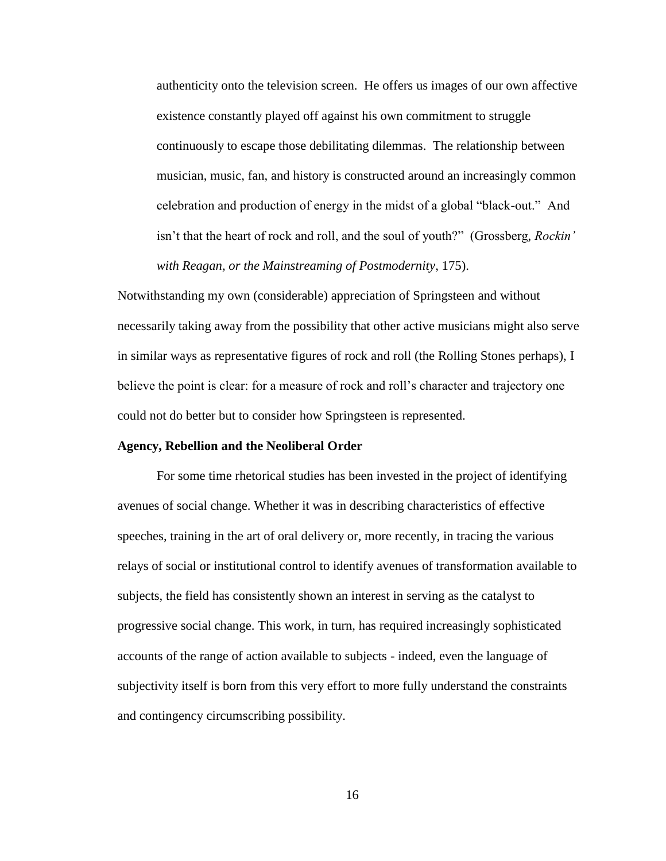authenticity onto the television screen. He offers us images of our own affective existence constantly played off against his own commitment to struggle continuously to escape those debilitating dilemmas. The relationship between musician, music, fan, and history is constructed around an increasingly common celebration and production of energy in the midst of a global "black-out." And isn't that the heart of rock and roll, and the soul of youth?" (Grossberg, *Rockin' with Reagan, or the Mainstreaming of Postmodernity*, 175).

Notwithstanding my own (considerable) appreciation of Springsteen and without necessarily taking away from the possibility that other active musicians might also serve in similar ways as representative figures of rock and roll (the Rolling Stones perhaps), I believe the point is clear: for a measure of rock and roll's character and trajectory one could not do better but to consider how Springsteen is represented.

#### **Agency, Rebellion and the Neoliberal Order**

For some time rhetorical studies has been invested in the project of identifying avenues of social change. Whether it was in describing characteristics of effective speeches, training in the art of oral delivery or, more recently, in tracing the various relays of social or institutional control to identify avenues of transformation available to subjects, the field has consistently shown an interest in serving as the catalyst to progressive social change. This work, in turn, has required increasingly sophisticated accounts of the range of action available to subjects - indeed, even the language of subjectivity itself is born from this very effort to more fully understand the constraints and contingency circumscribing possibility.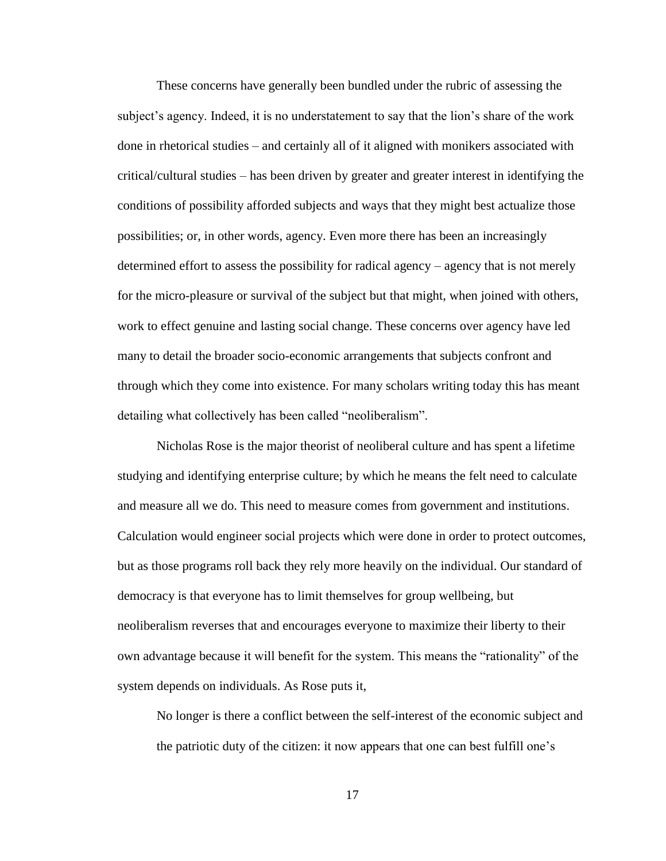These concerns have generally been bundled under the rubric of assessing the subject's agency. Indeed, it is no understatement to say that the lion's share of the work done in rhetorical studies – and certainly all of it aligned with monikers associated with critical/cultural studies – has been driven by greater and greater interest in identifying the conditions of possibility afforded subjects and ways that they might best actualize those possibilities; or, in other words, agency. Even more there has been an increasingly determined effort to assess the possibility for radical agency – agency that is not merely for the micro-pleasure or survival of the subject but that might, when joined with others, work to effect genuine and lasting social change. These concerns over agency have led many to detail the broader socio-economic arrangements that subjects confront and through which they come into existence. For many scholars writing today this has meant detailing what collectively has been called "neoliberalism".

Nicholas Rose is the major theorist of neoliberal culture and has spent a lifetime studying and identifying enterprise culture; by which he means the felt need to calculate and measure all we do. This need to measure comes from government and institutions. Calculation would engineer social projects which were done in order to protect outcomes, but as those programs roll back they rely more heavily on the individual. Our standard of democracy is that everyone has to limit themselves for group wellbeing, but neoliberalism reverses that and encourages everyone to maximize their liberty to their own advantage because it will benefit for the system. This means the "rationality" of the system depends on individuals. As Rose puts it,

No longer is there a conflict between the self-interest of the economic subject and the patriotic duty of the citizen: it now appears that one can best fulfill one's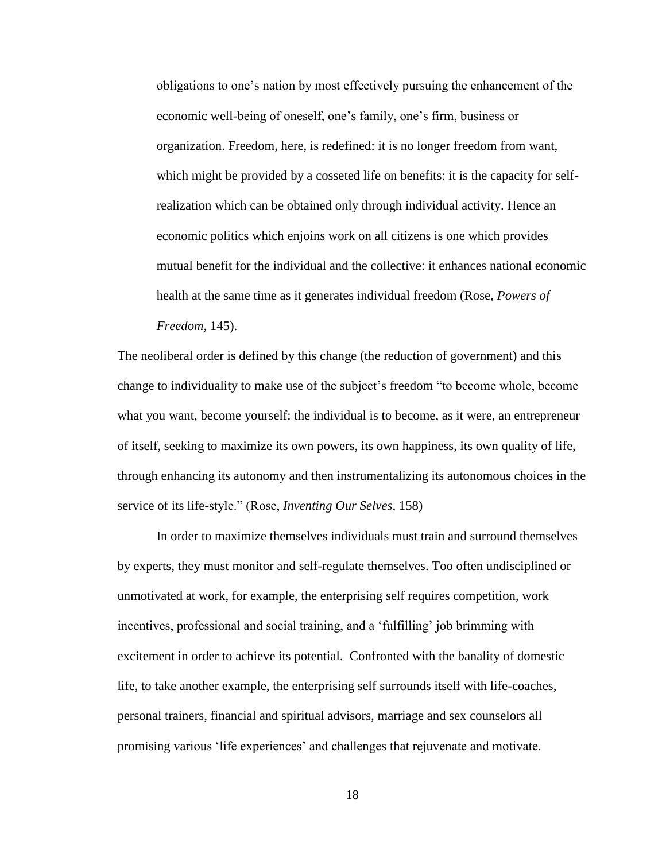obligations to one's nation by most effectively pursuing the enhancement of the economic well-being of oneself, one's family, one's firm, business or organization. Freedom, here, is redefined: it is no longer freedom from want, which might be provided by a cosseted life on benefits: it is the capacity for selfrealization which can be obtained only through individual activity. Hence an economic politics which enjoins work on all citizens is one which provides mutual benefit for the individual and the collective: it enhances national economic health at the same time as it generates individual freedom (Rose, *Powers of Freedom,* 145).

The neoliberal order is defined by this change (the reduction of government) and this change to individuality to make use of the subject's freedom "to become whole, become what you want, become yourself: the individual is to become, as it were, an entrepreneur of itself, seeking to maximize its own powers, its own happiness, its own quality of life, through enhancing its autonomy and then instrumentalizing its autonomous choices in the service of its life-style." (Rose, *Inventing Our Selves*, 158)

In order to maximize themselves individuals must train and surround themselves by experts, they must monitor and self-regulate themselves. Too often undisciplined or unmotivated at work, for example, the enterprising self requires competition, work incentives, professional and social training, and a 'fulfilling' job brimming with excitement in order to achieve its potential. Confronted with the banality of domestic life, to take another example, the enterprising self surrounds itself with life-coaches, personal trainers, financial and spiritual advisors, marriage and sex counselors all promising various 'life experiences' and challenges that rejuvenate and motivate.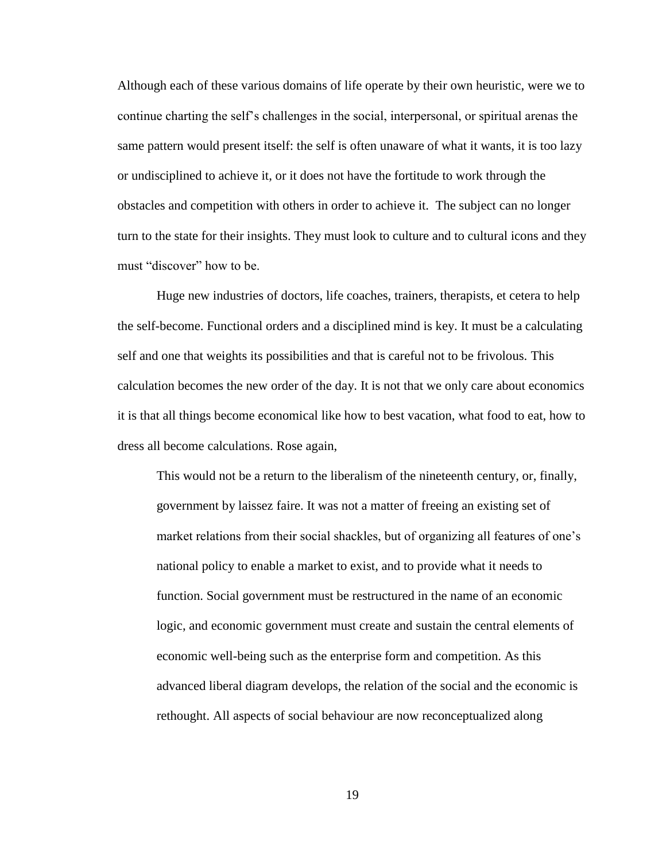Although each of these various domains of life operate by their own heuristic, were we to continue charting the self's challenges in the social, interpersonal, or spiritual arenas the same pattern would present itself: the self is often unaware of what it wants, it is too lazy or undisciplined to achieve it, or it does not have the fortitude to work through the obstacles and competition with others in order to achieve it. The subject can no longer turn to the state for their insights. They must look to culture and to cultural icons and they must "discover" how to be.

Huge new industries of doctors, life coaches, trainers, therapists, et cetera to help the self-become. Functional orders and a disciplined mind is key. It must be a calculating self and one that weights its possibilities and that is careful not to be frivolous. This calculation becomes the new order of the day. It is not that we only care about economics it is that all things become economical like how to best vacation, what food to eat, how to dress all become calculations. Rose again,

This would not be a return to the liberalism of the nineteenth century, or, finally, government by laissez faire. It was not a matter of freeing an existing set of market relations from their social shackles, but of organizing all features of one's national policy to enable a market to exist, and to provide what it needs to function. Social government must be restructured in the name of an economic logic, and economic government must create and sustain the central elements of economic well-being such as the enterprise form and competition. As this advanced liberal diagram develops, the relation of the social and the economic is rethought. All aspects of social behaviour are now reconceptualized along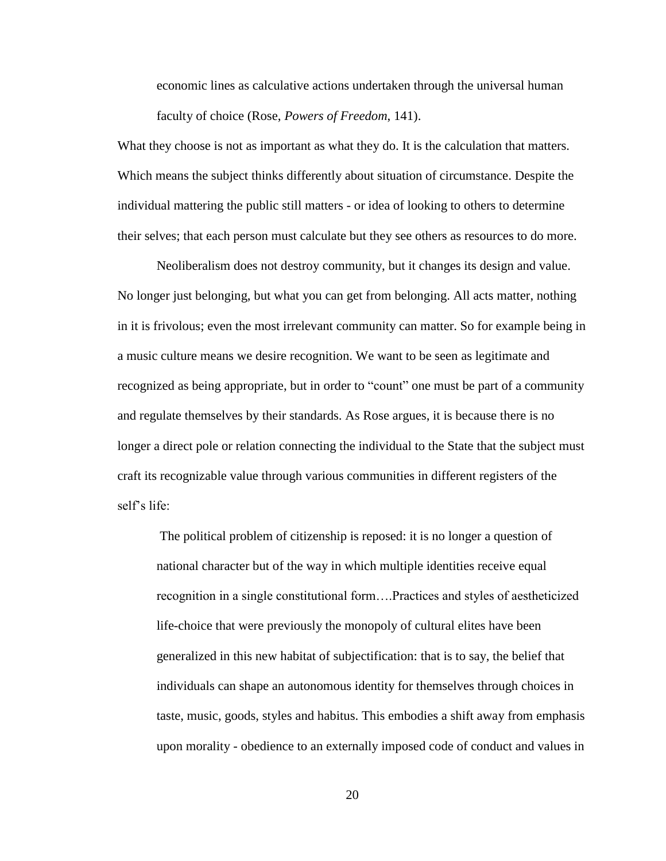economic lines as calculative actions undertaken through the universal human faculty of choice (Rose, *Powers of Freedom*, 141).

What they choose is not as important as what they do. It is the calculation that matters. Which means the subject thinks differently about situation of circumstance. Despite the individual mattering the public still matters - or idea of looking to others to determine their selves; that each person must calculate but they see others as resources to do more.

Neoliberalism does not destroy community, but it changes its design and value. No longer just belonging, but what you can get from belonging. All acts matter, nothing in it is frivolous; even the most irrelevant community can matter. So for example being in a music culture means we desire recognition. We want to be seen as legitimate and recognized as being appropriate, but in order to "count" one must be part of a community and regulate themselves by their standards. As Rose argues, it is because there is no longer a direct pole or relation connecting the individual to the State that the subject must craft its recognizable value through various communities in different registers of the self's life:

The political problem of citizenship is reposed: it is no longer a question of national character but of the way in which multiple identities receive equal recognition in a single constitutional form….Practices and styles of aestheticized life-choice that were previously the monopoly of cultural elites have been generalized in this new habitat of subjectification: that is to say, the belief that individuals can shape an autonomous identity for themselves through choices in taste, music, goods, styles and habitus. This embodies a shift away from emphasis upon morality - obedience to an externally imposed code of conduct and values in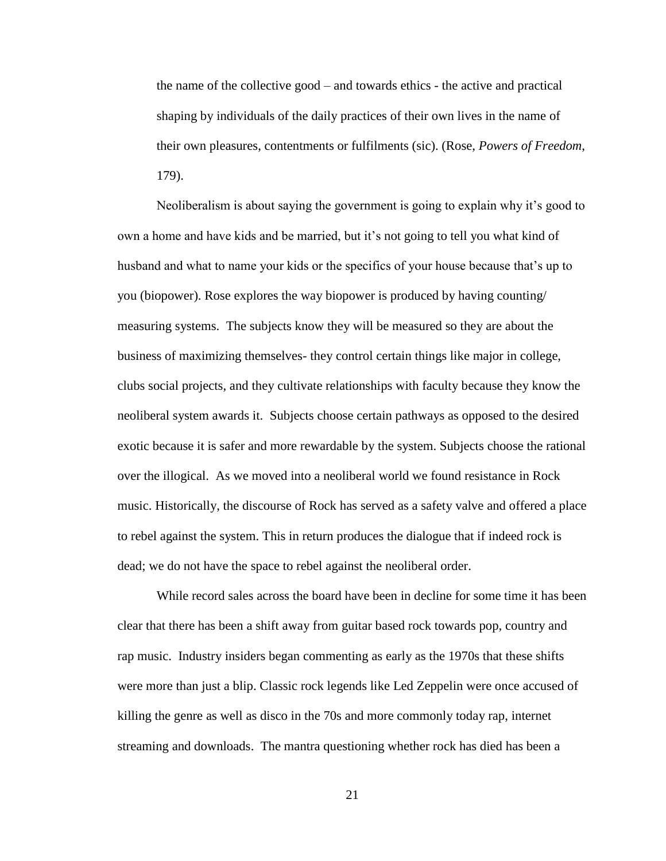the name of the collective good – and towards ethics - the active and practical shaping by individuals of the daily practices of their own lives in the name of their own pleasures, contentments or fulfilments (sic). (Rose, *Powers of Freedom*, 179).

 Neoliberalism is about saying the government is going to explain why it's good to own a home and have kids and be married, but it's not going to tell you what kind of husband and what to name your kids or the specifics of your house because that's up to you (biopower). Rose explores the way biopower is produced by having counting/ measuring systems. The subjects know they will be measured so they are about the business of maximizing themselves- they control certain things like major in college, clubs social projects, and they cultivate relationships with faculty because they know the neoliberal system awards it. Subjects choose certain pathways as opposed to the desired exotic because it is safer and more rewardable by the system. Subjects choose the rational over the illogical. As we moved into a neoliberal world we found resistance in Rock music. Historically, the discourse of Rock has served as a safety valve and offered a place to rebel against the system. This in return produces the dialogue that if indeed rock is dead; we do not have the space to rebel against the neoliberal order.

While record sales across the board have been in decline for some time it has been clear that there has been a shift away from guitar based rock towards pop, country and rap music. Industry insiders began commenting as early as the 1970s that these shifts were more than just a blip. Classic rock legends like Led Zeppelin were once accused of killing the genre as well as disco in the 70s and more commonly today rap, internet streaming and downloads. The mantra questioning whether rock has died has been a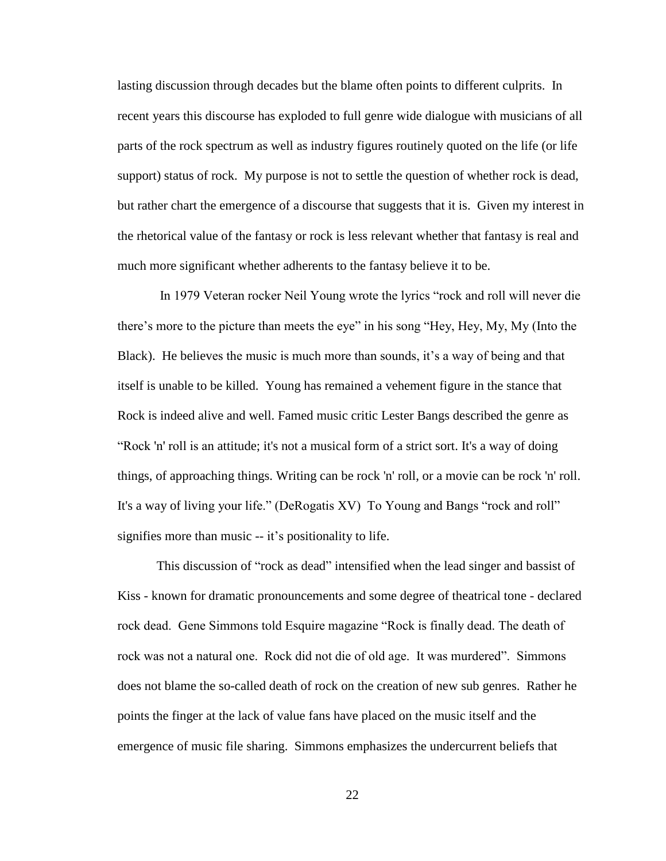lasting discussion through decades but the blame often points to different culprits. In recent years this discourse has exploded to full genre wide dialogue with musicians of all parts of the rock spectrum as well as industry figures routinely quoted on the life (or life support) status of rock. My purpose is not to settle the question of whether rock is dead, but rather chart the emergence of a discourse that suggests that it is. Given my interest in the rhetorical value of the fantasy or rock is less relevant whether that fantasy is real and much more significant whether adherents to the fantasy believe it to be.

In 1979 Veteran rocker Neil Young wrote the lyrics "rock and roll will never die there's more to the picture than meets the eye" in his song "Hey, Hey, My, My (Into the Black). He believes the music is much more than sounds, it's a way of being and that itself is unable to be killed. Young has remained a vehement figure in the stance that Rock is indeed alive and well. Famed music critic Lester Bangs described the genre as "Rock 'n' roll is an attitude; it's not a musical form of a strict sort. It's a way of doing things, of approaching things. Writing can be rock 'n' roll, or a movie can be rock 'n' roll. It's a way of living your life." (DeRogatis XV) To Young and Bangs "rock and roll" signifies more than music -- it's positionality to life.

This discussion of "rock as dead" intensified when the lead singer and bassist of Kiss - known for dramatic pronouncements and some degree of theatrical tone - declared rock dead. Gene Simmons told Esquire magazine "Rock is finally dead. The death of rock was not a natural one. Rock did not die of old age. It was murdered". Simmons does not blame the so-called death of rock on the creation of new sub genres. Rather he points the finger at the lack of value fans have placed on the music itself and the emergence of music file sharing. Simmons emphasizes the undercurrent beliefs that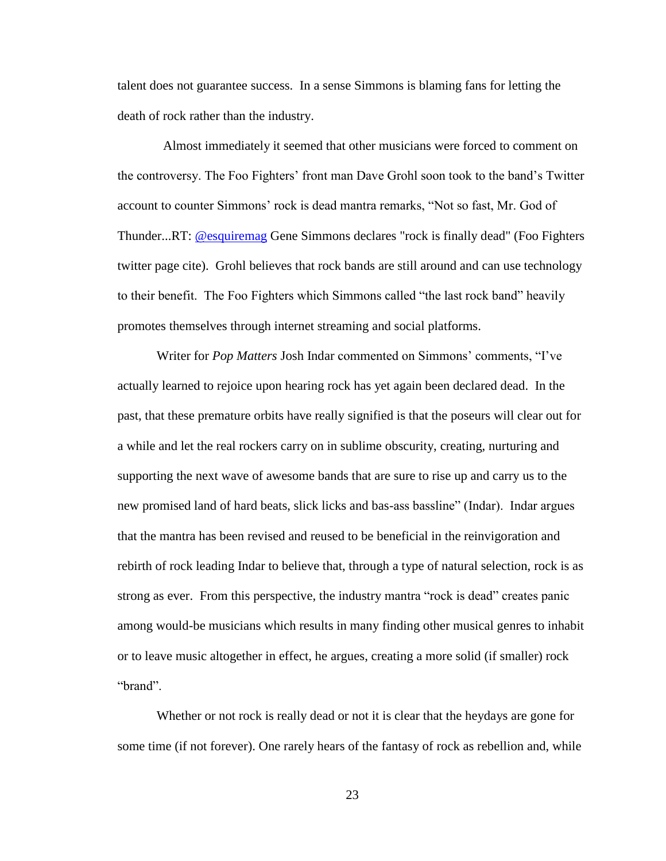talent does not guarantee success. In a sense Simmons is blaming fans for letting the death of rock rather than the industry.

 Almost immediately it seemed that other musicians were forced to comment on the controversy. The Foo Fighters' front man Dave Grohl soon took to the band's Twitter account to counter Simmons' rock is dead mantra remarks, "Not so fast, Mr. God of Thunder...RT: [@esquiremag](https://twitter.com/Esquiremag) Gene Simmons declares "rock is finally dead" (Foo Fighters twitter page cite). Grohl believes that rock bands are still around and can use technology to their benefit. The Foo Fighters which Simmons called "the last rock band" heavily promotes themselves through internet streaming and social platforms.

Writer for *Pop Matters* Josh Indar commented on Simmons' comments, "I've actually learned to rejoice upon hearing rock has yet again been declared dead. In the past, that these premature orbits have really signified is that the poseurs will clear out for a while and let the real rockers carry on in sublime obscurity, creating, nurturing and supporting the next wave of awesome bands that are sure to rise up and carry us to the new promised land of hard beats, slick licks and bas-ass bassline" (Indar). Indar argues that the mantra has been revised and reused to be beneficial in the reinvigoration and rebirth of rock leading Indar to believe that, through a type of natural selection, rock is as strong as ever. From this perspective, the industry mantra "rock is dead" creates panic among would-be musicians which results in many finding other musical genres to inhabit or to leave music altogether in effect, he argues, creating a more solid (if smaller) rock "brand".

Whether or not rock is really dead or not it is clear that the heydays are gone for some time (if not forever). One rarely hears of the fantasy of rock as rebellion and, while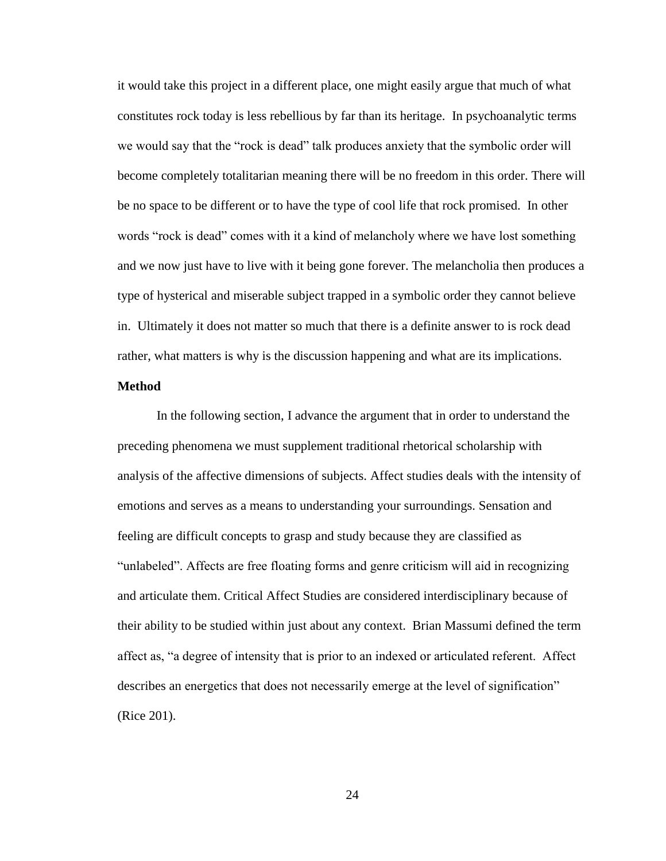it would take this project in a different place, one might easily argue that much of what constitutes rock today is less rebellious by far than its heritage. In psychoanalytic terms we would say that the "rock is dead" talk produces anxiety that the symbolic order will become completely totalitarian meaning there will be no freedom in this order. There will be no space to be different or to have the type of cool life that rock promised. In other words "rock is dead" comes with it a kind of melancholy where we have lost something and we now just have to live with it being gone forever. The melancholia then produces a type of hysterical and miserable subject trapped in a symbolic order they cannot believe in. Ultimately it does not matter so much that there is a definite answer to is rock dead rather, what matters is why is the discussion happening and what are its implications.

### **Method**

In the following section, I advance the argument that in order to understand the preceding phenomena we must supplement traditional rhetorical scholarship with analysis of the affective dimensions of subjects. Affect studies deals with the intensity of emotions and serves as a means to understanding your surroundings. Sensation and feeling are difficult concepts to grasp and study because they are classified as "unlabeled". Affects are free floating forms and genre criticism will aid in recognizing and articulate them. Critical Affect Studies are considered interdisciplinary because of their ability to be studied within just about any context. Brian Massumi defined the term affect as, "a degree of intensity that is prior to an indexed or articulated referent. Affect describes an energetics that does not necessarily emerge at the level of signification" (Rice 201).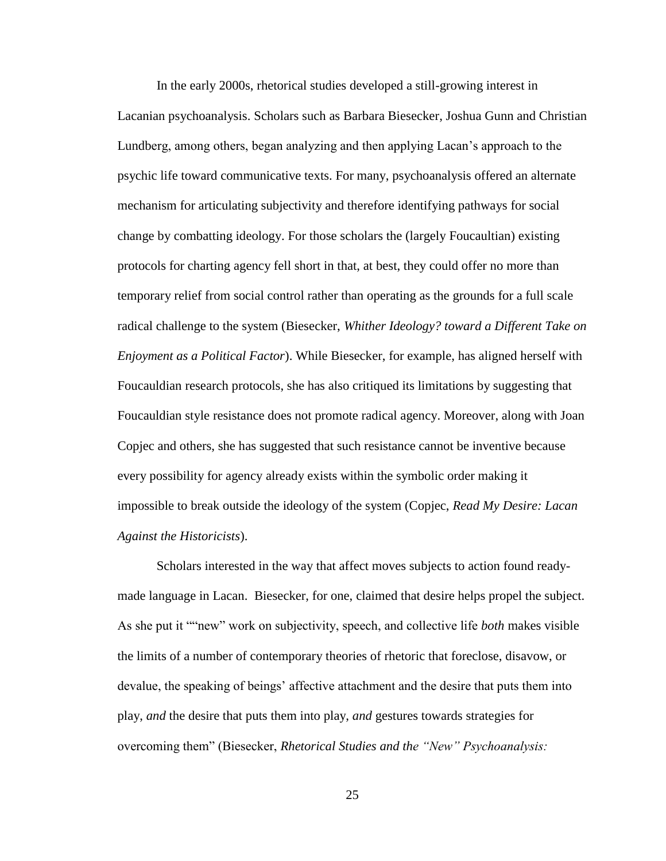In the early 2000s, rhetorical studies developed a still-growing interest in Lacanian psychoanalysis. Scholars such as Barbara Biesecker, Joshua Gunn and Christian Lundberg, among others, began analyzing and then applying Lacan's approach to the psychic life toward communicative texts. For many, psychoanalysis offered an alternate mechanism for articulating subjectivity and therefore identifying pathways for social change by combatting ideology. For those scholars the (largely Foucaultian) existing protocols for charting agency fell short in that, at best, they could offer no more than temporary relief from social control rather than operating as the grounds for a full scale radical challenge to the system (Biesecker, *Whither Ideology? toward a Different Take on Enjoyment as a Political Factor*). While Biesecker, for example, has aligned herself with Foucauldian research protocols, she has also critiqued its limitations by suggesting that Foucauldian style resistance does not promote radical agency. Moreover, along with Joan Copjec and others, she has suggested that such resistance cannot be inventive because every possibility for agency already exists within the symbolic order making it impossible to break outside the ideology of the system (Copjec, *Read My Desire: Lacan Against the Historicists*).

Scholars interested in the way that affect moves subjects to action found readymade language in Lacan. Biesecker, for one, claimed that desire helps propel the subject. As she put it ""new" work on subjectivity, speech, and collective life *both* makes visible the limits of a number of contemporary theories of rhetoric that foreclose, disavow, or devalue, the speaking of beings' affective attachment and the desire that puts them into play, *and* the desire that puts them into play, *and* gestures towards strategies for overcoming them" (Biesecker, *Rhetorical Studies and the "New" Psychoanalysis:*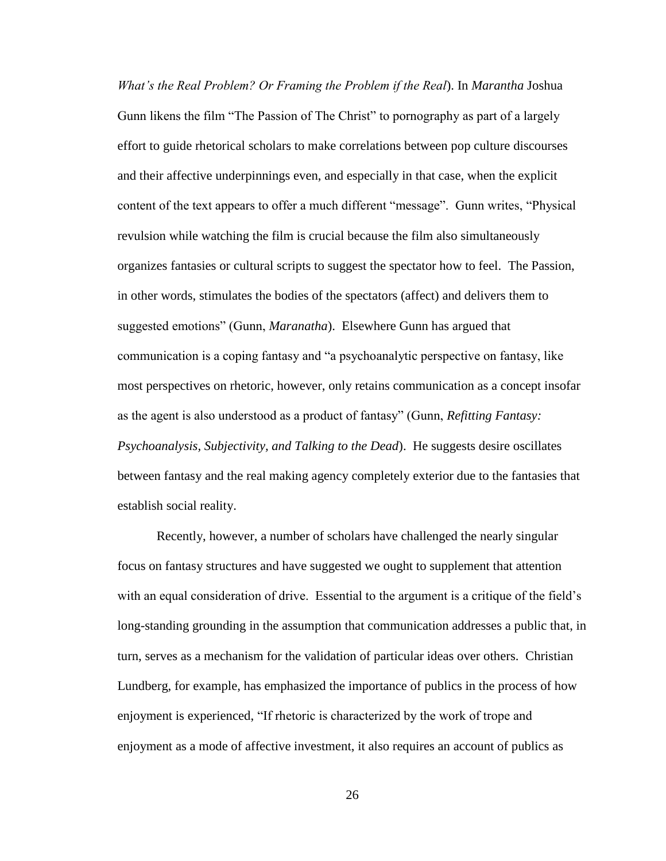*What's the Real Problem? Or Framing the Problem if the Real*). In *Marantha* Joshua Gunn likens the film "The Passion of The Christ" to pornography as part of a largely effort to guide rhetorical scholars to make correlations between pop culture discourses and their affective underpinnings even, and especially in that case, when the explicit content of the text appears to offer a much different "message". Gunn writes, "Physical revulsion while watching the film is crucial because the film also simultaneously organizes fantasies or cultural scripts to suggest the spectator how to feel. The Passion, in other words, stimulates the bodies of the spectators (affect) and delivers them to suggested emotions" (Gunn, *Maranatha*). Elsewhere Gunn has argued that communication is a coping fantasy and "a psychoanalytic perspective on fantasy, like most perspectives on rhetoric, however, only retains communication as a concept insofar as the agent is also understood as a product of fantasy" (Gunn, *Refitting Fantasy: Psychoanalysis, Subjectivity, and Talking to the Dead*). He suggests desire oscillates between fantasy and the real making agency completely exterior due to the fantasies that establish social reality.

Recently, however, a number of scholars have challenged the nearly singular focus on fantasy structures and have suggested we ought to supplement that attention with an equal consideration of drive. Essential to the argument is a critique of the field's long-standing grounding in the assumption that communication addresses a public that, in turn, serves as a mechanism for the validation of particular ideas over others. Christian Lundberg, for example, has emphasized the importance of publics in the process of how enjoyment is experienced, "If rhetoric is characterized by the work of trope and enjoyment as a mode of affective investment, it also requires an account of publics as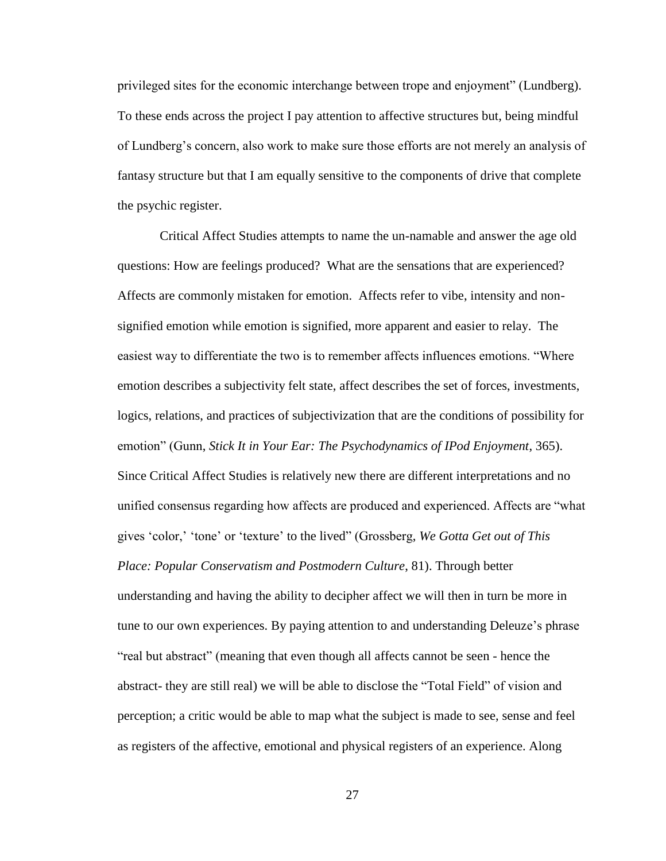privileged sites for the economic interchange between trope and enjoyment" (Lundberg). To these ends across the project I pay attention to affective structures but, being mindful of Lundberg's concern, also work to make sure those efforts are not merely an analysis of fantasy structure but that I am equally sensitive to the components of drive that complete the psychic register.

Critical Affect Studies attempts to name the un-namable and answer the age old questions: How are feelings produced? What are the sensations that are experienced? Affects are commonly mistaken for emotion. Affects refer to vibe, intensity and nonsignified emotion while emotion is signified, more apparent and easier to relay. The easiest way to differentiate the two is to remember affects influences emotions. "Where emotion describes a subjectivity felt state, affect describes the set of forces, investments, logics, relations, and practices of subjectivization that are the conditions of possibility for emotion" (Gunn, *Stick It in Your Ear: The Psychodynamics of IPod Enjoyment*, 365). Since Critical Affect Studies is relatively new there are different interpretations and no unified consensus regarding how affects are produced and experienced. Affects are "what gives 'color,' 'tone' or 'texture' to the lived" (Grossberg, *We Gotta Get out of This Place: Popular Conservatism and Postmodern Culture*, 81). Through better understanding and having the ability to decipher affect we will then in turn be more in tune to our own experiences. By paying attention to and understanding Deleuze's phrase "real but abstract" (meaning that even though all affects cannot be seen - hence the abstract- they are still real) we will be able to disclose the "Total Field" of vision and perception; a critic would be able to map what the subject is made to see, sense and feel as registers of the affective, emotional and physical registers of an experience. Along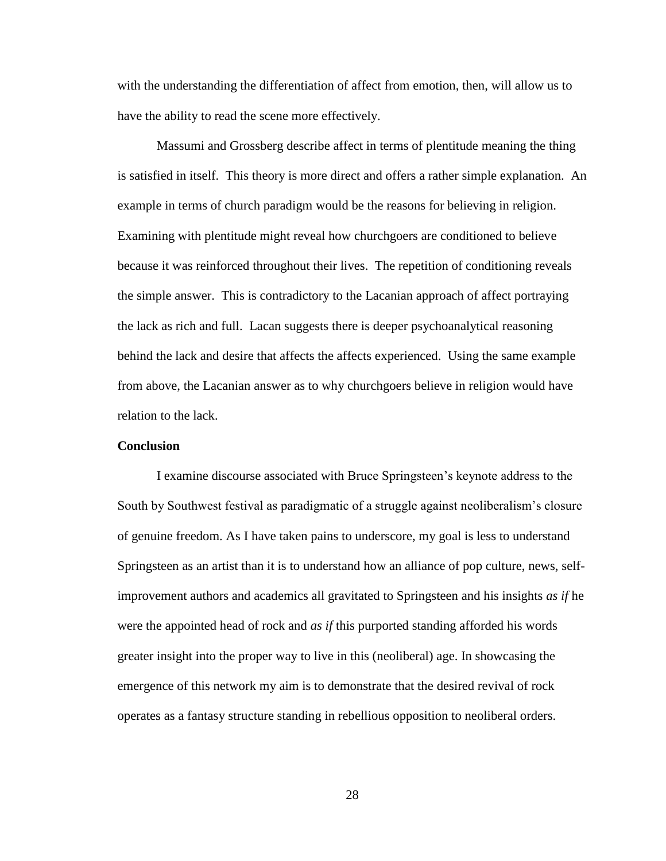with the understanding the differentiation of affect from emotion, then, will allow us to have the ability to read the scene more effectively.

Massumi and Grossberg describe affect in terms of plentitude meaning the thing is satisfied in itself. This theory is more direct and offers a rather simple explanation. An example in terms of church paradigm would be the reasons for believing in religion. Examining with plentitude might reveal how churchgoers are conditioned to believe because it was reinforced throughout their lives. The repetition of conditioning reveals the simple answer. This is contradictory to the Lacanian approach of affect portraying the lack as rich and full. Lacan suggests there is deeper psychoanalytical reasoning behind the lack and desire that affects the affects experienced. Using the same example from above, the Lacanian answer as to why churchgoers believe in religion would have relation to the lack.

### **Conclusion**

I examine discourse associated with Bruce Springsteen's keynote address to the South by Southwest festival as paradigmatic of a struggle against neoliberalism's closure of genuine freedom. As I have taken pains to underscore, my goal is less to understand Springsteen as an artist than it is to understand how an alliance of pop culture, news, selfimprovement authors and academics all gravitated to Springsteen and his insights *as if* he were the appointed head of rock and *as if* this purported standing afforded his words greater insight into the proper way to live in this (neoliberal) age. In showcasing the emergence of this network my aim is to demonstrate that the desired revival of rock operates as a fantasy structure standing in rebellious opposition to neoliberal orders.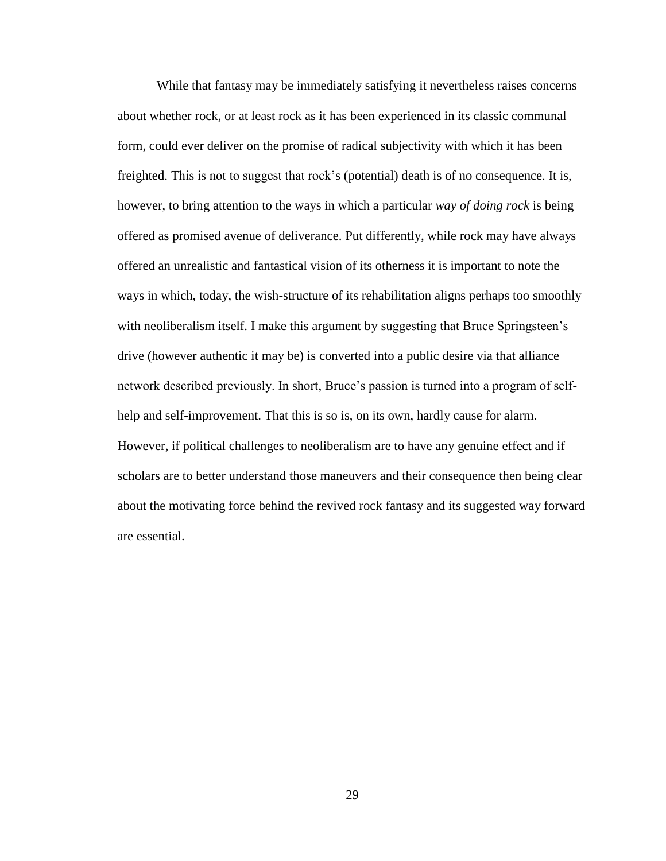While that fantasy may be immediately satisfying it nevertheless raises concerns about whether rock, or at least rock as it has been experienced in its classic communal form, could ever deliver on the promise of radical subjectivity with which it has been freighted. This is not to suggest that rock's (potential) death is of no consequence. It is, however, to bring attention to the ways in which a particular *way of doing rock* is being offered as promised avenue of deliverance. Put differently, while rock may have always offered an unrealistic and fantastical vision of its otherness it is important to note the ways in which, today, the wish-structure of its rehabilitation aligns perhaps too smoothly with neoliberalism itself. I make this argument by suggesting that Bruce Springsteen's drive (however authentic it may be) is converted into a public desire via that alliance network described previously. In short, Bruce's passion is turned into a program of selfhelp and self-improvement. That this is so is, on its own, hardly cause for alarm. However, if political challenges to neoliberalism are to have any genuine effect and if scholars are to better understand those maneuvers and their consequence then being clear about the motivating force behind the revived rock fantasy and its suggested way forward are essential.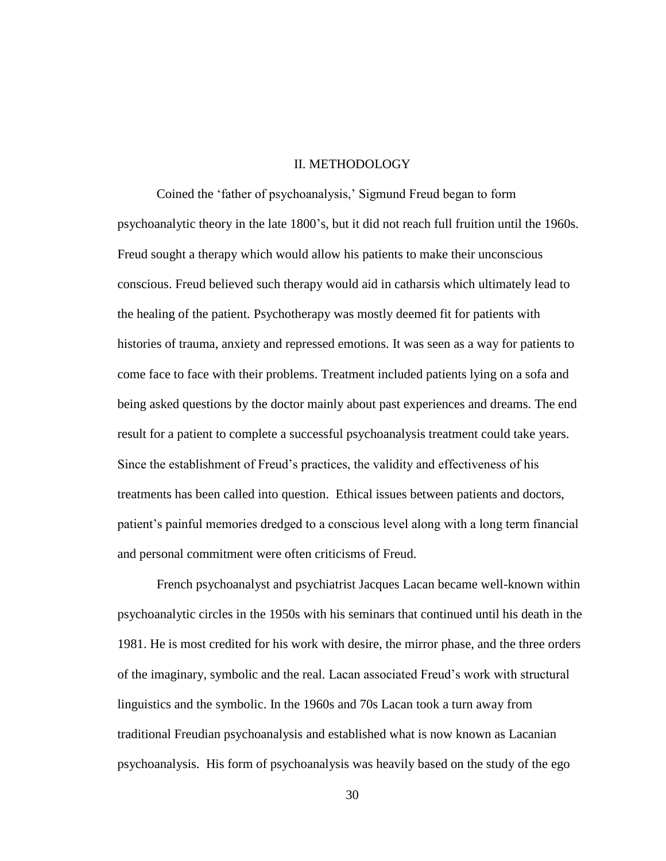#### II. METHODOLOGY

Coined the 'father of psychoanalysis,' Sigmund Freud began to form psychoanalytic theory in the late 1800's, but it did not reach full fruition until the 1960s. Freud sought a therapy which would allow his patients to make their unconscious conscious. Freud believed such therapy would aid in catharsis which ultimately lead to the healing of the patient. Psychotherapy was mostly deemed fit for patients with histories of trauma, anxiety and repressed emotions. It was seen as a way for patients to come face to face with their problems. Treatment included patients lying on a sofa and being asked questions by the doctor mainly about past experiences and dreams. The end result for a patient to complete a successful psychoanalysis treatment could take years. Since the establishment of Freud's practices, the validity and effectiveness of his treatments has been called into question. Ethical issues between patients and doctors, patient's painful memories dredged to a conscious level along with a long term financial and personal commitment were often criticisms of Freud.

French psychoanalyst and psychiatrist Jacques Lacan became well-known within psychoanalytic circles in the 1950s with his seminars that continued until his death in the 1981. He is most credited for his work with desire, the mirror phase, and the three orders of the imaginary, symbolic and the real. Lacan associated Freud's work with structural linguistics and the symbolic. In the 1960s and 70s Lacan took a turn away from traditional Freudian psychoanalysis and established what is now known as Lacanian psychoanalysis. His form of psychoanalysis was heavily based on the study of the ego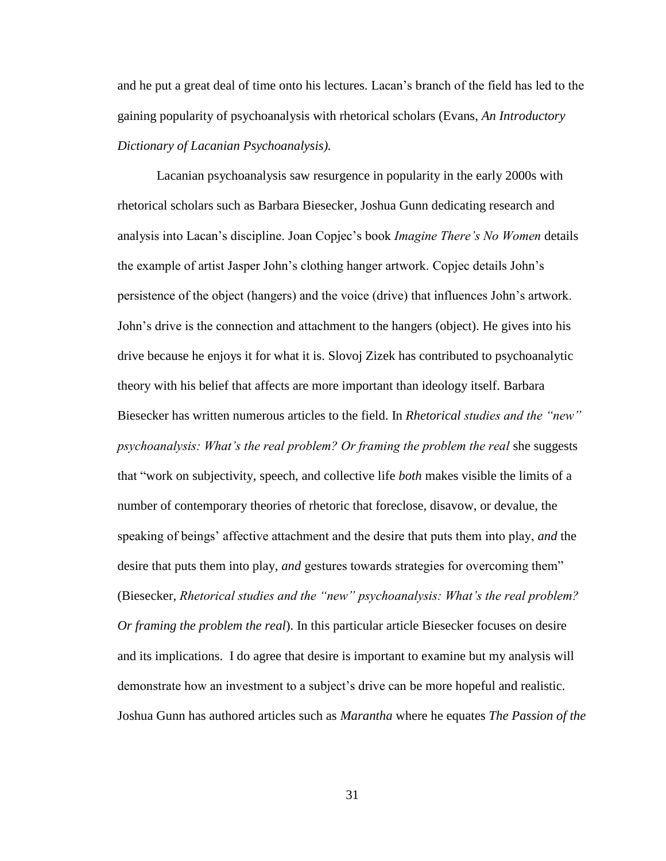and he put a great deal of time onto his lectures. Lacan's branch of the field has led to the gaining popularity of psychoanalysis with rhetorical scholars (Evans, *An Introductory Dictionary of Lacanian Psychoanalysis).*

Lacanian psychoanalysis saw resurgence in popularity in the early 2000s with rhetorical scholars such as Barbara Biesecker, Joshua Gunn dedicating research and analysis into Lacan's discipline. Joan Copjec's book *Imagine There's No Women* details the example of artist Jasper John's clothing hanger artwork. Copjec details John's persistence of the object (hangers) and the voice (drive) that influences John's artwork. John's drive is the connection and attachment to the hangers (object). He gives into his drive because he enjoys it for what it is. Slovoj Zizek has contributed to psychoanalytic theory with his belief that affects are more important than ideology itself. Barbara Biesecker has written numerous articles to the field. In *Rhetorical studies and the "new" psychoanalysis: What's the real problem? Or framing the problem the real* she suggests that "work on subjectivity, speech, and collective life *both* makes visible the limits of a number of contemporary theories of rhetoric that foreclose, disavow, or devalue, the speaking of beings' affective attachment and the desire that puts them into play, *and* the desire that puts them into play, *and* gestures towards strategies for overcoming them" (Biesecker, *Rhetorical studies and the "new" psychoanalysis: What's the real problem? Or framing the problem the real*). In this particular article Biesecker focuses on desire and its implications. I do agree that desire is important to examine but my analysis will demonstrate how an investment to a subject's drive can be more hopeful and realistic. Joshua Gunn has authored articles such as *Marantha* where he equates *The Passion of the*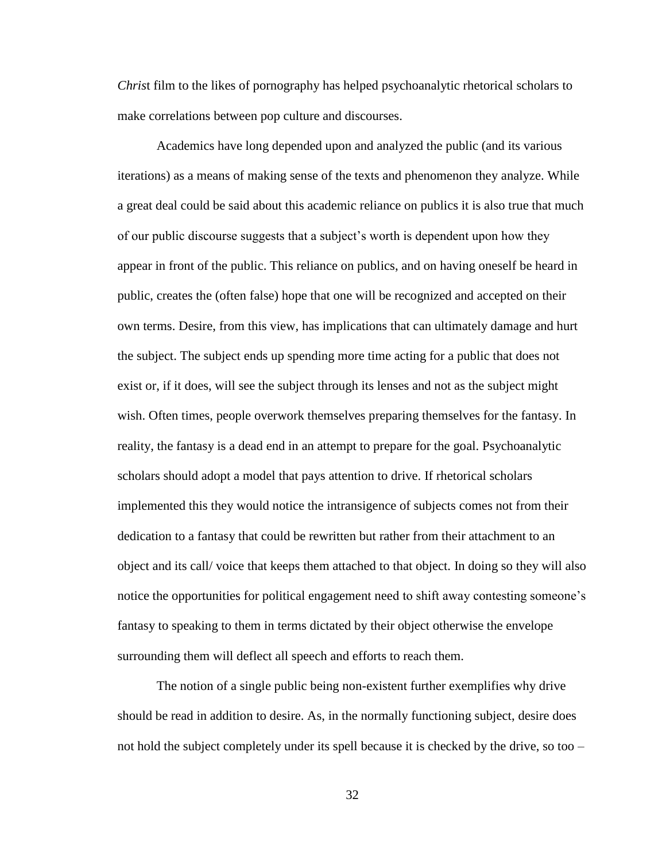*Chris*t film to the likes of pornography has helped psychoanalytic rhetorical scholars to make correlations between pop culture and discourses.

Academics have long depended upon and analyzed the public (and its various iterations) as a means of making sense of the texts and phenomenon they analyze. While a great deal could be said about this academic reliance on publics it is also true that much of our public discourse suggests that a subject's worth is dependent upon how they appear in front of the public. This reliance on publics, and on having oneself be heard in public, creates the (often false) hope that one will be recognized and accepted on their own terms. Desire, from this view, has implications that can ultimately damage and hurt the subject. The subject ends up spending more time acting for a public that does not exist or, if it does, will see the subject through its lenses and not as the subject might wish. Often times, people overwork themselves preparing themselves for the fantasy. In reality, the fantasy is a dead end in an attempt to prepare for the goal. Psychoanalytic scholars should adopt a model that pays attention to drive. If rhetorical scholars implemented this they would notice the intransigence of subjects comes not from their dedication to a fantasy that could be rewritten but rather from their attachment to an object and its call/ voice that keeps them attached to that object. In doing so they will also notice the opportunities for political engagement need to shift away contesting someone's fantasy to speaking to them in terms dictated by their object otherwise the envelope surrounding them will deflect all speech and efforts to reach them.

The notion of a single public being non-existent further exemplifies why drive should be read in addition to desire. As, in the normally functioning subject, desire does not hold the subject completely under its spell because it is checked by the drive, so too –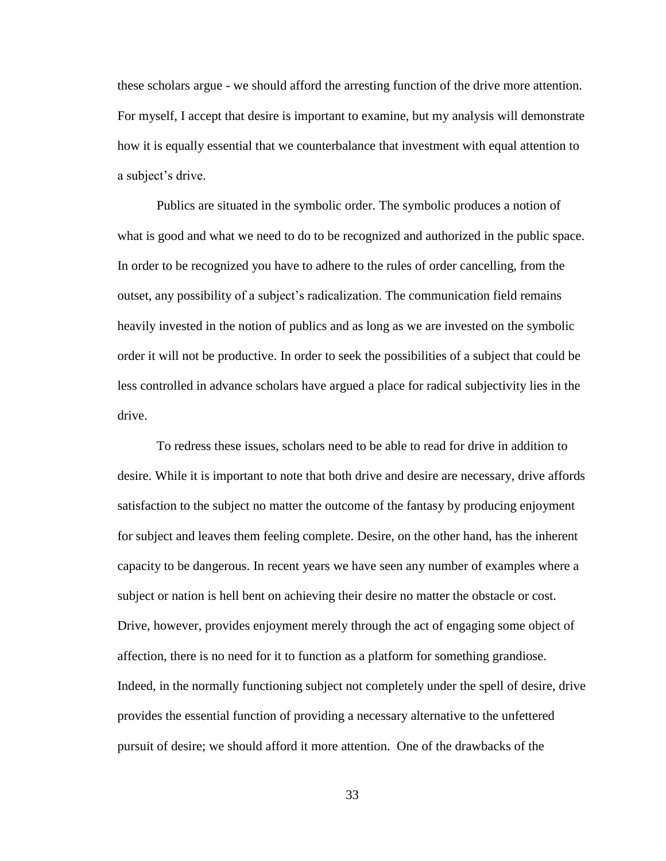these scholars argue - we should afford the arresting function of the drive more attention. For myself, I accept that desire is important to examine, but my analysis will demonstrate how it is equally essential that we counterbalance that investment with equal attention to a subject's drive.

Publics are situated in the symbolic order. The symbolic produces a notion of what is good and what we need to do to be recognized and authorized in the public space. In order to be recognized you have to adhere to the rules of order cancelling, from the outset, any possibility of a subject's radicalization. The communication field remains heavily invested in the notion of publics and as long as we are invested on the symbolic order it will not be productive. In order to seek the possibilities of a subject that could be less controlled in advance scholars have argued a place for radical subjectivity lies in the drive.

To redress these issues, scholars need to be able to read for drive in addition to desire. While it is important to note that both drive and desire are necessary, drive affords satisfaction to the subject no matter the outcome of the fantasy by producing enjoyment for subject and leaves them feeling complete. Desire, on the other hand, has the inherent capacity to be dangerous. In recent years we have seen any number of examples where a subject or nation is hell bent on achieving their desire no matter the obstacle or cost. Drive, however, provides enjoyment merely through the act of engaging some object of affection, there is no need for it to function as a platform for something grandiose. Indeed, in the normally functioning subject not completely under the spell of desire, drive provides the essential function of providing a necessary alternative to the unfettered pursuit of desire; we should afford it more attention. One of the drawbacks of the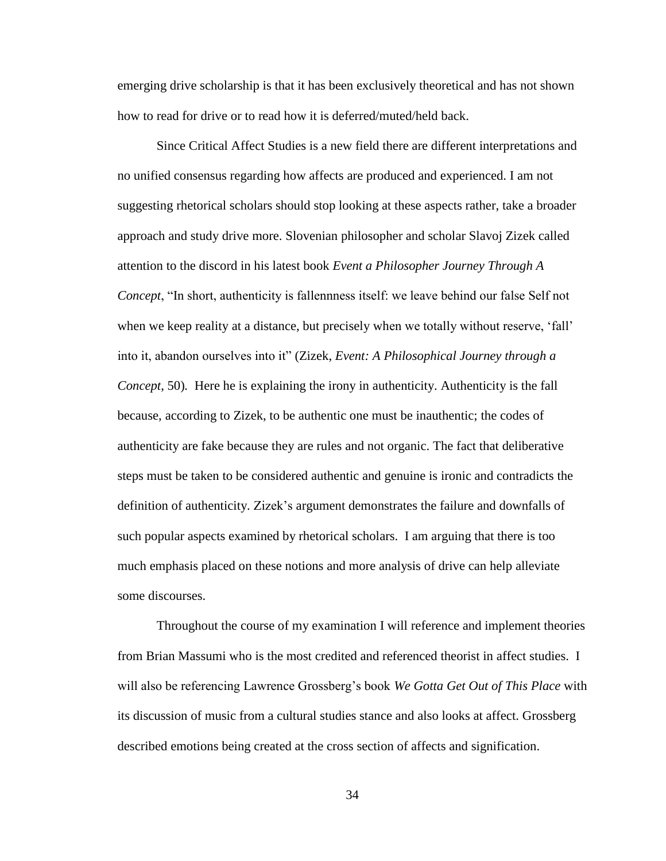emerging drive scholarship is that it has been exclusively theoretical and has not shown how to read for drive or to read how it is deferred/muted/held back.

Since Critical Affect Studies is a new field there are different interpretations and no unified consensus regarding how affects are produced and experienced. I am not suggesting rhetorical scholars should stop looking at these aspects rather, take a broader approach and study drive more. Slovenian philosopher and scholar Slavoj Zizek called attention to the discord in his latest book *Event a Philosopher Journey Through A Concept*, "In short, authenticity is fallennness itself: we leave behind our false Self not when we keep reality at a distance, but precisely when we totally without reserve, 'fall' into it, abandon ourselves into it" (Zizek, *Event: A Philosophical Journey through a Concept*, 50)*.* Here he is explaining the irony in authenticity. Authenticity is the fall because, according to Zizek, to be authentic one must be inauthentic; the codes of authenticity are fake because they are rules and not organic. The fact that deliberative steps must be taken to be considered authentic and genuine is ironic and contradicts the definition of authenticity. Zizek's argument demonstrates the failure and downfalls of such popular aspects examined by rhetorical scholars. I am arguing that there is too much emphasis placed on these notions and more analysis of drive can help alleviate some discourses.

Throughout the course of my examination I will reference and implement theories from Brian Massumi who is the most credited and referenced theorist in affect studies. I will also be referencing Lawrence Grossberg's book *We Gotta Get Out of This Place* with its discussion of music from a cultural studies stance and also looks at affect. Grossberg described emotions being created at the cross section of affects and signification.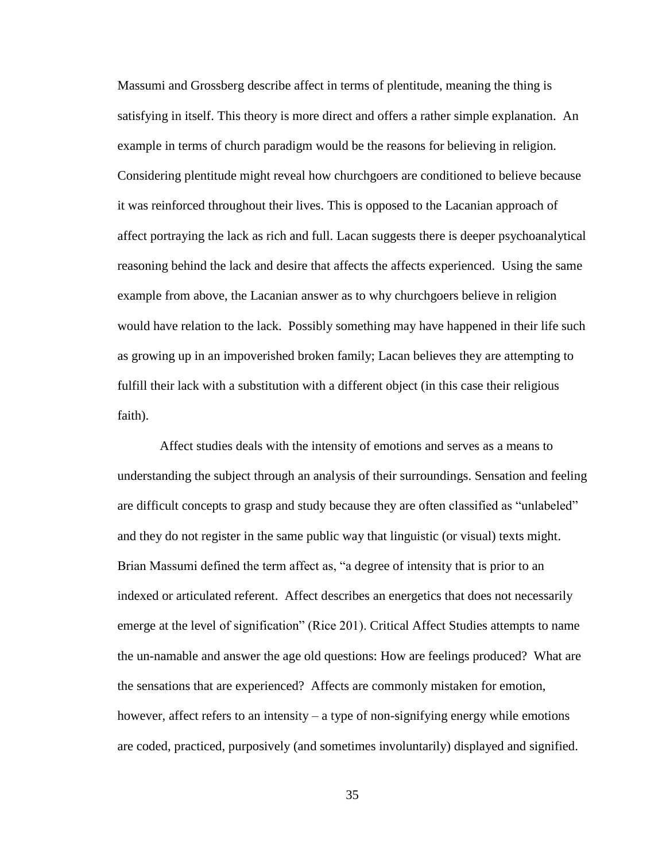Massumi and Grossberg describe affect in terms of plentitude, meaning the thing is satisfying in itself. This theory is more direct and offers a rather simple explanation. An example in terms of church paradigm would be the reasons for believing in religion. Considering plentitude might reveal how churchgoers are conditioned to believe because it was reinforced throughout their lives. This is opposed to the Lacanian approach of affect portraying the lack as rich and full. Lacan suggests there is deeper psychoanalytical reasoning behind the lack and desire that affects the affects experienced. Using the same example from above, the Lacanian answer as to why churchgoers believe in religion would have relation to the lack. Possibly something may have happened in their life such as growing up in an impoverished broken family; Lacan believes they are attempting to fulfill their lack with a substitution with a different object (in this case their religious faith).

Affect studies deals with the intensity of emotions and serves as a means to understanding the subject through an analysis of their surroundings. Sensation and feeling are difficult concepts to grasp and study because they are often classified as "unlabeled" and they do not register in the same public way that linguistic (or visual) texts might. Brian Massumi defined the term affect as, "a degree of intensity that is prior to an indexed or articulated referent. Affect describes an energetics that does not necessarily emerge at the level of signification" (Rice 201). Critical Affect Studies attempts to name the un-namable and answer the age old questions: How are feelings produced? What are the sensations that are experienced? Affects are commonly mistaken for emotion, however, affect refers to an intensity – a type of non-signifying energy while emotions are coded, practiced, purposively (and sometimes involuntarily) displayed and signified.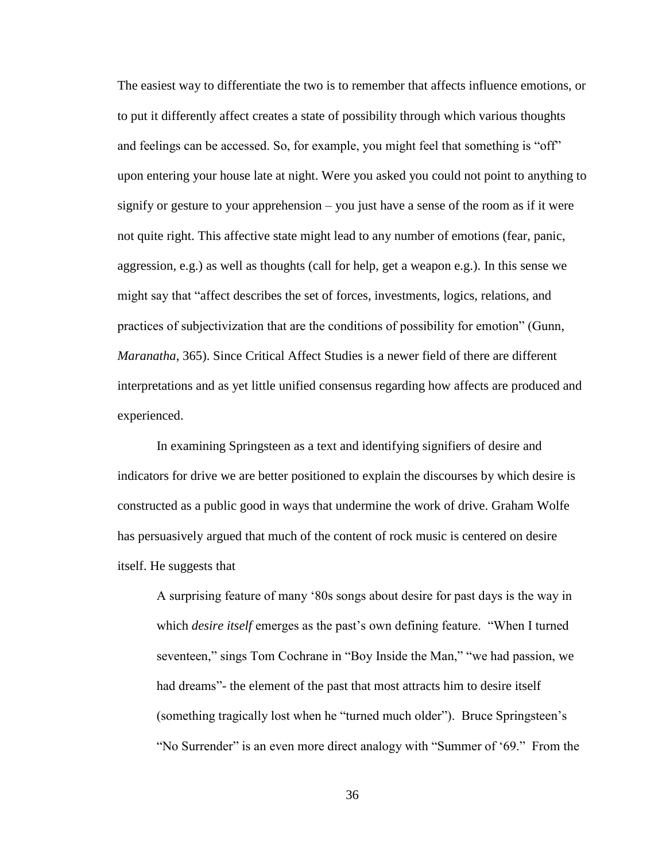The easiest way to differentiate the two is to remember that affects influence emotions, or to put it differently affect creates a state of possibility through which various thoughts and feelings can be accessed. So, for example, you might feel that something is "off" upon entering your house late at night. Were you asked you could not point to anything to signify or gesture to your apprehension – you just have a sense of the room as if it were not quite right. This affective state might lead to any number of emotions (fear, panic, aggression, e.g.) as well as thoughts (call for help, get a weapon e.g.). In this sense we might say that "affect describes the set of forces, investments, logics, relations, and practices of subjectivization that are the conditions of possibility for emotion" (Gunn, *Maranatha*, 365). Since Critical Affect Studies is a newer field of there are different interpretations and as yet little unified consensus regarding how affects are produced and experienced.

In examining Springsteen as a text and identifying signifiers of desire and indicators for drive we are better positioned to explain the discourses by which desire is constructed as a public good in ways that undermine the work of drive. Graham Wolfe has persuasively argued that much of the content of rock music is centered on desire itself. He suggests that

A surprising feature of many '80s songs about desire for past days is the way in which *desire itself* emerges as the past's own defining feature. "When I turned seventeen," sings Tom Cochrane in "Boy Inside the Man," "we had passion, we had dreams"- the element of the past that most attracts him to desire itself (something tragically lost when he "turned much older"). Bruce Springsteen's "No Surrender" is an even more direct analogy with "Summer of '69." From the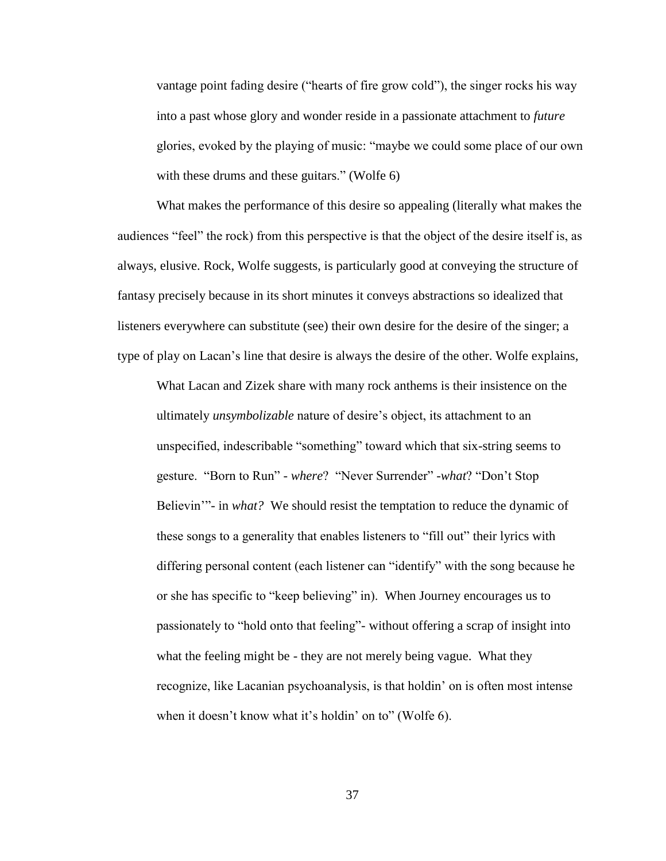vantage point fading desire ("hearts of fire grow cold"), the singer rocks his way into a past whose glory and wonder reside in a passionate attachment to *future* glories, evoked by the playing of music: "maybe we could some place of our own with these drums and these guitars." (Wolfe 6)

What makes the performance of this desire so appealing (literally what makes the audiences "feel" the rock) from this perspective is that the object of the desire itself is, as always, elusive. Rock, Wolfe suggests, is particularly good at conveying the structure of fantasy precisely because in its short minutes it conveys abstractions so idealized that listeners everywhere can substitute (see) their own desire for the desire of the singer; a type of play on Lacan's line that desire is always the desire of the other. Wolfe explains,

What Lacan and Zizek share with many rock anthems is their insistence on the ultimately *unsymbolizable* nature of desire's object, its attachment to an unspecified, indescribable "something" toward which that six-string seems to gesture. "Born to Run" - *where*? "Never Surrender" -*what*? "Don't Stop Believin'"- in *what?* We should resist the temptation to reduce the dynamic of these songs to a generality that enables listeners to "fill out" their lyrics with differing personal content (each listener can "identify" with the song because he or she has specific to "keep believing" in). When Journey encourages us to passionately to "hold onto that feeling"- without offering a scrap of insight into what the feeling might be - they are not merely being vague. What they recognize, like Lacanian psychoanalysis, is that holdin' on is often most intense when it doesn't know what it's holdin' on to" (Wolfe 6).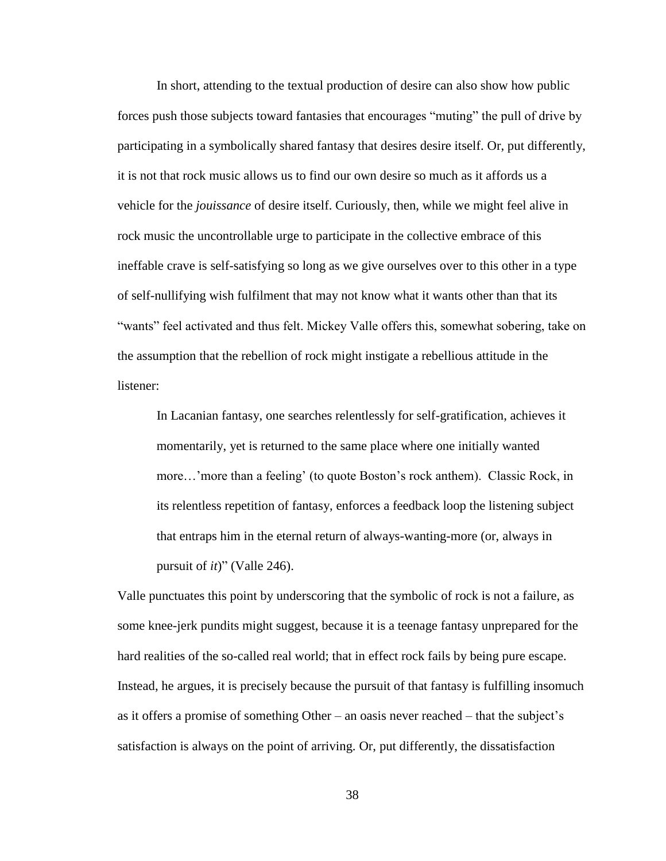In short, attending to the textual production of desire can also show how public forces push those subjects toward fantasies that encourages "muting" the pull of drive by participating in a symbolically shared fantasy that desires desire itself. Or, put differently, it is not that rock music allows us to find our own desire so much as it affords us a vehicle for the *jouissance* of desire itself. Curiously, then, while we might feel alive in rock music the uncontrollable urge to participate in the collective embrace of this ineffable crave is self-satisfying so long as we give ourselves over to this other in a type of self-nullifying wish fulfilment that may not know what it wants other than that its "wants" feel activated and thus felt. Mickey Valle offers this, somewhat sobering, take on the assumption that the rebellion of rock might instigate a rebellious attitude in the listener:

In Lacanian fantasy, one searches relentlessly for self-gratification, achieves it momentarily, yet is returned to the same place where one initially wanted more…'more than a feeling' (to quote Boston's rock anthem). Classic Rock, in its relentless repetition of fantasy, enforces a feedback loop the listening subject that entraps him in the eternal return of always-wanting-more (or, always in pursuit of *it*)" (Valle 246).

Valle punctuates this point by underscoring that the symbolic of rock is not a failure, as some knee-jerk pundits might suggest, because it is a teenage fantasy unprepared for the hard realities of the so-called real world; that in effect rock fails by being pure escape. Instead, he argues, it is precisely because the pursuit of that fantasy is fulfilling insomuch as it offers a promise of something Other – an oasis never reached – that the subject's satisfaction is always on the point of arriving. Or, put differently, the dissatisfaction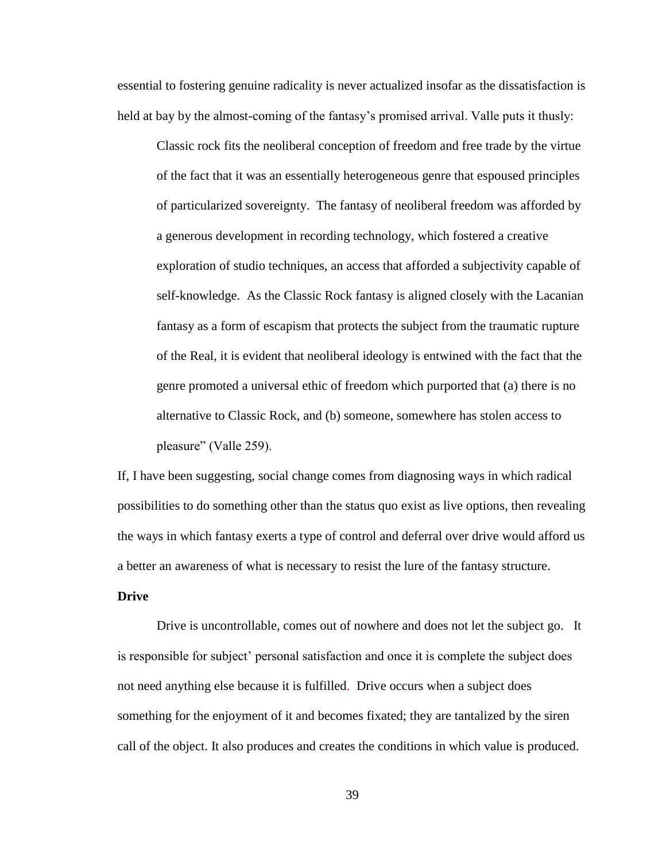essential to fostering genuine radicality is never actualized insofar as the dissatisfaction is held at bay by the almost-coming of the fantasy's promised arrival. Valle puts it thusly:

Classic rock fits the neoliberal conception of freedom and free trade by the virtue of the fact that it was an essentially heterogeneous genre that espoused principles of particularized sovereignty. The fantasy of neoliberal freedom was afforded by a generous development in recording technology, which fostered a creative exploration of studio techniques, an access that afforded a subjectivity capable of self-knowledge. As the Classic Rock fantasy is aligned closely with the Lacanian fantasy as a form of escapism that protects the subject from the traumatic rupture of the Real, it is evident that neoliberal ideology is entwined with the fact that the genre promoted a universal ethic of freedom which purported that (a) there is no alternative to Classic Rock, and (b) someone, somewhere has stolen access to pleasure" (Valle 259).

If, I have been suggesting, social change comes from diagnosing ways in which radical possibilities to do something other than the status quo exist as live options, then revealing the ways in which fantasy exerts a type of control and deferral over drive would afford us a better an awareness of what is necessary to resist the lure of the fantasy structure.

## **Drive**

Drive is uncontrollable, comes out of nowhere and does not let the subject go. It is responsible for subject' personal satisfaction and once it is complete the subject does not need anything else because it is fulfilled. Drive occurs when a subject does something for the enjoyment of it and becomes fixated; they are tantalized by the siren call of the object. It also produces and creates the conditions in which value is produced.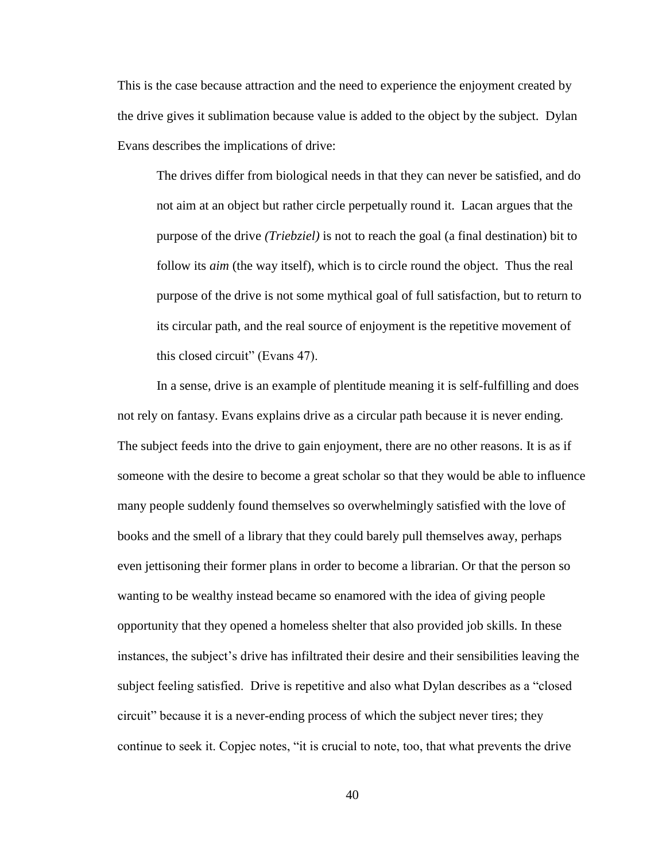This is the case because attraction and the need to experience the enjoyment created by the drive gives it sublimation because value is added to the object by the subject. Dylan Evans describes the implications of drive:

The drives differ from biological needs in that they can never be satisfied, and do not aim at an object but rather circle perpetually round it. Lacan argues that the purpose of the drive *(Triebziel)* is not to reach the goal (a final destination) bit to follow its *aim* (the way itself), which is to circle round the object. Thus the real purpose of the drive is not some mythical goal of full satisfaction, but to return to its circular path, and the real source of enjoyment is the repetitive movement of this closed circuit" (Evans 47).

In a sense, drive is an example of plentitude meaning it is self-fulfilling and does not rely on fantasy. Evans explains drive as a circular path because it is never ending. The subject feeds into the drive to gain enjoyment, there are no other reasons. It is as if someone with the desire to become a great scholar so that they would be able to influence many people suddenly found themselves so overwhelmingly satisfied with the love of books and the smell of a library that they could barely pull themselves away, perhaps even jettisoning their former plans in order to become a librarian. Or that the person so wanting to be wealthy instead became so enamored with the idea of giving people opportunity that they opened a homeless shelter that also provided job skills. In these instances, the subject's drive has infiltrated their desire and their sensibilities leaving the subject feeling satisfied. Drive is repetitive and also what Dylan describes as a "closed circuit" because it is a never-ending process of which the subject never tires; they continue to seek it. Copjec notes, "it is crucial to note, too, that what prevents the drive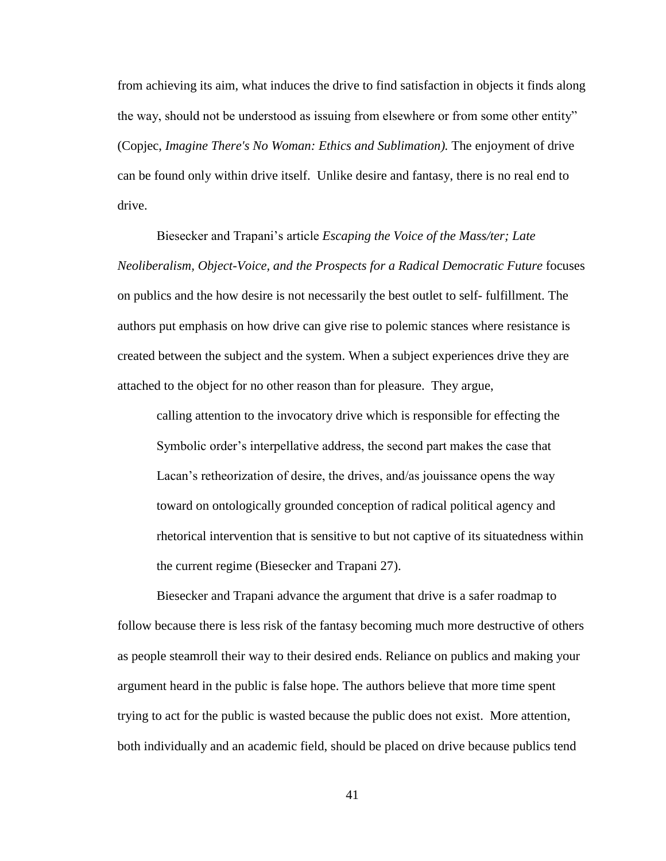from achieving its aim, what induces the drive to find satisfaction in objects it finds along the way, should not be understood as issuing from elsewhere or from some other entity" (Copjec, *Imagine There's No Woman: Ethics and Sublimation).* The enjoyment of drive can be found only within drive itself. Unlike desire and fantasy, there is no real end to drive.

Biesecker and Trapani's article *Escaping the Voice of the Mass/ter; Late Neoliberalism, Object-Voice, and the Prospects for a Radical Democratic Future focuses* on publics and the how desire is not necessarily the best outlet to self- fulfillment. The authors put emphasis on how drive can give rise to polemic stances where resistance is created between the subject and the system. When a subject experiences drive they are attached to the object for no other reason than for pleasure. They argue,

calling attention to the invocatory drive which is responsible for effecting the Symbolic order's interpellative address, the second part makes the case that Lacan's retheorization of desire, the drives, and/as jouissance opens the way toward on ontologically grounded conception of radical political agency and rhetorical intervention that is sensitive to but not captive of its situatedness within the current regime (Biesecker and Trapani 27).

Biesecker and Trapani advance the argument that drive is a safer roadmap to follow because there is less risk of the fantasy becoming much more destructive of others as people steamroll their way to their desired ends. Reliance on publics and making your argument heard in the public is false hope. The authors believe that more time spent trying to act for the public is wasted because the public does not exist. More attention, both individually and an academic field, should be placed on drive because publics tend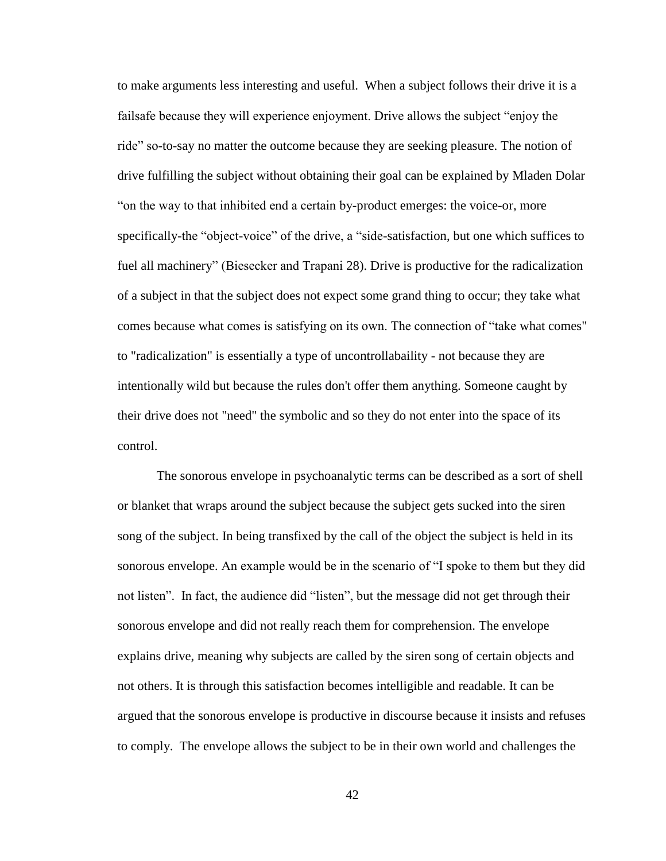to make arguments less interesting and useful. When a subject follows their drive it is a failsafe because they will experience enjoyment. Drive allows the subject "enjoy the ride" so-to-say no matter the outcome because they are seeking pleasure. The notion of drive fulfilling the subject without obtaining their goal can be explained by Mladen Dolar "on the way to that inhibited end a certain by-product emerges: the voice-or, more specifically-the "object-voice" of the drive, a "side-satisfaction, but one which suffices to fuel all machinery" (Biesecker and Trapani 28). Drive is productive for the radicalization of a subject in that the subject does not expect some grand thing to occur; they take what comes because what comes is satisfying on its own. The connection of "take what comes" to "radicalization" is essentially a type of uncontrollabaility - not because they are intentionally wild but because the rules don't offer them anything. Someone caught by their drive does not "need" the symbolic and so they do not enter into the space of its control.

The sonorous envelope in psychoanalytic terms can be described as a sort of shell or blanket that wraps around the subject because the subject gets sucked into the siren song of the subject. In being transfixed by the call of the object the subject is held in its sonorous envelope. An example would be in the scenario of "I spoke to them but they did not listen". In fact, the audience did "listen", but the message did not get through their sonorous envelope and did not really reach them for comprehension. The envelope explains drive, meaning why subjects are called by the siren song of certain objects and not others. It is through this satisfaction becomes intelligible and readable. It can be argued that the sonorous envelope is productive in discourse because it insists and refuses to comply. The envelope allows the subject to be in their own world and challenges the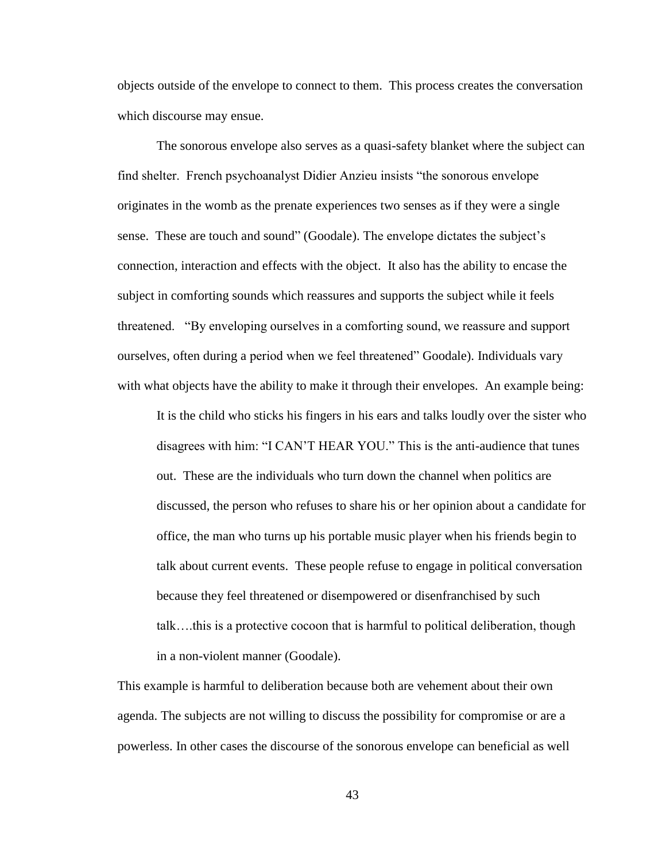objects outside of the envelope to connect to them. This process creates the conversation which discourse may ensue.

The sonorous envelope also serves as a quasi-safety blanket where the subject can find shelter. French psychoanalyst Didier Anzieu insists "the sonorous envelope originates in the womb as the prenate experiences two senses as if they were a single sense. These are touch and sound" (Goodale). The envelope dictates the subject's connection, interaction and effects with the object. It also has the ability to encase the subject in comforting sounds which reassures and supports the subject while it feels threatened. "By enveloping ourselves in a comforting sound, we reassure and support ourselves, often during a period when we feel threatened" Goodale). Individuals vary with what objects have the ability to make it through their envelopes. An example being:

It is the child who sticks his fingers in his ears and talks loudly over the sister who disagrees with him: "I CAN'T HEAR YOU." This is the anti-audience that tunes out. These are the individuals who turn down the channel when politics are discussed, the person who refuses to share his or her opinion about a candidate for office, the man who turns up his portable music player when his friends begin to talk about current events. These people refuse to engage in political conversation because they feel threatened or disempowered or disenfranchised by such talk….this is a protective cocoon that is harmful to political deliberation, though in a non-violent manner (Goodale).

This example is harmful to deliberation because both are vehement about their own agenda. The subjects are not willing to discuss the possibility for compromise or are a powerless. In other cases the discourse of the sonorous envelope can beneficial as well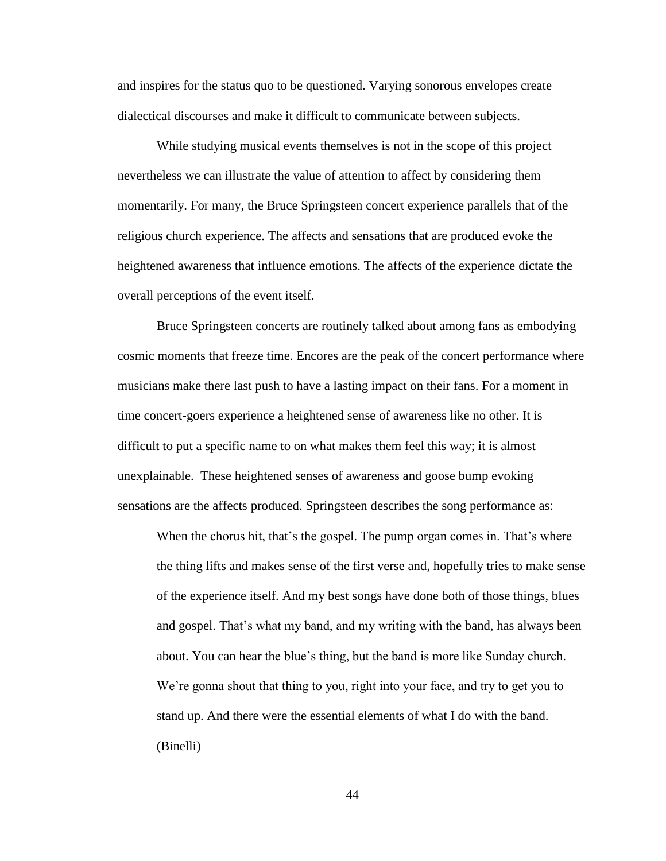and inspires for the status quo to be questioned. Varying sonorous envelopes create dialectical discourses and make it difficult to communicate between subjects.

While studying musical events themselves is not in the scope of this project nevertheless we can illustrate the value of attention to affect by considering them momentarily. For many, the Bruce Springsteen concert experience parallels that of the religious church experience. The affects and sensations that are produced evoke the heightened awareness that influence emotions. The affects of the experience dictate the overall perceptions of the event itself.

Bruce Springsteen concerts are routinely talked about among fans as embodying cosmic moments that freeze time. Encores are the peak of the concert performance where musicians make there last push to have a lasting impact on their fans. For a moment in time concert-goers experience a heightened sense of awareness like no other. It is difficult to put a specific name to on what makes them feel this way; it is almost unexplainable. These heightened senses of awareness and goose bump evoking sensations are the affects produced. Springsteen describes the song performance as:

When the chorus hit, that's the gospel. The pump organ comes in. That's where the thing lifts and makes sense of the first verse and, hopefully tries to make sense of the experience itself. And my best songs have done both of those things, blues and gospel. That's what my band, and my writing with the band, has always been about. You can hear the blue's thing, but the band is more like Sunday church. We're gonna shout that thing to you, right into your face, and try to get you to stand up. And there were the essential elements of what I do with the band. (Binelli)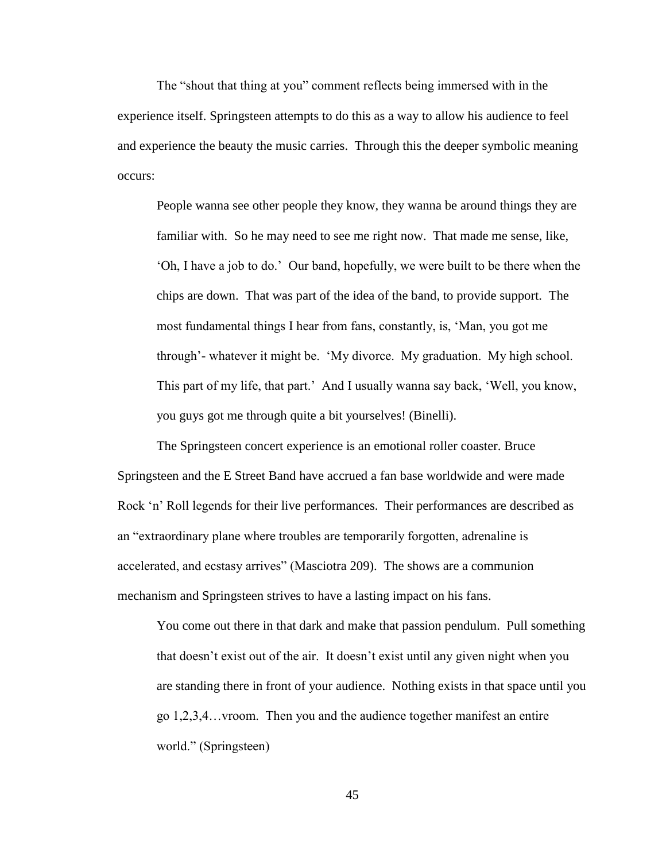The "shout that thing at you" comment reflects being immersed with in the experience itself. Springsteen attempts to do this as a way to allow his audience to feel and experience the beauty the music carries. Through this the deeper symbolic meaning occurs:

People wanna see other people they know, they wanna be around things they are familiar with. So he may need to see me right now. That made me sense, like, 'Oh, I have a job to do.' Our band, hopefully, we were built to be there when the chips are down. That was part of the idea of the band, to provide support. The most fundamental things I hear from fans, constantly, is, 'Man, you got me through'- whatever it might be. 'My divorce. My graduation. My high school. This part of my life, that part.' And I usually wanna say back, 'Well, you know, you guys got me through quite a bit yourselves! (Binelli).

The Springsteen concert experience is an emotional roller coaster. Bruce Springsteen and the E Street Band have accrued a fan base worldwide and were made Rock 'n' Roll legends for their live performances. Their performances are described as an "extraordinary plane where troubles are temporarily forgotten, adrenaline is accelerated, and ecstasy arrives" (Masciotra 209). The shows are a communion mechanism and Springsteen strives to have a lasting impact on his fans.

You come out there in that dark and make that passion pendulum. Pull something that doesn't exist out of the air. It doesn't exist until any given night when you are standing there in front of your audience. Nothing exists in that space until you go 1,2,3,4…vroom. Then you and the audience together manifest an entire world." (Springsteen)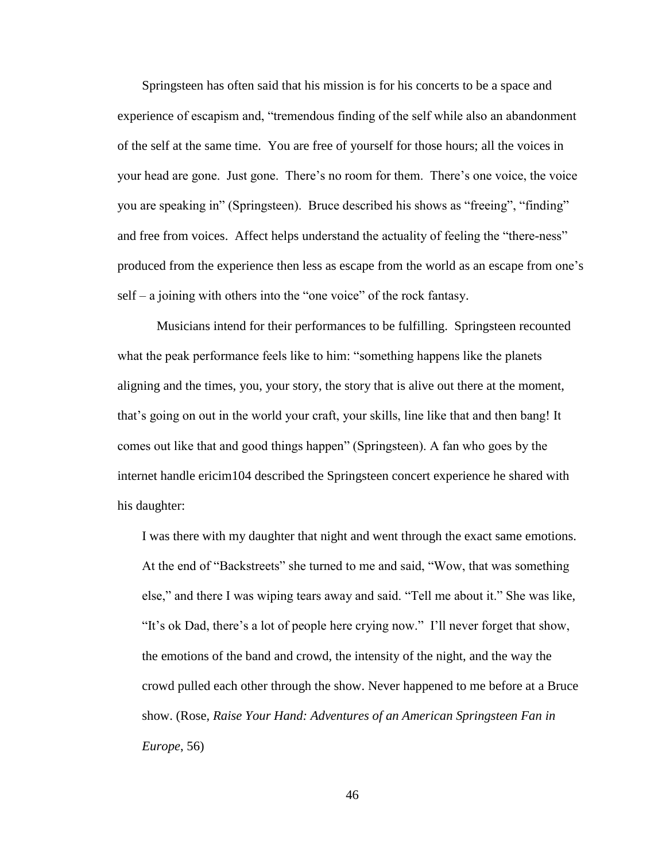Springsteen has often said that his mission is for his concerts to be a space and experience of escapism and, "tremendous finding of the self while also an abandonment of the self at the same time. You are free of yourself for those hours; all the voices in your head are gone. Just gone. There's no room for them. There's one voice, the voice you are speaking in" (Springsteen). Bruce described his shows as "freeing", "finding" and free from voices. Affect helps understand the actuality of feeling the "there-ness" produced from the experience then less as escape from the world as an escape from one's self – a joining with others into the "one voice" of the rock fantasy.

Musicians intend for their performances to be fulfilling. Springsteen recounted what the peak performance feels like to him: "something happens like the planets aligning and the times, you, your story, the story that is alive out there at the moment, that's going on out in the world your craft, your skills, line like that and then bang! It comes out like that and good things happen" (Springsteen). A fan who goes by the internet handle ericim104 described the Springsteen concert experience he shared with his daughter:

I was there with my daughter that night and went through the exact same emotions. At the end of "Backstreets" she turned to me and said, "Wow, that was something else," and there I was wiping tears away and said. "Tell me about it." She was like, "It's ok Dad, there's a lot of people here crying now." I'll never forget that show, the emotions of the band and crowd, the intensity of the night, and the way the crowd pulled each other through the show. Never happened to me before at a Bruce show. (Rose, *Raise Your Hand: Adventures of an American Springsteen Fan in Europe*, 56)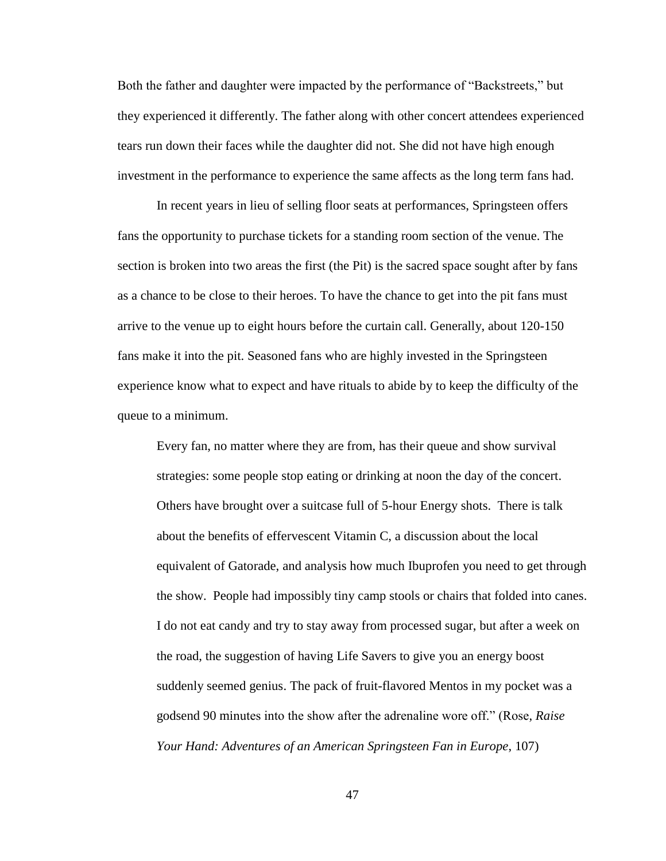Both the father and daughter were impacted by the performance of "Backstreets," but they experienced it differently. The father along with other concert attendees experienced tears run down their faces while the daughter did not. She did not have high enough investment in the performance to experience the same affects as the long term fans had.

In recent years in lieu of selling floor seats at performances, Springsteen offers fans the opportunity to purchase tickets for a standing room section of the venue. The section is broken into two areas the first (the Pit) is the sacred space sought after by fans as a chance to be close to their heroes. To have the chance to get into the pit fans must arrive to the venue up to eight hours before the curtain call. Generally, about 120-150 fans make it into the pit. Seasoned fans who are highly invested in the Springsteen experience know what to expect and have rituals to abide by to keep the difficulty of the queue to a minimum.

Every fan, no matter where they are from, has their queue and show survival strategies: some people stop eating or drinking at noon the day of the concert. Others have brought over a suitcase full of 5-hour Energy shots. There is talk about the benefits of effervescent Vitamin C, a discussion about the local equivalent of Gatorade, and analysis how much Ibuprofen you need to get through the show. People had impossibly tiny camp stools or chairs that folded into canes. I do not eat candy and try to stay away from processed sugar, but after a week on the road, the suggestion of having Life Savers to give you an energy boost suddenly seemed genius. The pack of fruit-flavored Mentos in my pocket was a godsend 90 minutes into the show after the adrenaline wore off." (Rose, *Raise Your Hand: Adventures of an American Springsteen Fan in Europe*, 107)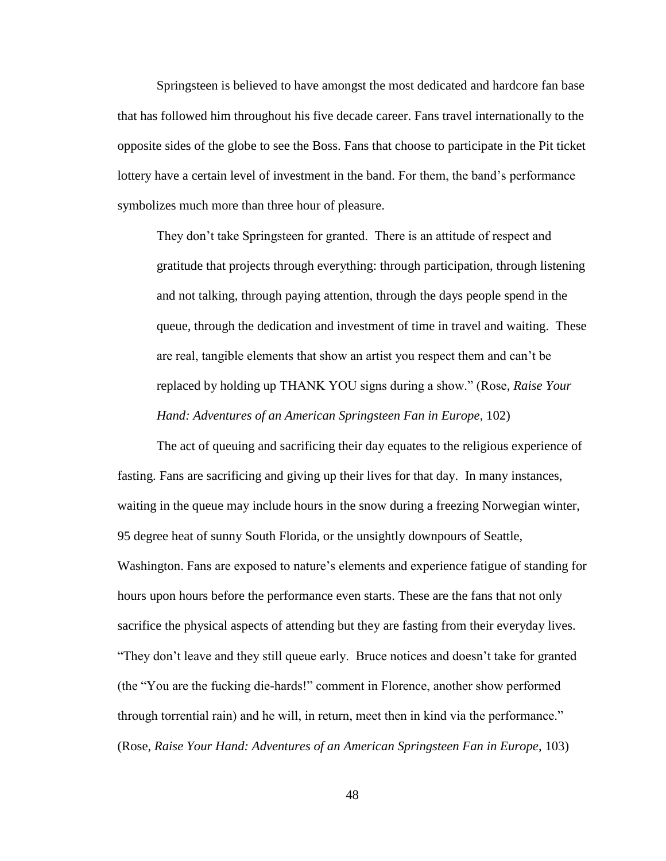Springsteen is believed to have amongst the most dedicated and hardcore fan base that has followed him throughout his five decade career. Fans travel internationally to the opposite sides of the globe to see the Boss. Fans that choose to participate in the Pit ticket lottery have a certain level of investment in the band. For them, the band's performance symbolizes much more than three hour of pleasure.

They don't take Springsteen for granted. There is an attitude of respect and gratitude that projects through everything: through participation, through listening and not talking, through paying attention, through the days people spend in the queue, through the dedication and investment of time in travel and waiting. These are real, tangible elements that show an artist you respect them and can't be replaced by holding up THANK YOU signs during a show." (Rose, *Raise Your Hand: Adventures of an American Springsteen Fan in Europe*, 102)

The act of queuing and sacrificing their day equates to the religious experience of fasting. Fans are sacrificing and giving up their lives for that day. In many instances, waiting in the queue may include hours in the snow during a freezing Norwegian winter, 95 degree heat of sunny South Florida, or the unsightly downpours of Seattle, Washington. Fans are exposed to nature's elements and experience fatigue of standing for hours upon hours before the performance even starts. These are the fans that not only sacrifice the physical aspects of attending but they are fasting from their everyday lives. "They don't leave and they still queue early. Bruce notices and doesn't take for granted (the "You are the fucking die-hards!" comment in Florence, another show performed through torrential rain) and he will, in return, meet then in kind via the performance." (Rose, *Raise Your Hand: Adventures of an American Springsteen Fan in Europe*, 103)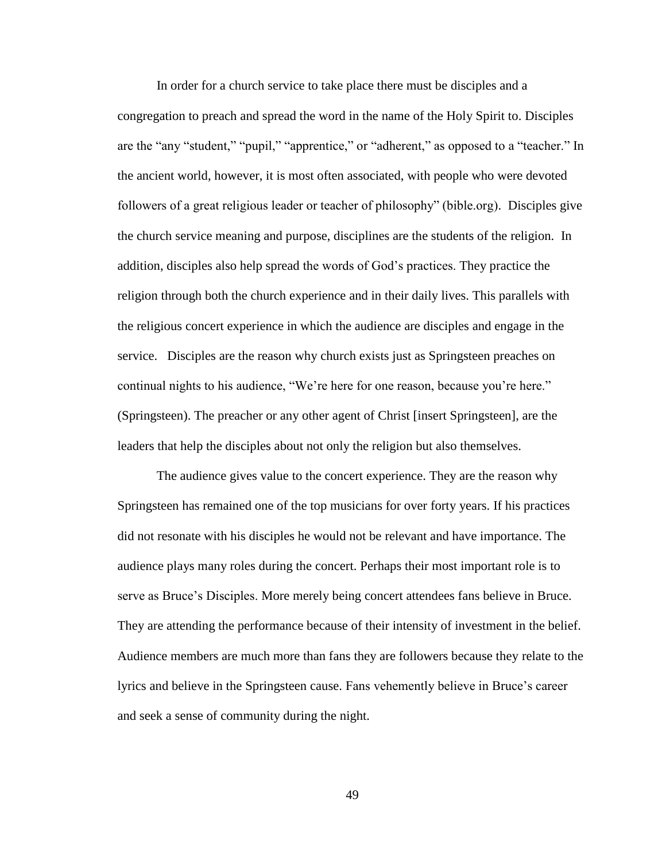In order for a church service to take place there must be disciples and a congregation to preach and spread the word in the name of the Holy Spirit to. Disciples are the "any "student," "pupil," "apprentice," or "adherent," as opposed to a "teacher." In the ancient world, however, it is most often associated, with people who were devoted followers of a great religious leader or teacher of philosophy" (bible.org). Disciples give the church service meaning and purpose, disciplines are the students of the religion. In addition, disciples also help spread the words of God's practices. They practice the religion through both the church experience and in their daily lives. This parallels with the religious concert experience in which the audience are disciples and engage in the service. Disciples are the reason why church exists just as Springsteen preaches on continual nights to his audience, "We're here for one reason, because you're here." (Springsteen). The preacher or any other agent of Christ [insert Springsteen], are the leaders that help the disciples about not only the religion but also themselves.

The audience gives value to the concert experience. They are the reason why Springsteen has remained one of the top musicians for over forty years. If his practices did not resonate with his disciples he would not be relevant and have importance. The audience plays many roles during the concert. Perhaps their most important role is to serve as Bruce's Disciples. More merely being concert attendees fans believe in Bruce. They are attending the performance because of their intensity of investment in the belief. Audience members are much more than fans they are followers because they relate to the lyrics and believe in the Springsteen cause. Fans vehemently believe in Bruce's career and seek a sense of community during the night.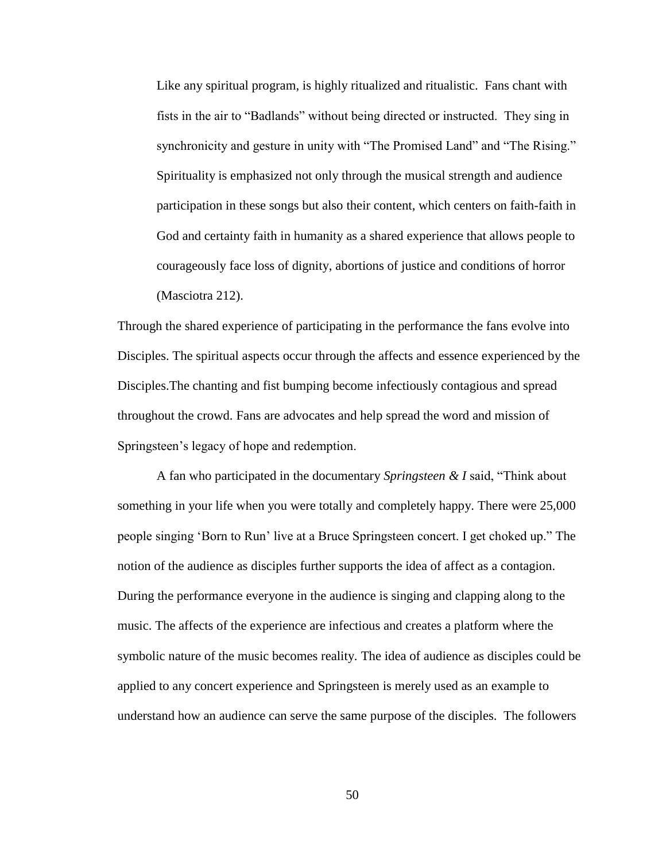Like any spiritual program, is highly ritualized and ritualistic. Fans chant with fists in the air to "Badlands" without being directed or instructed. They sing in synchronicity and gesture in unity with "The Promised Land" and "The Rising." Spirituality is emphasized not only through the musical strength and audience participation in these songs but also their content, which centers on faith-faith in God and certainty faith in humanity as a shared experience that allows people to courageously face loss of dignity, abortions of justice and conditions of horror (Masciotra 212).

Through the shared experience of participating in the performance the fans evolve into Disciples. The spiritual aspects occur through the affects and essence experienced by the Disciples.The chanting and fist bumping become infectiously contagious and spread throughout the crowd. Fans are advocates and help spread the word and mission of Springsteen's legacy of hope and redemption.

A fan who participated in the documentary *Springsteen & I* said, "Think about something in your life when you were totally and completely happy. There were 25,000 people singing 'Born to Run' live at a Bruce Springsteen concert. I get choked up." The notion of the audience as disciples further supports the idea of affect as a contagion. During the performance everyone in the audience is singing and clapping along to the music. The affects of the experience are infectious and creates a platform where the symbolic nature of the music becomes reality. The idea of audience as disciples could be applied to any concert experience and Springsteen is merely used as an example to understand how an audience can serve the same purpose of the disciples. The followers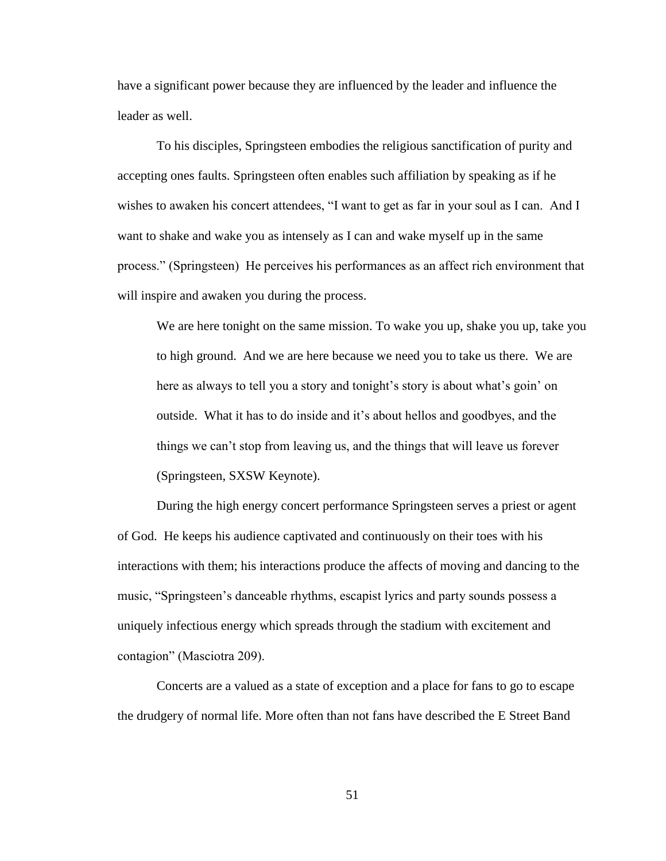have a significant power because they are influenced by the leader and influence the leader as well.

To his disciples, Springsteen embodies the religious sanctification of purity and accepting ones faults. Springsteen often enables such affiliation by speaking as if he wishes to awaken his concert attendees, "I want to get as far in your soul as I can. And I want to shake and wake you as intensely as I can and wake myself up in the same process." (Springsteen) He perceives his performances as an affect rich environment that will inspire and awaken you during the process.

We are here tonight on the same mission. To wake you up, shake you up, take you to high ground. And we are here because we need you to take us there. We are here as always to tell you a story and tonight's story is about what's goin' on outside. What it has to do inside and it's about hellos and goodbyes, and the things we can't stop from leaving us, and the things that will leave us forever (Springsteen, SXSW Keynote).

During the high energy concert performance Springsteen serves a priest or agent of God. He keeps his audience captivated and continuously on their toes with his interactions with them; his interactions produce the affects of moving and dancing to the music, "Springsteen's danceable rhythms, escapist lyrics and party sounds possess a uniquely infectious energy which spreads through the stadium with excitement and contagion" (Masciotra 209).

Concerts are a valued as a state of exception and a place for fans to go to escape the drudgery of normal life. More often than not fans have described the E Street Band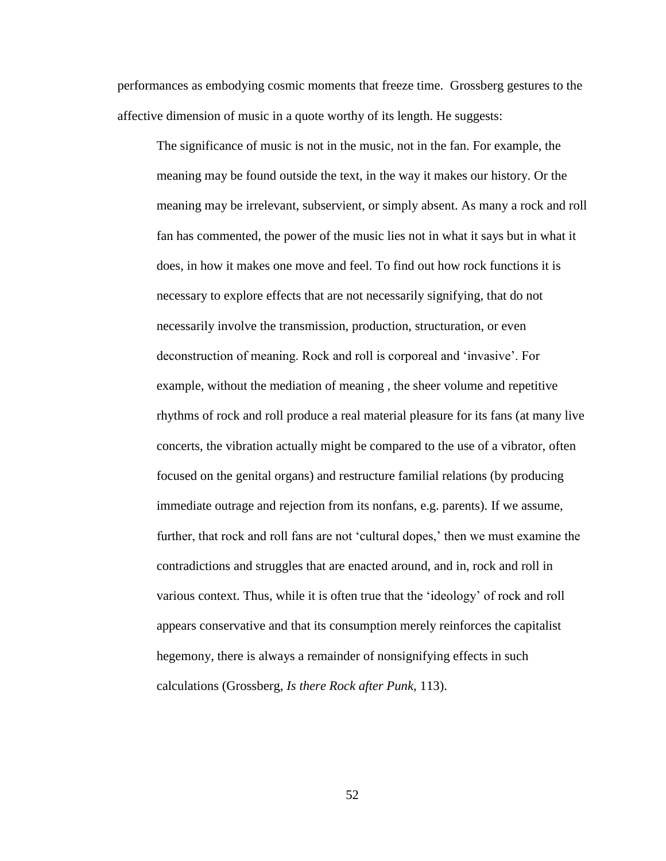performances as embodying cosmic moments that freeze time. Grossberg gestures to the affective dimension of music in a quote worthy of its length. He suggests:

The significance of music is not in the music, not in the fan. For example, the meaning may be found outside the text, in the way it makes our history. Or the meaning may be irrelevant, subservient, or simply absent. As many a rock and roll fan has commented, the power of the music lies not in what it says but in what it does, in how it makes one move and feel. To find out how rock functions it is necessary to explore effects that are not necessarily signifying, that do not necessarily involve the transmission, production, structuration, or even deconstruction of meaning. Rock and roll is corporeal and 'invasive'. For example, without the mediation of meaning , the sheer volume and repetitive rhythms of rock and roll produce a real material pleasure for its fans (at many live concerts, the vibration actually might be compared to the use of a vibrator, often focused on the genital organs) and restructure familial relations (by producing immediate outrage and rejection from its nonfans, e.g. parents). If we assume, further, that rock and roll fans are not 'cultural dopes,' then we must examine the contradictions and struggles that are enacted around, and in, rock and roll in various context. Thus, while it is often true that the 'ideology' of rock and roll appears conservative and that its consumption merely reinforces the capitalist hegemony, there is always a remainder of nonsignifying effects in such calculations (Grossberg, *Is there Rock after Punk*, 113).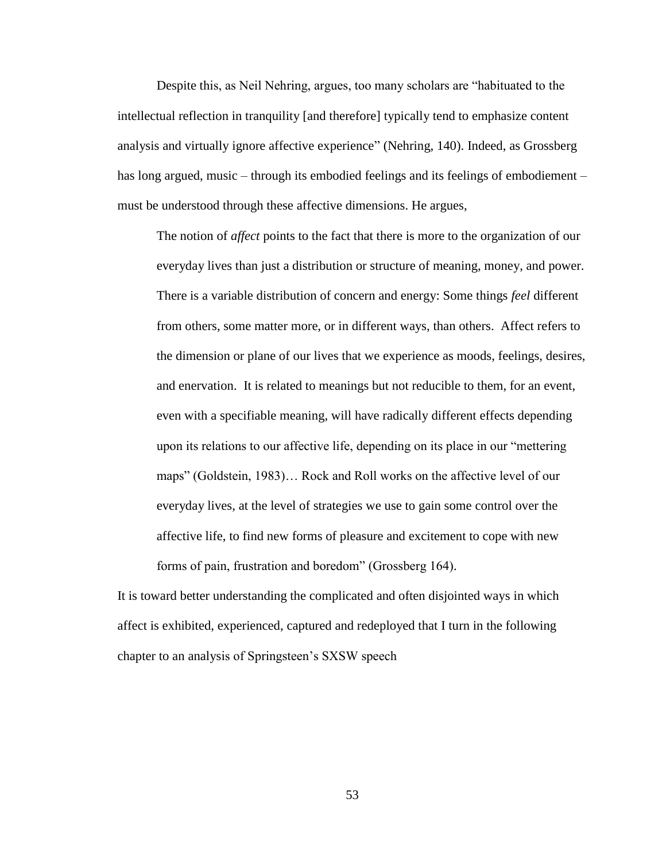Despite this, as Neil Nehring, argues, too many scholars are "habituated to the intellectual reflection in tranquility [and therefore] typically tend to emphasize content analysis and virtually ignore affective experience" (Nehring, 140). Indeed, as Grossberg has long argued, music – through its embodied feelings and its feelings of embodiement – must be understood through these affective dimensions. He argues,

The notion of *affect* points to the fact that there is more to the organization of our everyday lives than just a distribution or structure of meaning, money, and power. There is a variable distribution of concern and energy: Some things *feel* different from others, some matter more, or in different ways, than others. Affect refers to the dimension or plane of our lives that we experience as moods, feelings, desires, and enervation. It is related to meanings but not reducible to them, for an event, even with a specifiable meaning, will have radically different effects depending upon its relations to our affective life, depending on its place in our "mettering maps" (Goldstein, 1983)… Rock and Roll works on the affective level of our everyday lives, at the level of strategies we use to gain some control over the affective life, to find new forms of pleasure and excitement to cope with new forms of pain, frustration and boredom" (Grossberg 164).

It is toward better understanding the complicated and often disjointed ways in which affect is exhibited, experienced, captured and redeployed that I turn in the following chapter to an analysis of Springsteen's SXSW speech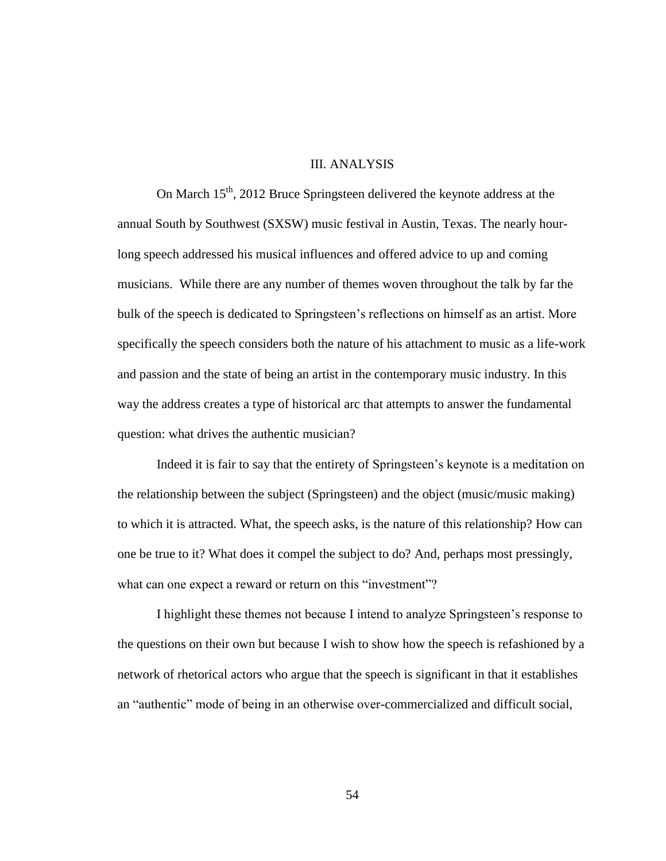## III. ANALYSIS

On March  $15<sup>th</sup>$ , 2012 Bruce Springsteen delivered the keynote address at the annual South by Southwest (SXSW) music festival in Austin, Texas. The nearly hourlong speech addressed his musical influences and offered advice to up and coming musicians. While there are any number of themes woven throughout the talk by far the bulk of the speech is dedicated to Springsteen's reflections on himself as an artist. More specifically the speech considers both the nature of his attachment to music as a life-work and passion and the state of being an artist in the contemporary music industry. In this way the address creates a type of historical arc that attempts to answer the fundamental question: what drives the authentic musician?

Indeed it is fair to say that the entirety of Springsteen's keynote is a meditation on the relationship between the subject (Springsteen) and the object (music/music making) to which it is attracted. What, the speech asks, is the nature of this relationship? How can one be true to it? What does it compel the subject to do? And, perhaps most pressingly, what can one expect a reward or return on this "investment"?

I highlight these themes not because I intend to analyze Springsteen's response to the questions on their own but because I wish to show how the speech is refashioned by a network of rhetorical actors who argue that the speech is significant in that it establishes an "authentic" mode of being in an otherwise over-commercialized and difficult social,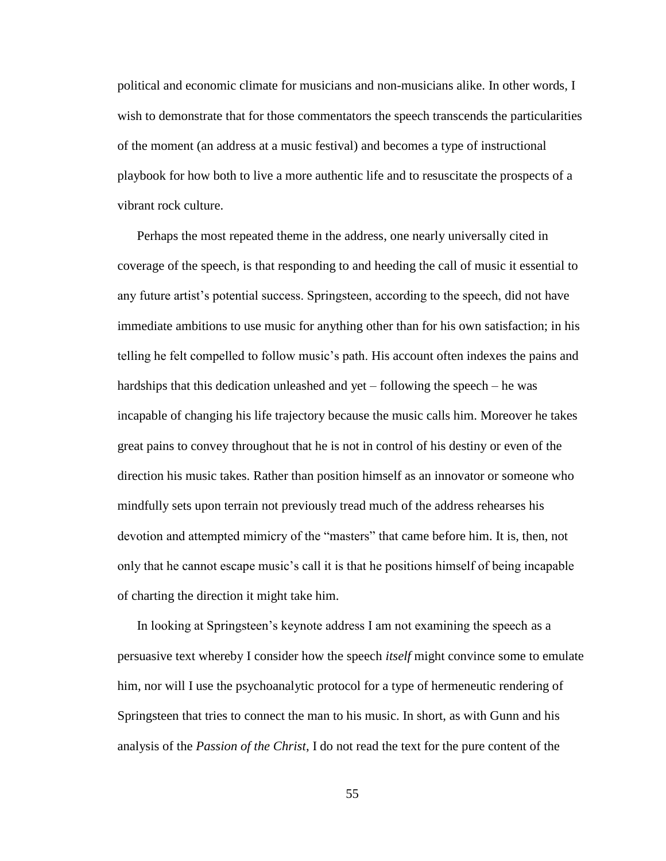political and economic climate for musicians and non-musicians alike. In other words, I wish to demonstrate that for those commentators the speech transcends the particularities of the moment (an address at a music festival) and becomes a type of instructional playbook for how both to live a more authentic life and to resuscitate the prospects of a vibrant rock culture.

Perhaps the most repeated theme in the address, one nearly universally cited in coverage of the speech, is that responding to and heeding the call of music it essential to any future artist's potential success. Springsteen, according to the speech, did not have immediate ambitions to use music for anything other than for his own satisfaction; in his telling he felt compelled to follow music's path. His account often indexes the pains and hardships that this dedication unleashed and yet – following the speech – he was incapable of changing his life trajectory because the music calls him. Moreover he takes great pains to convey throughout that he is not in control of his destiny or even of the direction his music takes. Rather than position himself as an innovator or someone who mindfully sets upon terrain not previously tread much of the address rehearses his devotion and attempted mimicry of the "masters" that came before him. It is, then, not only that he cannot escape music's call it is that he positions himself of being incapable of charting the direction it might take him.

In looking at Springsteen's keynote address I am not examining the speech as a persuasive text whereby I consider how the speech *itself* might convince some to emulate him, nor will I use the psychoanalytic protocol for a type of hermeneutic rendering of Springsteen that tries to connect the man to his music. In short, as with Gunn and his analysis of the *Passion of the Christ*, I do not read the text for the pure content of the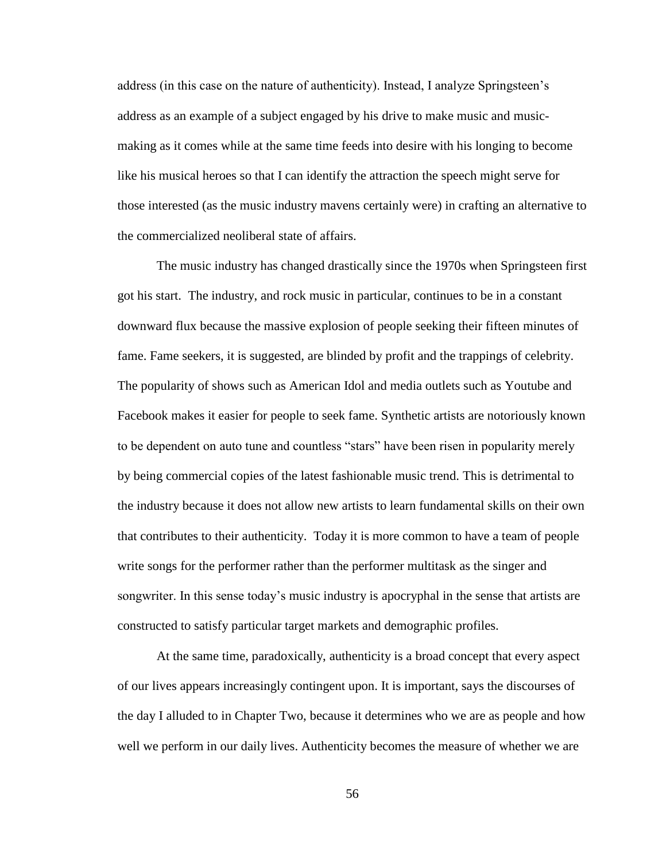address (in this case on the nature of authenticity). Instead, I analyze Springsteen's address as an example of a subject engaged by his drive to make music and musicmaking as it comes while at the same time feeds into desire with his longing to become like his musical heroes so that I can identify the attraction the speech might serve for those interested (as the music industry mavens certainly were) in crafting an alternative to the commercialized neoliberal state of affairs.

The music industry has changed drastically since the 1970s when Springsteen first got his start. The industry, and rock music in particular, continues to be in a constant downward flux because the massive explosion of people seeking their fifteen minutes of fame. Fame seekers, it is suggested, are blinded by profit and the trappings of celebrity. The popularity of shows such as American Idol and media outlets such as Youtube and Facebook makes it easier for people to seek fame. Synthetic artists are notoriously known to be dependent on auto tune and countless "stars" have been risen in popularity merely by being commercial copies of the latest fashionable music trend. This is detrimental to the industry because it does not allow new artists to learn fundamental skills on their own that contributes to their authenticity. Today it is more common to have a team of people write songs for the performer rather than the performer multitask as the singer and songwriter. In this sense today's music industry is apocryphal in the sense that artists are constructed to satisfy particular target markets and demographic profiles.

At the same time, paradoxically, authenticity is a broad concept that every aspect of our lives appears increasingly contingent upon. It is important, says the discourses of the day I alluded to in Chapter Two, because it determines who we are as people and how well we perform in our daily lives. Authenticity becomes the measure of whether we are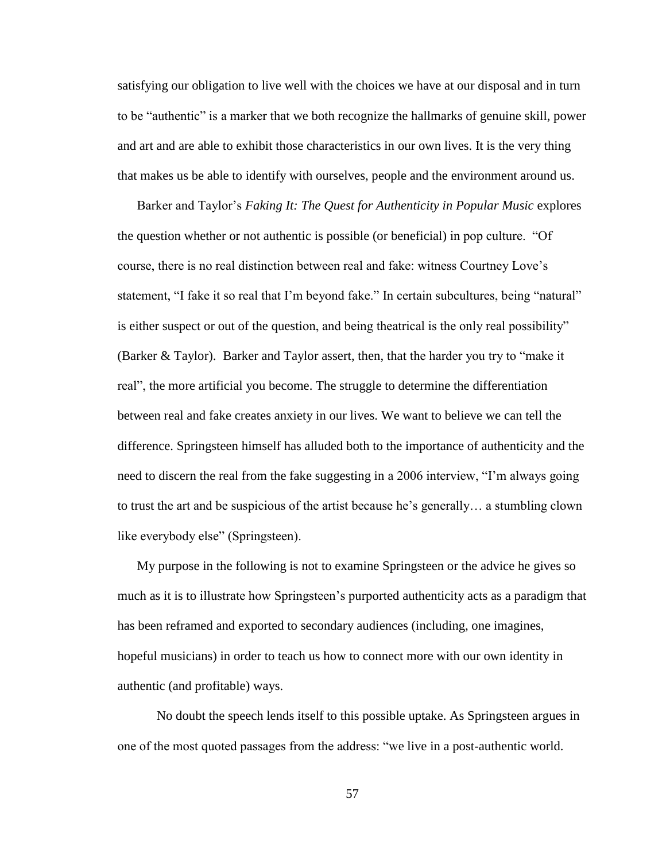satisfying our obligation to live well with the choices we have at our disposal and in turn to be "authentic" is a marker that we both recognize the hallmarks of genuine skill, power and art and are able to exhibit those characteristics in our own lives. It is the very thing that makes us be able to identify with ourselves, people and the environment around us.

Barker and Taylor's *Faking It: The Quest for Authenticity in Popular Music* explores the question whether or not authentic is possible (or beneficial) in pop culture. "Of course, there is no real distinction between real and fake: witness Courtney Love's statement, "I fake it so real that I'm beyond fake." In certain subcultures, being "natural" is either suspect or out of the question, and being theatrical is the only real possibility" (Barker & Taylor). Barker and Taylor assert, then, that the harder you try to "make it real", the more artificial you become. The struggle to determine the differentiation between real and fake creates anxiety in our lives. We want to believe we can tell the difference. Springsteen himself has alluded both to the importance of authenticity and the need to discern the real from the fake suggesting in a 2006 interview, "I'm always going to trust the art and be suspicious of the artist because he's generally… a stumbling clown like everybody else" (Springsteen).

My purpose in the following is not to examine Springsteen or the advice he gives so much as it is to illustrate how Springsteen's purported authenticity acts as a paradigm that has been reframed and exported to secondary audiences (including, one imagines, hopeful musicians) in order to teach us how to connect more with our own identity in authentic (and profitable) ways.

No doubt the speech lends itself to this possible uptake. As Springsteen argues in one of the most quoted passages from the address: "we live in a post-authentic world.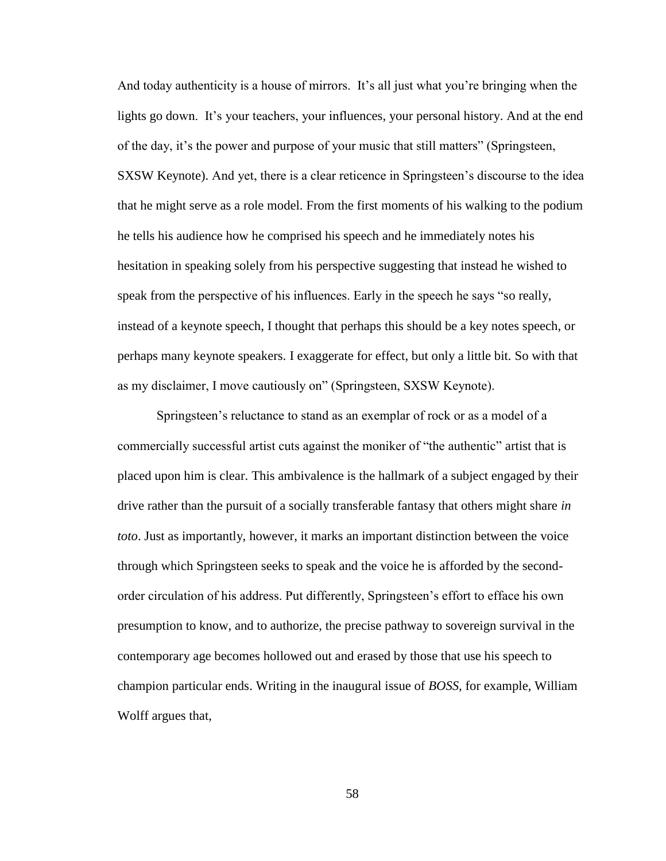And today authenticity is a house of mirrors. It's all just what you're bringing when the lights go down. It's your teachers, your influences, your personal history. And at the end of the day, it's the power and purpose of your music that still matters" (Springsteen, SXSW Keynote). And yet, there is a clear reticence in Springsteen's discourse to the idea that he might serve as a role model. From the first moments of his walking to the podium he tells his audience how he comprised his speech and he immediately notes his hesitation in speaking solely from his perspective suggesting that instead he wished to speak from the perspective of his influences. Early in the speech he says "so really, instead of a keynote speech, I thought that perhaps this should be a key notes speech, or perhaps many keynote speakers. I exaggerate for effect, but only a little bit. So with that as my disclaimer, I move cautiously on" (Springsteen, SXSW Keynote).

Springsteen's reluctance to stand as an exemplar of rock or as a model of a commercially successful artist cuts against the moniker of "the authentic" artist that is placed upon him is clear. This ambivalence is the hallmark of a subject engaged by their drive rather than the pursuit of a socially transferable fantasy that others might share *in toto*. Just as importantly, however, it marks an important distinction between the voice through which Springsteen seeks to speak and the voice he is afforded by the secondorder circulation of his address. Put differently, Springsteen's effort to efface his own presumption to know, and to authorize, the precise pathway to sovereign survival in the contemporary age becomes hollowed out and erased by those that use his speech to champion particular ends. Writing in the inaugural issue of *BOSS,* for example, William Wolff argues that,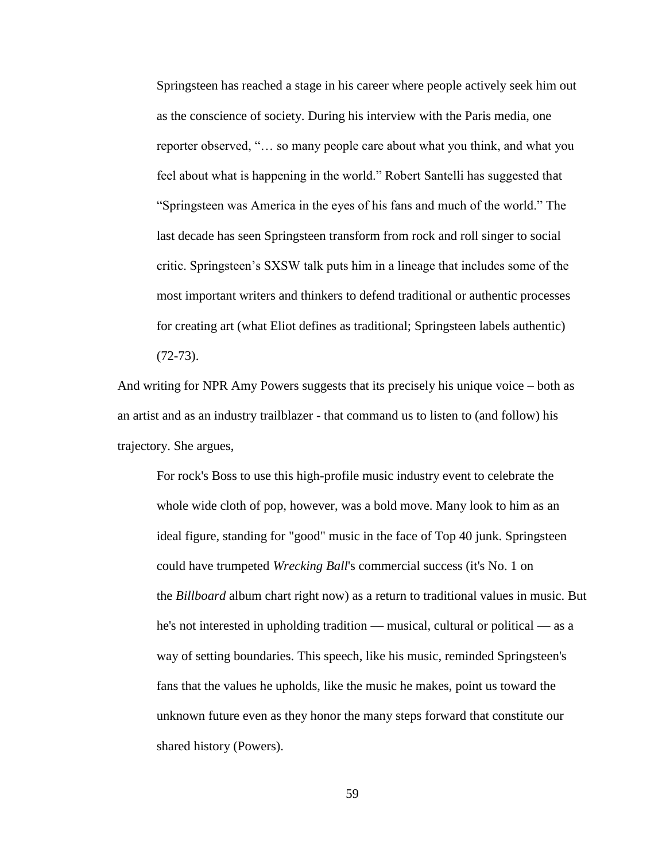Springsteen has reached a stage in his career where people actively seek him out as the conscience of society. During his interview with the Paris media, one reporter observed, "… so many people care about what you think, and what you feel about what is happening in the world." Robert Santelli has suggested that "Springsteen was America in the eyes of his fans and much of the world." The last decade has seen Springsteen transform from rock and roll singer to social critic. Springsteen's SXSW talk puts him in a lineage that includes some of the most important writers and thinkers to defend traditional or authentic processes for creating art (what Eliot defines as traditional; Springsteen labels authentic)  $(72-73)$ .

And writing for NPR Amy Powers suggests that its precisely his unique voice – both as an artist and as an industry trailblazer - that command us to listen to (and follow) his trajectory. She argues,

For rock's Boss to use this high-profile music industry event to celebrate the whole wide cloth of pop, however, was a bold move. Many look to him as an ideal figure, standing for "good" music in the face of Top 40 junk. Springsteen could have trumpeted *Wrecking Ball*'s commercial success (it's No. 1 [on](http://www.billboard.com/#/news/bruce-springsteen-squeaks-by-adele-earns-1006452352.story) the *[Billboard](http://www.billboard.com/#/news/bruce-springsteen-squeaks-by-adele-earns-1006452352.story)* album chart right now) as a return to traditional values in music. But he's not interested in upholding tradition — musical, cultural or political — as a way of setting boundaries. This speech, like his music, reminded Springsteen's fans that the values he upholds, like the music he makes, point us toward the unknown future even as they honor the many steps forward that constitute our shared history (Powers).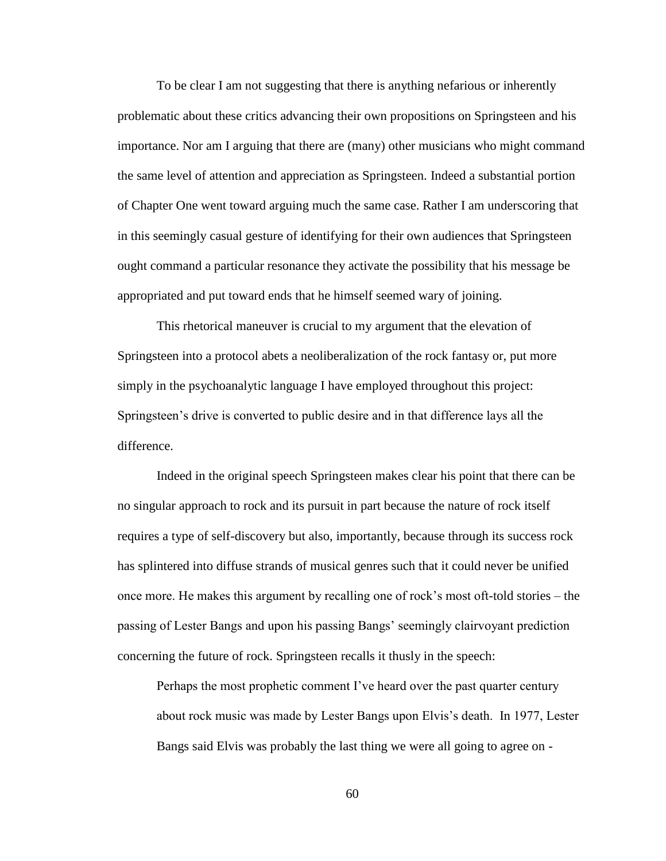To be clear I am not suggesting that there is anything nefarious or inherently problematic about these critics advancing their own propositions on Springsteen and his importance. Nor am I arguing that there are (many) other musicians who might command the same level of attention and appreciation as Springsteen. Indeed a substantial portion of Chapter One went toward arguing much the same case. Rather I am underscoring that in this seemingly casual gesture of identifying for their own audiences that Springsteen ought command a particular resonance they activate the possibility that his message be appropriated and put toward ends that he himself seemed wary of joining.

This rhetorical maneuver is crucial to my argument that the elevation of Springsteen into a protocol abets a neoliberalization of the rock fantasy or, put more simply in the psychoanalytic language I have employed throughout this project: Springsteen's drive is converted to public desire and in that difference lays all the difference.

Indeed in the original speech Springsteen makes clear his point that there can be no singular approach to rock and its pursuit in part because the nature of rock itself requires a type of self-discovery but also, importantly, because through its success rock has splintered into diffuse strands of musical genres such that it could never be unified once more. He makes this argument by recalling one of rock's most oft-told stories – the passing of Lester Bangs and upon his passing Bangs' seemingly clairvoyant prediction concerning the future of rock. Springsteen recalls it thusly in the speech:

Perhaps the most prophetic comment I've heard over the past quarter century about rock music was made by Lester Bangs upon Elvis's death. In 1977, Lester Bangs said Elvis was probably the last thing we were all going to agree on -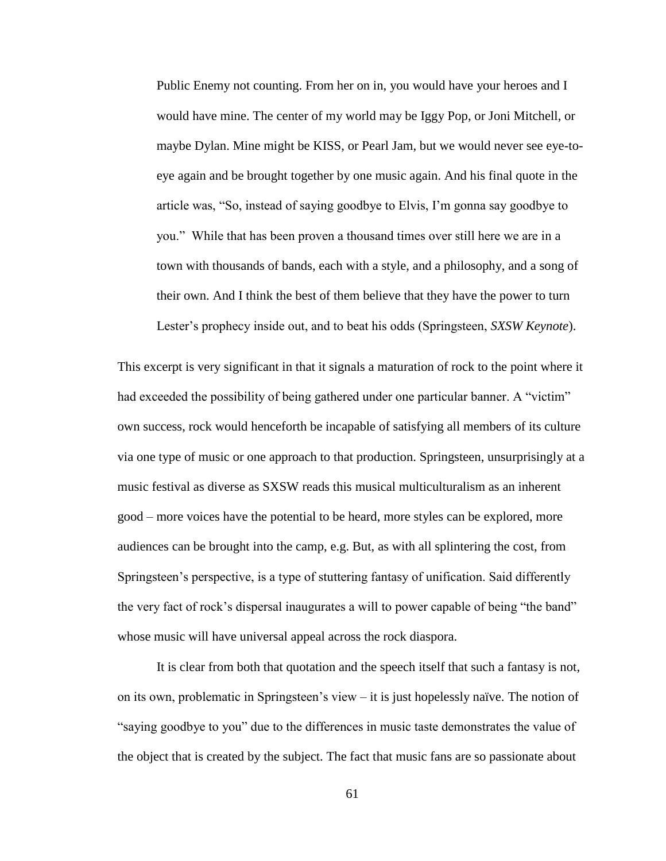Public Enemy not counting. From her on in, you would have your heroes and I would have mine. The center of my world may be Iggy Pop, or Joni Mitchell, or maybe Dylan. Mine might be KISS, or Pearl Jam, but we would never see eye-toeye again and be brought together by one music again. And his final quote in the article was, "So, instead of saying goodbye to Elvis, I'm gonna say goodbye to you." While that has been proven a thousand times over still here we are in a town with thousands of bands, each with a style, and a philosophy, and a song of their own. And I think the best of them believe that they have the power to turn Lester's prophecy inside out, and to beat his odds (Springsteen, *SXSW Keynote*).

This excerpt is very significant in that it signals a maturation of rock to the point where it had exceeded the possibility of being gathered under one particular banner. A "victim" own success, rock would henceforth be incapable of satisfying all members of its culture via one type of music or one approach to that production. Springsteen, unsurprisingly at a music festival as diverse as SXSW reads this musical multiculturalism as an inherent good – more voices have the potential to be heard, more styles can be explored, more audiences can be brought into the camp, e.g. But, as with all splintering the cost, from Springsteen's perspective, is a type of stuttering fantasy of unification. Said differently the very fact of rock's dispersal inaugurates a will to power capable of being "the band" whose music will have universal appeal across the rock diaspora.

It is clear from both that quotation and the speech itself that such a fantasy is not, on its own, problematic in Springsteen's view – it is just hopelessly naïve. The notion of "saying goodbye to you" due to the differences in music taste demonstrates the value of the object that is created by the subject. The fact that music fans are so passionate about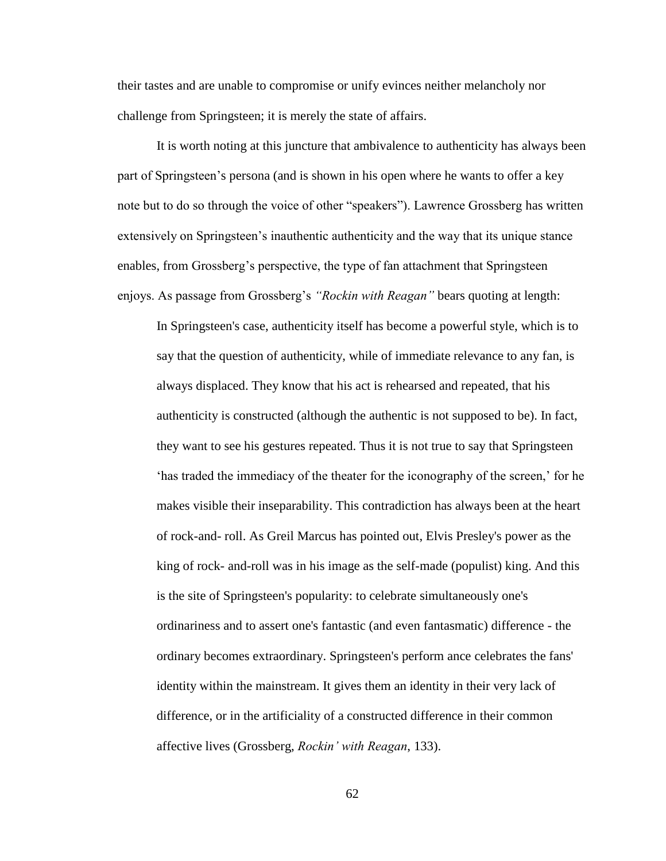their tastes and are unable to compromise or unify evinces neither melancholy nor challenge from Springsteen; it is merely the state of affairs.

It is worth noting at this juncture that ambivalence to authenticity has always been part of Springsteen's persona (and is shown in his open where he wants to offer a key note but to do so through the voice of other "speakers"). Lawrence Grossberg has written extensively on Springsteen's inauthentic authenticity and the way that its unique stance enables, from Grossberg's perspective, the type of fan attachment that Springsteen enjoys. As passage from Grossberg's *"Rockin with Reagan"* bears quoting at length:

In Springsteen's case, authenticity itself has become a powerful style, which is to say that the question of authenticity, while of immediate relevance to any fan, is always displaced. They know that his act is rehearsed and repeated, that his authenticity is constructed (although the authentic is not supposed to be). In fact, they want to see his gestures repeated. Thus it is not true to say that Springsteen 'has traded the immediacy of the theater for the iconography of the screen,' for he makes visible their inseparability. This contradiction has always been at the heart of rock-and- roll. As Greil Marcus has pointed out, Elvis Presley's power as the king of rock- and-roll was in his image as the self-made (populist) king. And this is the site of Springsteen's popularity: to celebrate simultaneously one's ordinariness and to assert one's fantastic (and even fantasmatic) difference - the ordinary becomes extraordinary. Springsteen's perform ance celebrates the fans' identity within the mainstream. It gives them an identity in their very lack of difference, or in the artificiality of a constructed difference in their common affective lives (Grossberg, *Rockin' with Reagan*, 133).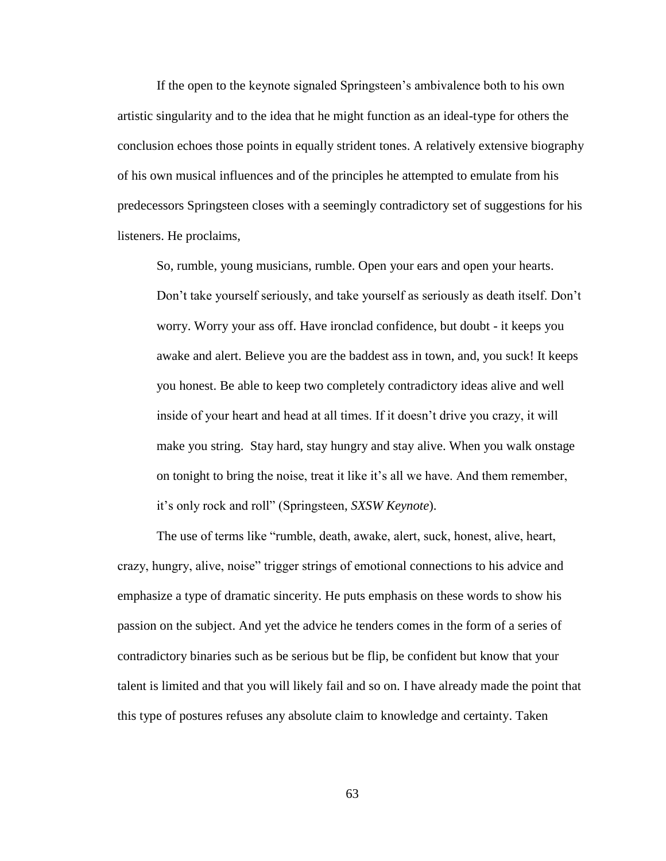If the open to the keynote signaled Springsteen's ambivalence both to his own artistic singularity and to the idea that he might function as an ideal-type for others the conclusion echoes those points in equally strident tones. A relatively extensive biography of his own musical influences and of the principles he attempted to emulate from his predecessors Springsteen closes with a seemingly contradictory set of suggestions for his listeners. He proclaims,

So, rumble, young musicians, rumble. Open your ears and open your hearts. Don't take yourself seriously, and take yourself as seriously as death itself. Don't worry. Worry your ass off. Have ironclad confidence, but doubt - it keeps you awake and alert. Believe you are the baddest ass in town, and, you suck! It keeps you honest. Be able to keep two completely contradictory ideas alive and well inside of your heart and head at all times. If it doesn't drive you crazy, it will make you string. Stay hard, stay hungry and stay alive. When you walk onstage on tonight to bring the noise, treat it like it's all we have. And them remember, it's only rock and roll" (Springsteen, *SXSW Keynote*).

The use of terms like "rumble, death, awake, alert, suck, honest, alive, heart, crazy, hungry, alive, noise" trigger strings of emotional connections to his advice and emphasize a type of dramatic sincerity. He puts emphasis on these words to show his passion on the subject. And yet the advice he tenders comes in the form of a series of contradictory binaries such as be serious but be flip, be confident but know that your talent is limited and that you will likely fail and so on. I have already made the point that this type of postures refuses any absolute claim to knowledge and certainty. Taken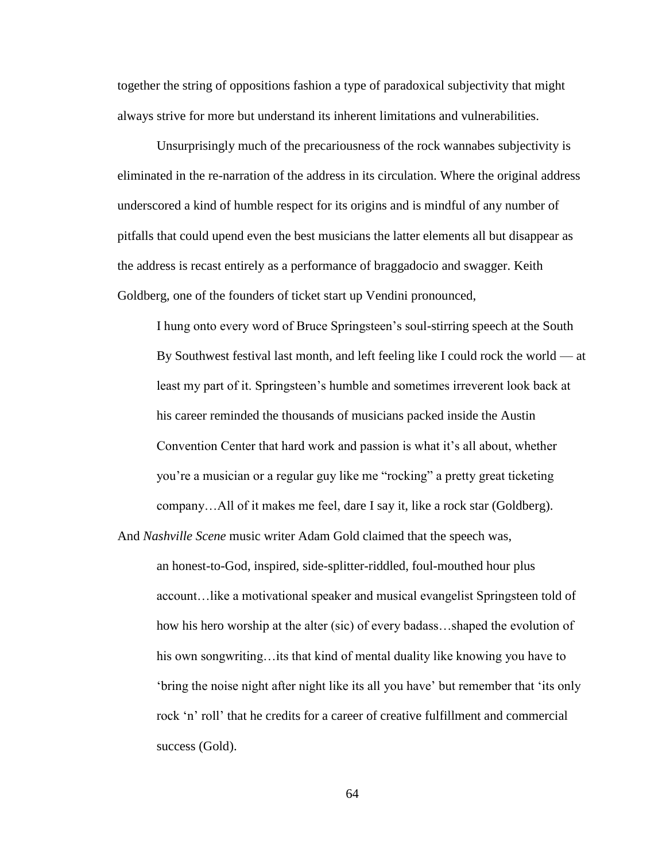together the string of oppositions fashion a type of paradoxical subjectivity that might always strive for more but understand its inherent limitations and vulnerabilities.

Unsurprisingly much of the precariousness of the rock wannabes subjectivity is eliminated in the re-narration of the address in its circulation. Where the original address underscored a kind of humble respect for its origins and is mindful of any number of pitfalls that could upend even the best musicians the latter elements all but disappear as the address is recast entirely as a performance of braggadocio and swagger. Keith Goldberg, one of the founders of ticket start up Vendini pronounced,

I hung onto every word of Bruce Springsteen's soul-stirring speech at the South By Southwest festival last month, and left feeling like I could rock the world — at least my part of it. Springsteen's humble and sometimes irreverent look back at his career reminded the thousands of musicians packed inside the Austin Convention Center that hard work and passion is what it's all about, whether you're a musician or a regular guy like me "rocking" a pretty great ticketing company…All of it makes me feel, dare I say it, like a rock star (Goldberg).

And *Nashville Scene* music writer Adam Gold claimed that the speech was, an honest-to-God, inspired, side-splitter-riddled, foul-mouthed hour plus account…like a motivational speaker and musical evangelist Springsteen told of how his hero worship at the alter (sic) of every badass…shaped the evolution of his own songwriting…its that kind of mental duality like knowing you have to 'bring the noise night after night like its all you have' but remember that 'its only rock 'n' roll' that he credits for a career of creative fulfillment and commercial success (Gold).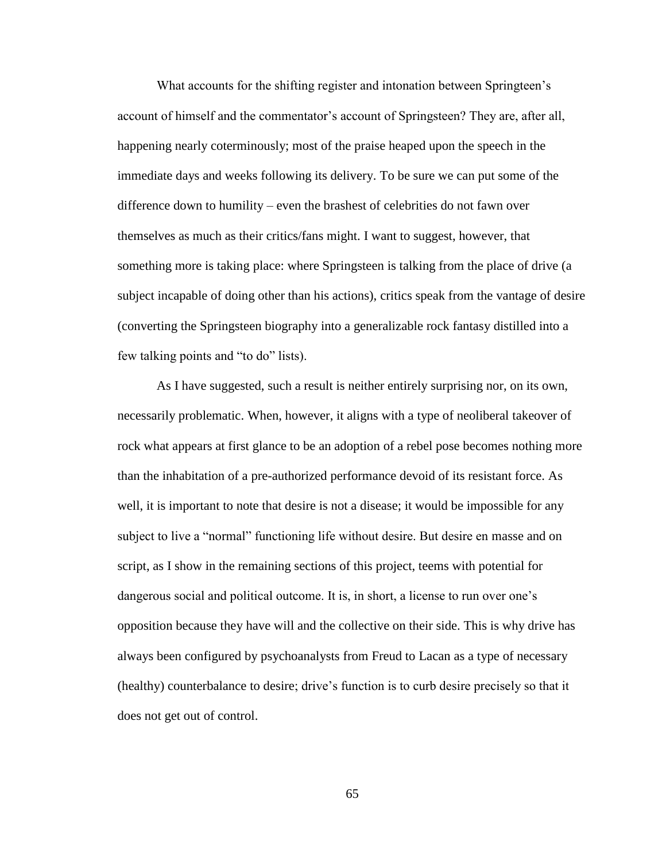What accounts for the shifting register and intonation between Springteen's account of himself and the commentator's account of Springsteen? They are, after all, happening nearly coterminously; most of the praise heaped upon the speech in the immediate days and weeks following its delivery. To be sure we can put some of the difference down to humility – even the brashest of celebrities do not fawn over themselves as much as their critics/fans might. I want to suggest, however, that something more is taking place: where Springsteen is talking from the place of drive (a subject incapable of doing other than his actions), critics speak from the vantage of desire (converting the Springsteen biography into a generalizable rock fantasy distilled into a few talking points and "to do" lists).

As I have suggested, such a result is neither entirely surprising nor, on its own, necessarily problematic. When, however, it aligns with a type of neoliberal takeover of rock what appears at first glance to be an adoption of a rebel pose becomes nothing more than the inhabitation of a pre-authorized performance devoid of its resistant force. As well, it is important to note that desire is not a disease; it would be impossible for any subject to live a "normal" functioning life without desire. But desire en masse and on script, as I show in the remaining sections of this project, teems with potential for dangerous social and political outcome. It is, in short, a license to run over one's opposition because they have will and the collective on their side. This is why drive has always been configured by psychoanalysts from Freud to Lacan as a type of necessary (healthy) counterbalance to desire; drive's function is to curb desire precisely so that it does not get out of control.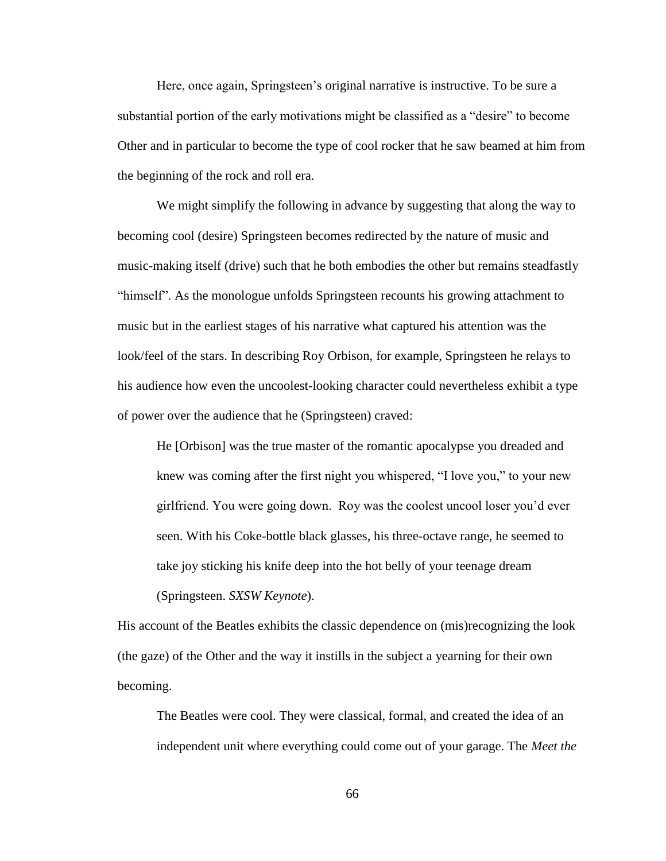Here, once again, Springsteen's original narrative is instructive. To be sure a substantial portion of the early motivations might be classified as a "desire" to become Other and in particular to become the type of cool rocker that he saw beamed at him from the beginning of the rock and roll era.

We might simplify the following in advance by suggesting that along the way to becoming cool (desire) Springsteen becomes redirected by the nature of music and music-making itself (drive) such that he both embodies the other but remains steadfastly "himself". As the monologue unfolds Springsteen recounts his growing attachment to music but in the earliest stages of his narrative what captured his attention was the look/feel of the stars. In describing Roy Orbison, for example, Springsteen he relays to his audience how even the uncoolest-looking character could nevertheless exhibit a type of power over the audience that he (Springsteen) craved:

He [Orbison] was the true master of the romantic apocalypse you dreaded and knew was coming after the first night you whispered, "I love you," to your new girlfriend. You were going down. Roy was the coolest uncool loser you'd ever seen. With his Coke-bottle black glasses, his three-octave range, he seemed to take joy sticking his knife deep into the hot belly of your teenage dream (Springsteen. *SXSW Keynote*).

His account of the Beatles exhibits the classic dependence on (mis)recognizing the look (the gaze) of the Other and the way it instills in the subject a yearning for their own becoming.

The Beatles were cool. They were classical, formal, and created the idea of an independent unit where everything could come out of your garage. The *Meet the*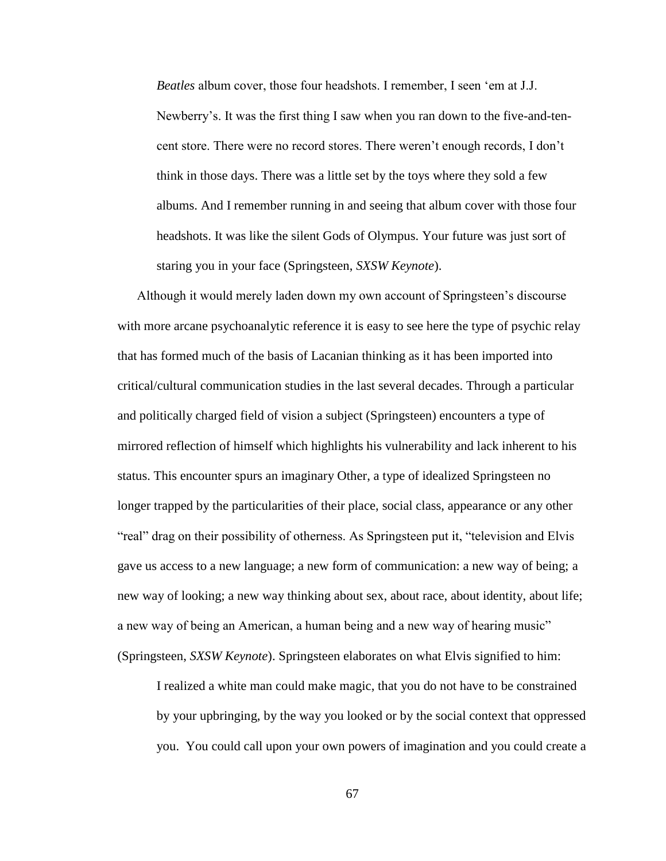*Beatles* album cover, those four headshots. I remember, I seen 'em at J.J. Newberry's. It was the first thing I saw when you ran down to the five-and-tencent store. There were no record stores. There weren't enough records, I don't think in those days. There was a little set by the toys where they sold a few albums. And I remember running in and seeing that album cover with those four headshots. It was like the silent Gods of Olympus. Your future was just sort of staring you in your face (Springsteen, *SXSW Keynote*).

Although it would merely laden down my own account of Springsteen's discourse with more arcane psychoanalytic reference it is easy to see here the type of psychic relay that has formed much of the basis of Lacanian thinking as it has been imported into critical/cultural communication studies in the last several decades. Through a particular and politically charged field of vision a subject (Springsteen) encounters a type of mirrored reflection of himself which highlights his vulnerability and lack inherent to his status. This encounter spurs an imaginary Other, a type of idealized Springsteen no longer trapped by the particularities of their place, social class, appearance or any other "real" drag on their possibility of otherness. As Springsteen put it, "television and Elvis gave us access to a new language; a new form of communication: a new way of being; a new way of looking; a new way thinking about sex, about race, about identity, about life; a new way of being an American, a human being and a new way of hearing music" (Springsteen, *SXSW Keynote*). Springsteen elaborates on what Elvis signified to him:

I realized a white man could make magic, that you do not have to be constrained by your upbringing, by the way you looked or by the social context that oppressed you. You could call upon your own powers of imagination and you could create a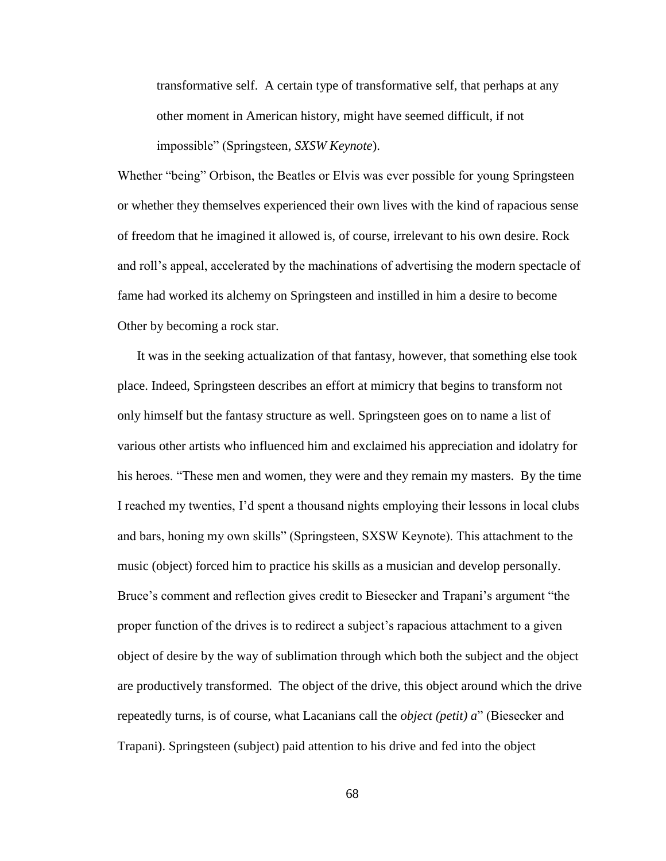transformative self. A certain type of transformative self, that perhaps at any other moment in American history, might have seemed difficult, if not impossible" (Springsteen, *SXSW Keynote*).

Whether "being" Orbison, the Beatles or Elvis was ever possible for young Springsteen or whether they themselves experienced their own lives with the kind of rapacious sense of freedom that he imagined it allowed is, of course, irrelevant to his own desire. Rock and roll's appeal, accelerated by the machinations of advertising the modern spectacle of fame had worked its alchemy on Springsteen and instilled in him a desire to become Other by becoming a rock star.

It was in the seeking actualization of that fantasy, however, that something else took place. Indeed, Springsteen describes an effort at mimicry that begins to transform not only himself but the fantasy structure as well. Springsteen goes on to name a list of various other artists who influenced him and exclaimed his appreciation and idolatry for his heroes. "These men and women, they were and they remain my masters. By the time I reached my twenties, I'd spent a thousand nights employing their lessons in local clubs and bars, honing my own skills" (Springsteen, SXSW Keynote). This attachment to the music (object) forced him to practice his skills as a musician and develop personally. Bruce's comment and reflection gives credit to Biesecker and Trapani's argument "the proper function of the drives is to redirect a subject's rapacious attachment to a given object of desire by the way of sublimation through which both the subject and the object are productively transformed. The object of the drive, this object around which the drive repeatedly turns, is of course, what Lacanians call the *object (petit) a*" (Biesecker and Trapani). Springsteen (subject) paid attention to his drive and fed into the object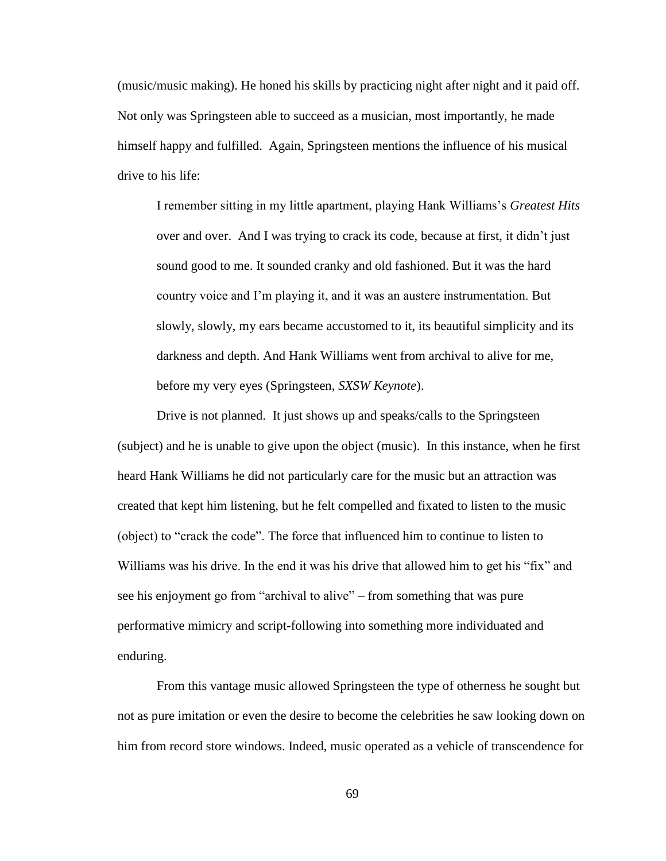(music/music making). He honed his skills by practicing night after night and it paid off. Not only was Springsteen able to succeed as a musician, most importantly, he made himself happy and fulfilled. Again, Springsteen mentions the influence of his musical drive to his life:

I remember sitting in my little apartment, playing Hank Williams's *Greatest Hits* over and over. And I was trying to crack its code, because at first, it didn't just sound good to me. It sounded cranky and old fashioned. But it was the hard country voice and I'm playing it, and it was an austere instrumentation. But slowly, slowly, my ears became accustomed to it, its beautiful simplicity and its darkness and depth. And Hank Williams went from archival to alive for me, before my very eyes (Springsteen, *SXSW Keynote*).

Drive is not planned. It just shows up and speaks/calls to the Springsteen (subject) and he is unable to give upon the object (music). In this instance, when he first heard Hank Williams he did not particularly care for the music but an attraction was created that kept him listening, but he felt compelled and fixated to listen to the music (object) to "crack the code". The force that influenced him to continue to listen to Williams was his drive. In the end it was his drive that allowed him to get his "fix" and see his enjoyment go from "archival to alive" – from something that was pure performative mimicry and script-following into something more individuated and enduring.

From this vantage music allowed Springsteen the type of otherness he sought but not as pure imitation or even the desire to become the celebrities he saw looking down on him from record store windows. Indeed, music operated as a vehicle of transcendence for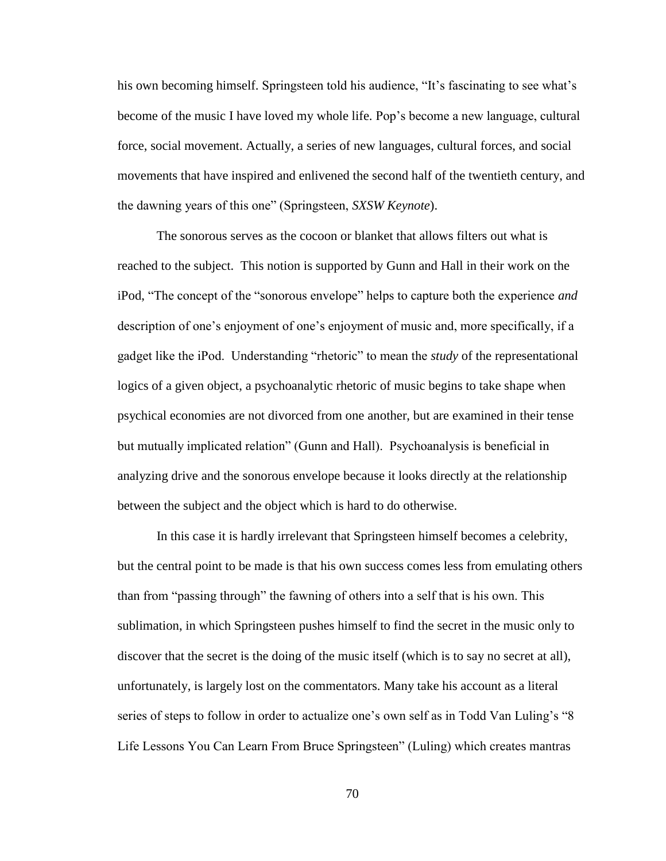his own becoming himself. Springsteen told his audience, "It's fascinating to see what's become of the music I have loved my whole life. Pop's become a new language, cultural force, social movement. Actually, a series of new languages, cultural forces, and social movements that have inspired and enlivened the second half of the twentieth century, and the dawning years of this one" (Springsteen, *SXSW Keynote*).

The sonorous serves as the cocoon or blanket that allows filters out what is reached to the subject. This notion is supported by Gunn and Hall in their work on the iPod, "The concept of the "sonorous envelope" helps to capture both the experience *and*  description of one's enjoyment of one's enjoyment of music and, more specifically, if a gadget like the iPod. Understanding "rhetoric" to mean the *study* of the representational logics of a given object, a psychoanalytic rhetoric of music begins to take shape when psychical economies are not divorced from one another, but are examined in their tense but mutually implicated relation" (Gunn and Hall). Psychoanalysis is beneficial in analyzing drive and the sonorous envelope because it looks directly at the relationship between the subject and the object which is hard to do otherwise.

In this case it is hardly irrelevant that Springsteen himself becomes a celebrity, but the central point to be made is that his own success comes less from emulating others than from "passing through" the fawning of others into a self that is his own. This sublimation, in which Springsteen pushes himself to find the secret in the music only to discover that the secret is the doing of the music itself (which is to say no secret at all), unfortunately, is largely lost on the commentators. Many take his account as a literal series of steps to follow in order to actualize one's own self as in Todd Van Luling's "8 Life Lessons You Can Learn From Bruce Springsteen" (Luling) which creates mantras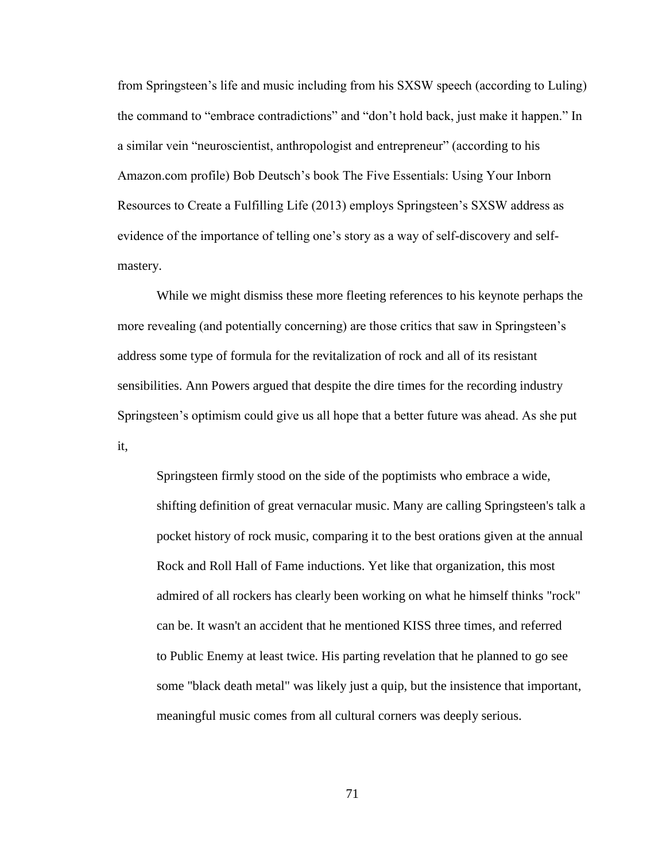from Springsteen's life and music including from his SXSW speech (according to Luling) the command to "embrace contradictions" and "don't hold back, just make it happen." In a similar vein "neuroscientist, anthropologist and entrepreneur" (according to his Amazon.com profile) Bob Deutsch's book The Five Essentials: Using Your Inborn Resources to Create a Fulfilling Life (2013) employs Springsteen's SXSW address as evidence of the importance of telling one's story as a way of self-discovery and selfmastery.

While we might dismiss these more fleeting references to his keynote perhaps the more revealing (and potentially concerning) are those critics that saw in Springsteen's address some type of formula for the revitalization of rock and all of its resistant sensibilities. Ann Powers argued that despite the dire times for the recording industry Springsteen's optimism could give us all hope that a better future was ahead. As she put it,

Springsteen firmly stood on the side of the [poptimists](http://articles.latimes.com/2008/jul/27/entertainment/ca-pop27) who embrace a wide, shifting definition of great vernacular music. Many are calling Springsteen's talk a pocket history of rock music, comparing it to the best orations given at the annual Rock and Roll Hall of Fame inductions. Yet like that organization, this most admired of all rockers has clearly been working on what he himself thinks "rock" can be. It wasn't an accident that he mentioned KISS three times, and referred to Public [Enemy](http://www.npr.org/artists/15446162/public-enemy) at least twice. His parting revelation that he planned to go see some "black death metal" was likely just a quip, but the insistence that important, meaningful music comes from all cultural corners was deeply serious.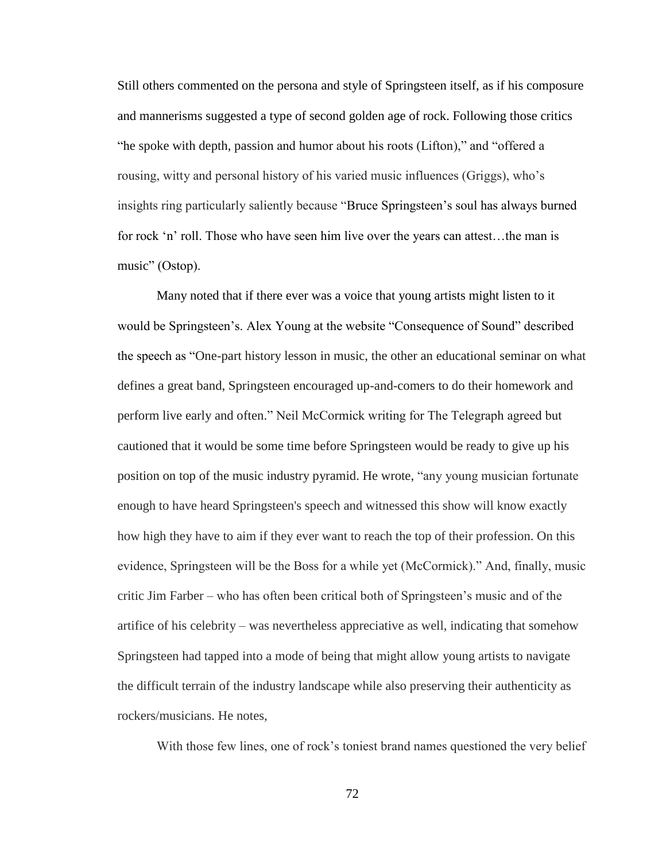Still others commented on the persona and style of Springsteen itself, as if his composure and mannerisms suggested a type of second golden age of rock. Following those critics "he spoke with depth, passion and humor about his roots (Lifton)," and "offered a rousing, witty and personal history of his varied music influences (Griggs), who's insights ring particularly saliently because "Bruce Springsteen's soul has always burned for rock 'n' roll. Those who have seen him live over the years can attest…the man is music" (Ostop).

Many noted that if there ever was a voice that young artists might listen to it would be Springsteen's. Alex Young at the website "Consequence of Sound" described the speech as "One-part history lesson in music, the other an educational seminar on what defines a great band, Springsteen encouraged up-and-comers to do their homework and perform live early and often." Neil McCormick writing for The Telegraph agreed but cautioned that it would be some time before Springsteen would be ready to give up his position on top of the music industry pyramid. He wrote, "any young musician fortunate enough to have heard Springsteen's speech and witnessed this show will know exactly how high they have to aim if they ever want to reach the top of their profession. On this evidence, Springsteen will be the Boss for a while yet (McCormick)." And, finally, music critic Jim Farber – who has often been critical both of Springsteen's music and of the artifice of his celebrity – was nevertheless appreciative as well, indicating that somehow Springsteen had tapped into a mode of being that might allow young artists to navigate the difficult terrain of the industry landscape while also preserving their authenticity as rockers/musicians. He notes,

With those few lines, one of rock's toniest brand names questioned the very belief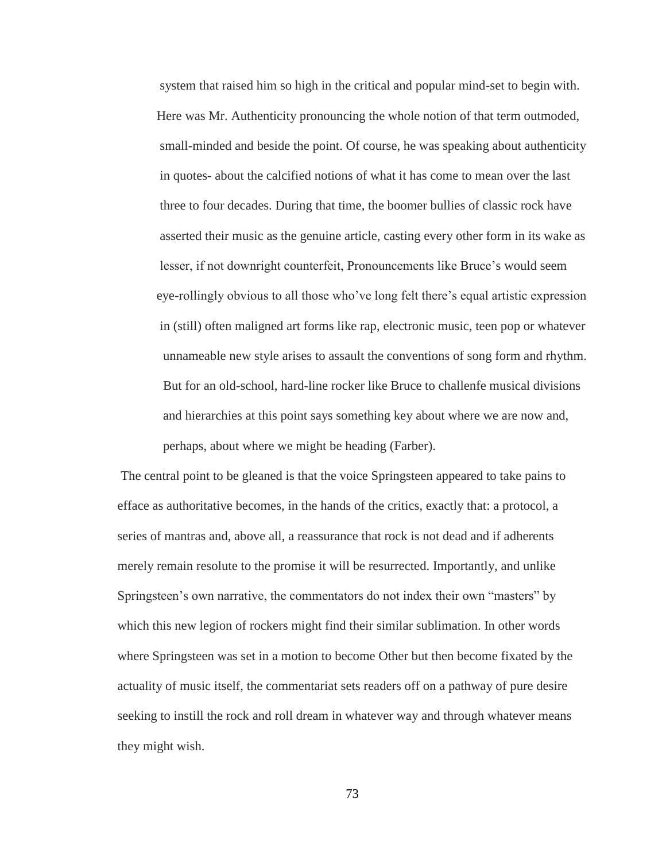system that raised him so high in the critical and popular mind-set to begin with. Here was Mr. Authenticity pronouncing the whole notion of that term outmoded, small-minded and beside the point. Of course, he was speaking about authenticity in quotes- about the calcified notions of what it has come to mean over the last three to four decades. During that time, the boomer bullies of classic rock have asserted their music as the genuine article, casting every other form in its wake as lesser, if not downright counterfeit, Pronouncements like Bruce's would seem eye-rollingly obvious to all those who've long felt there's equal artistic expression in (still) often maligned art forms like rap, electronic music, teen pop or whatever unnameable new style arises to assault the conventions of song form and rhythm. But for an old-school, hard-line rocker like Bruce to challenfe musical divisions and hierarchies at this point says something key about where we are now and, perhaps, about where we might be heading (Farber).

The central point to be gleaned is that the voice Springsteen appeared to take pains to efface as authoritative becomes, in the hands of the critics, exactly that: a protocol, a series of mantras and, above all, a reassurance that rock is not dead and if adherents merely remain resolute to the promise it will be resurrected. Importantly, and unlike Springsteen's own narrative, the commentators do not index their own "masters" by which this new legion of rockers might find their similar sublimation. In other words where Springsteen was set in a motion to become Other but then become fixated by the actuality of music itself, the commentariat sets readers off on a pathway of pure desire seeking to instill the rock and roll dream in whatever way and through whatever means they might wish.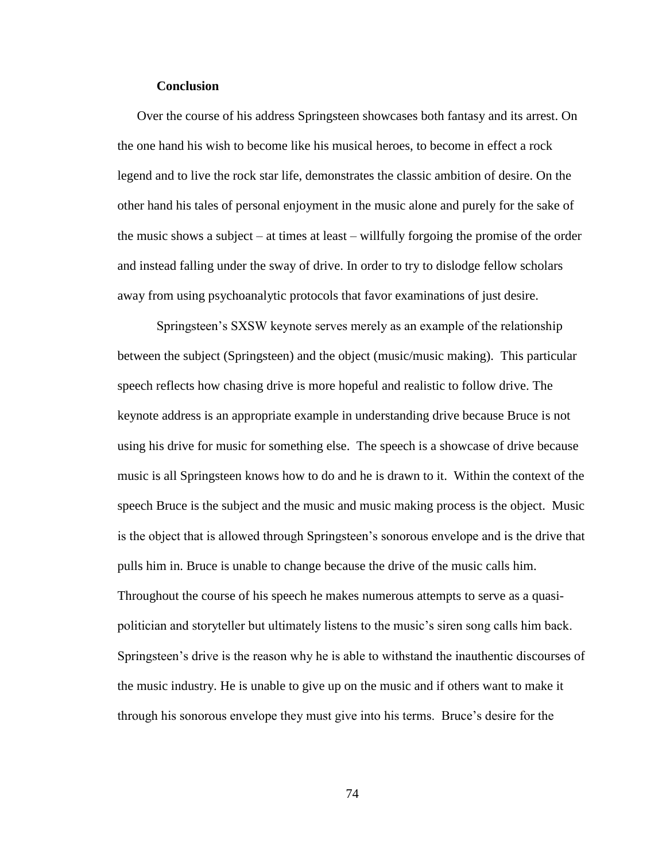## **Conclusion**

Over the course of his address Springsteen showcases both fantasy and its arrest. On the one hand his wish to become like his musical heroes, to become in effect a rock legend and to live the rock star life, demonstrates the classic ambition of desire. On the other hand his tales of personal enjoyment in the music alone and purely for the sake of the music shows a subject – at times at least – willfully forgoing the promise of the order and instead falling under the sway of drive. In order to try to dislodge fellow scholars away from using psychoanalytic protocols that favor examinations of just desire.

Springsteen's SXSW keynote serves merely as an example of the relationship between the subject (Springsteen) and the object (music/music making). This particular speech reflects how chasing drive is more hopeful and realistic to follow drive. The keynote address is an appropriate example in understanding drive because Bruce is not using his drive for music for something else. The speech is a showcase of drive because music is all Springsteen knows how to do and he is drawn to it. Within the context of the speech Bruce is the subject and the music and music making process is the object. Music is the object that is allowed through Springsteen's sonorous envelope and is the drive that pulls him in. Bruce is unable to change because the drive of the music calls him. Throughout the course of his speech he makes numerous attempts to serve as a quasipolitician and storyteller but ultimately listens to the music's siren song calls him back. Springsteen's drive is the reason why he is able to withstand the inauthentic discourses of the music industry. He is unable to give up on the music and if others want to make it through his sonorous envelope they must give into his terms. Bruce's desire for the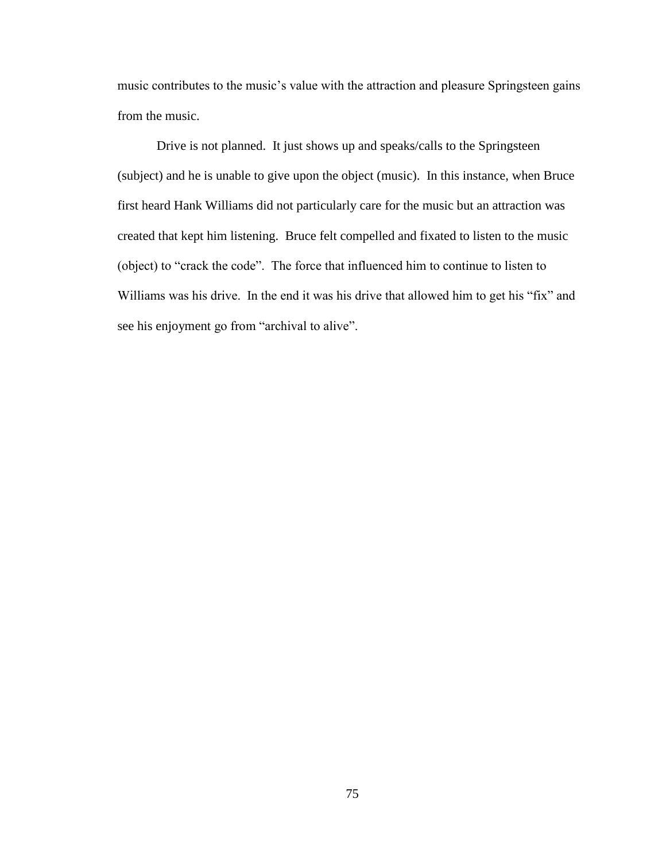music contributes to the music's value with the attraction and pleasure Springsteen gains from the music.

Drive is not planned. It just shows up and speaks/calls to the Springsteen (subject) and he is unable to give upon the object (music). In this instance, when Bruce first heard Hank Williams did not particularly care for the music but an attraction was created that kept him listening. Bruce felt compelled and fixated to listen to the music (object) to "crack the code". The force that influenced him to continue to listen to Williams was his drive. In the end it was his drive that allowed him to get his "fix" and see his enjoyment go from "archival to alive".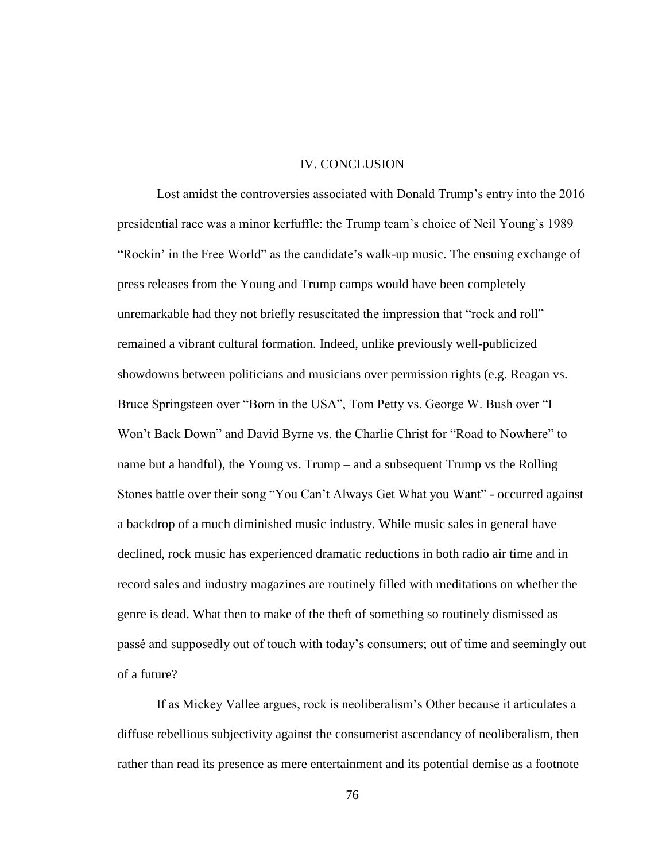## IV. CONCLUSION

Lost amidst the controversies associated with Donald Trump's entry into the 2016 presidential race was a minor kerfuffle: the Trump team's choice of Neil Young's 1989 "Rockin' in the Free World" as the candidate's walk-up music. The ensuing exchange of press releases from the Young and Trump camps would have been completely unremarkable had they not briefly resuscitated the impression that "rock and roll" remained a vibrant cultural formation. Indeed, unlike previously well-publicized showdowns between politicians and musicians over permission rights (e.g. Reagan vs. Bruce Springsteen over "Born in the USA", Tom Petty vs. George W. Bush over "I Won't Back Down" and David Byrne vs. the Charlie Christ for "Road to Nowhere" to name but a handful), the Young vs. Trump – and a subsequent Trump vs the Rolling Stones battle over their song "You Can't Always Get What you Want" - occurred against a backdrop of a much diminished music industry. While music sales in general have declined, rock music has experienced dramatic reductions in both radio air time and in record sales and industry magazines are routinely filled with meditations on whether the genre is dead. What then to make of the theft of something so routinely dismissed as passé and supposedly out of touch with today's consumers; out of time and seemingly out of a future?

If as Mickey Vallee argues, rock is neoliberalism's Other because it articulates a diffuse rebellious subjectivity against the consumerist ascendancy of neoliberalism, then rather than read its presence as mere entertainment and its potential demise as a footnote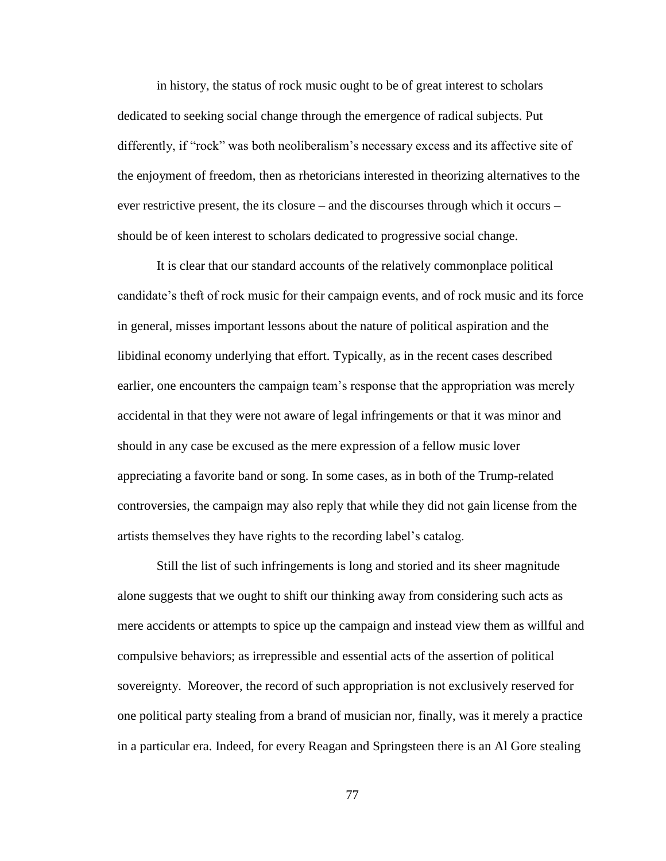in history, the status of rock music ought to be of great interest to scholars dedicated to seeking social change through the emergence of radical subjects. Put differently, if "rock" was both neoliberalism's necessary excess and its affective site of the enjoyment of freedom, then as rhetoricians interested in theorizing alternatives to the ever restrictive present, the its closure – and the discourses through which it occurs – should be of keen interest to scholars dedicated to progressive social change.

It is clear that our standard accounts of the relatively commonplace political candidate's theft of rock music for their campaign events, and of rock music and its force in general, misses important lessons about the nature of political aspiration and the libidinal economy underlying that effort. Typically, as in the recent cases described earlier, one encounters the campaign team's response that the appropriation was merely accidental in that they were not aware of legal infringements or that it was minor and should in any case be excused as the mere expression of a fellow music lover appreciating a favorite band or song. In some cases, as in both of the Trump-related controversies, the campaign may also reply that while they did not gain license from the artists themselves they have rights to the recording label's catalog.

Still the list of such infringements is long and storied and its sheer magnitude alone suggests that we ought to shift our thinking away from considering such acts as mere accidents or attempts to spice up the campaign and instead view them as willful and compulsive behaviors; as irrepressible and essential acts of the assertion of political sovereignty. Moreover, the record of such appropriation is not exclusively reserved for one political party stealing from a brand of musician nor, finally, was it merely a practice in a particular era. Indeed, for every Reagan and Springsteen there is an Al Gore stealing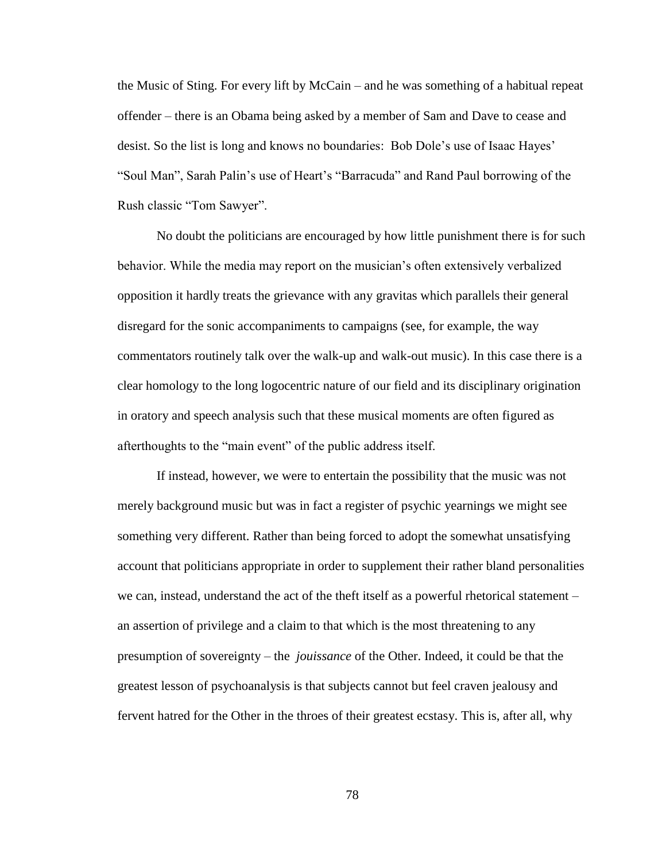the Music of Sting. For every lift by McCain – and he was something of a habitual repeat offender – there is an Obama being asked by a member of Sam and Dave to cease and desist. So the list is long and knows no boundaries: Bob Dole's use of Isaac Hayes' "Soul Man", Sarah Palin's use of Heart's "Barracuda" and Rand Paul borrowing of the Rush classic "Tom Sawyer".

No doubt the politicians are encouraged by how little punishment there is for such behavior. While the media may report on the musician's often extensively verbalized opposition it hardly treats the grievance with any gravitas which parallels their general disregard for the sonic accompaniments to campaigns (see, for example, the way commentators routinely talk over the walk-up and walk-out music). In this case there is a clear homology to the long logocentric nature of our field and its disciplinary origination in oratory and speech analysis such that these musical moments are often figured as afterthoughts to the "main event" of the public address itself.

If instead, however, we were to entertain the possibility that the music was not merely background music but was in fact a register of psychic yearnings we might see something very different. Rather than being forced to adopt the somewhat unsatisfying account that politicians appropriate in order to supplement their rather bland personalities we can, instead, understand the act of the theft itself as a powerful rhetorical statement – an assertion of privilege and a claim to that which is the most threatening to any presumption of sovereignty – the *jouissance* of the Other. Indeed, it could be that the greatest lesson of psychoanalysis is that subjects cannot but feel craven jealousy and fervent hatred for the Other in the throes of their greatest ecstasy. This is, after all, why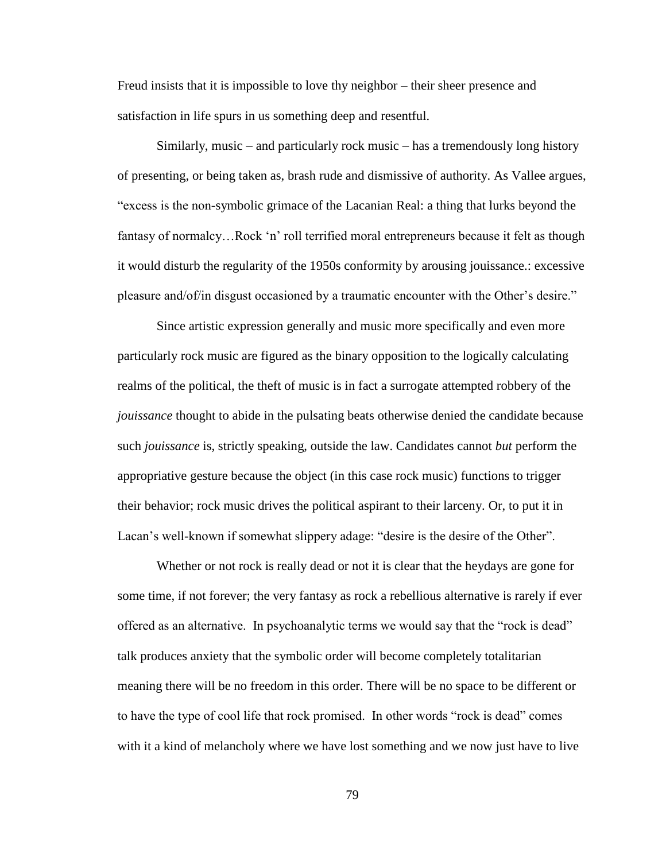Freud insists that it is impossible to love thy neighbor – their sheer presence and satisfaction in life spurs in us something deep and resentful.

Similarly, music – and particularly rock music – has a tremendously long history of presenting, or being taken as, brash rude and dismissive of authority. As Vallee argues, "excess is the non-symbolic grimace of the Lacanian Real: a thing that lurks beyond the fantasy of normalcy…Rock 'n' roll terrified moral entrepreneurs because it felt as though it would disturb the regularity of the 1950s conformity by arousing jouissance.: excessive pleasure and/of/in disgust occasioned by a traumatic encounter with the Other's desire."

Since artistic expression generally and music more specifically and even more particularly rock music are figured as the binary opposition to the logically calculating realms of the political, the theft of music is in fact a surrogate attempted robbery of the *jouissance* thought to abide in the pulsating beats otherwise denied the candidate because such *jouissance* is, strictly speaking, outside the law. Candidates cannot *but* perform the appropriative gesture because the object (in this case rock music) functions to trigger their behavior; rock music drives the political aspirant to their larceny. Or, to put it in Lacan's well-known if somewhat slippery adage: "desire is the desire of the Other".

Whether or not rock is really dead or not it is clear that the heydays are gone for some time, if not forever; the very fantasy as rock a rebellious alternative is rarely if ever offered as an alternative. In psychoanalytic terms we would say that the "rock is dead" talk produces anxiety that the symbolic order will become completely totalitarian meaning there will be no freedom in this order. There will be no space to be different or to have the type of cool life that rock promised. In other words "rock is dead" comes with it a kind of melancholy where we have lost something and we now just have to live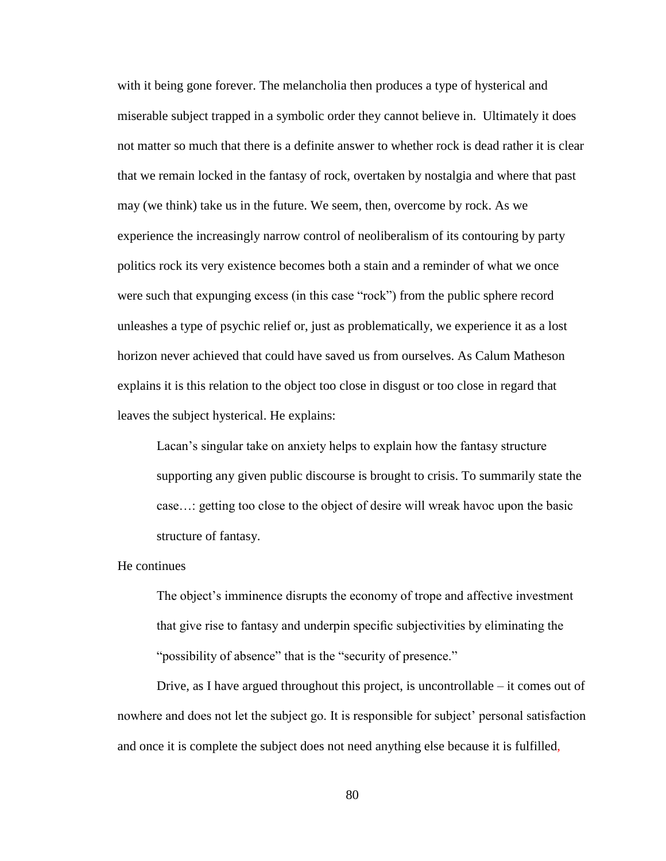with it being gone forever. The melancholia then produces a type of hysterical and miserable subject trapped in a symbolic order they cannot believe in. Ultimately it does not matter so much that there is a definite answer to whether rock is dead rather it is clear that we remain locked in the fantasy of rock, overtaken by nostalgia and where that past may (we think) take us in the future. We seem, then, overcome by rock. As we experience the increasingly narrow control of neoliberalism of its contouring by party politics rock its very existence becomes both a stain and a reminder of what we once were such that expunging excess (in this case "rock") from the public sphere record unleashes a type of psychic relief or, just as problematically, we experience it as a lost horizon never achieved that could have saved us from ourselves. As Calum Matheson explains it is this relation to the object too close in disgust or too close in regard that leaves the subject hysterical. He explains:

Lacan's singular take on anxiety helps to explain how the fantasy structure supporting any given public discourse is brought to crisis. To summarily state the case…: getting too close to the object of desire will wreak havoc upon the basic structure of fantasy.

## He continues

The object's imminence disrupts the economy of trope and affective investment that give rise to fantasy and underpin specific subjectivities by eliminating the "possibility of absence" that is the "security of presence."

Drive, as I have argued throughout this project, is uncontrollable  $-$  it comes out of nowhere and does not let the subject go. It is responsible for subject' personal satisfaction and once it is complete the subject does not need anything else because it is fulfilled,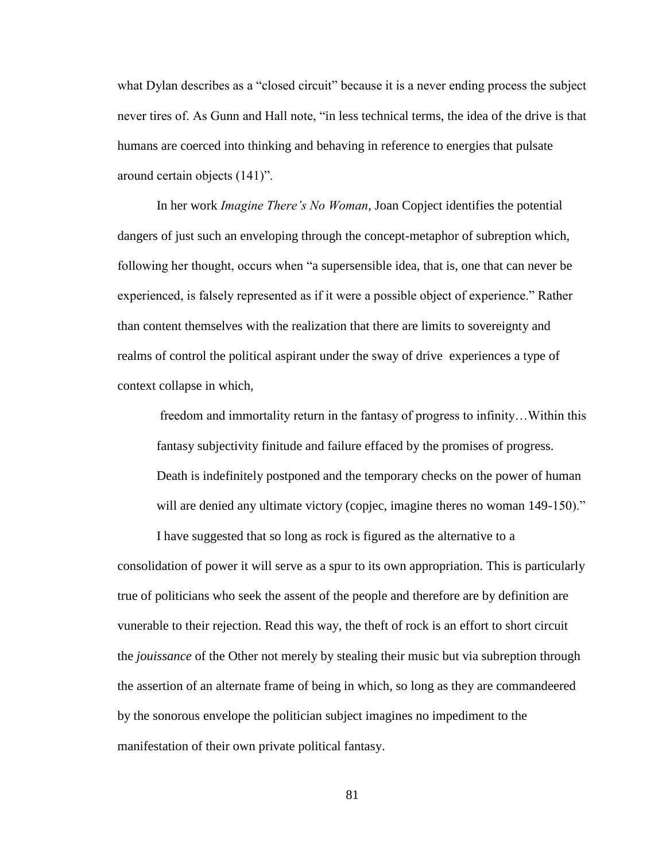what Dylan describes as a "closed circuit" because it is a never ending process the subject never tires of. As Gunn and Hall note, "in less technical terms, the idea of the drive is that humans are coerced into thinking and behaving in reference to energies that pulsate around certain objects (141)".

In her work *Imagine There's No Woman*, Joan Copject identifies the potential dangers of just such an enveloping through the concept-metaphor of subreption which, following her thought, occurs when "a supersensible idea, that is, one that can never be experienced, is falsely represented as if it were a possible object of experience." Rather than content themselves with the realization that there are limits to sovereignty and realms of control the political aspirant under the sway of drive experiences a type of context collapse in which,

freedom and immortality return in the fantasy of progress to infinity…Within this fantasy subjectivity finitude and failure effaced by the promises of progress. Death is indefinitely postponed and the temporary checks on the power of human will are denied any ultimate victory (copjec, imagine theres no woman 149-150)."

I have suggested that so long as rock is figured as the alternative to a consolidation of power it will serve as a spur to its own appropriation. This is particularly true of politicians who seek the assent of the people and therefore are by definition are vunerable to their rejection. Read this way, the theft of rock is an effort to short circuit the *jouissance* of the Other not merely by stealing their music but via subreption through the assertion of an alternate frame of being in which, so long as they are commandeered by the sonorous envelope the politician subject imagines no impediment to the manifestation of their own private political fantasy.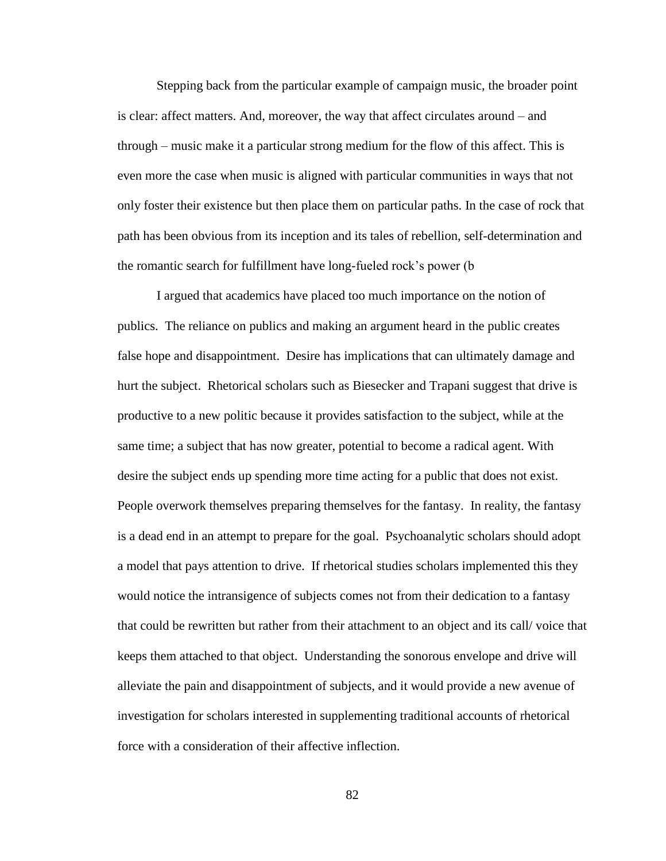Stepping back from the particular example of campaign music, the broader point is clear: affect matters. And, moreover, the way that affect circulates around – and through – music make it a particular strong medium for the flow of this affect. This is even more the case when music is aligned with particular communities in ways that not only foster their existence but then place them on particular paths. In the case of rock that path has been obvious from its inception and its tales of rebellion, self-determination and the romantic search for fulfillment have long-fueled rock's power (b

I argued that academics have placed too much importance on the notion of publics. The reliance on publics and making an argument heard in the public creates false hope and disappointment. Desire has implications that can ultimately damage and hurt the subject. Rhetorical scholars such as Biesecker and Trapani suggest that drive is productive to a new politic because it provides satisfaction to the subject, while at the same time; a subject that has now greater, potential to become a radical agent. With desire the subject ends up spending more time acting for a public that does not exist. People overwork themselves preparing themselves for the fantasy. In reality, the fantasy is a dead end in an attempt to prepare for the goal. Psychoanalytic scholars should adopt a model that pays attention to drive. If rhetorical studies scholars implemented this they would notice the intransigence of subjects comes not from their dedication to a fantasy that could be rewritten but rather from their attachment to an object and its call/ voice that keeps them attached to that object. Understanding the sonorous envelope and drive will alleviate the pain and disappointment of subjects, and it would provide a new avenue of investigation for scholars interested in supplementing traditional accounts of rhetorical force with a consideration of their affective inflection.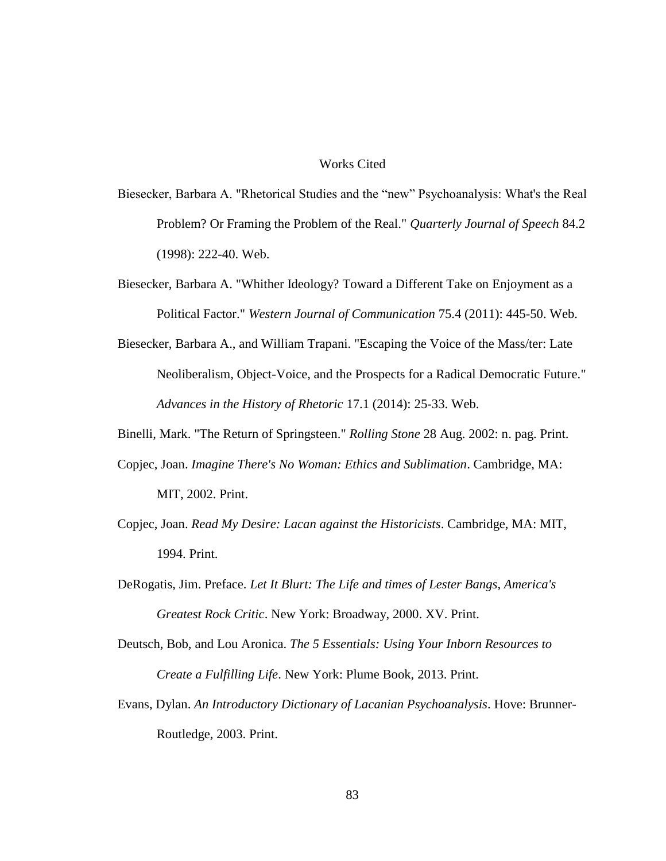## Works Cited

- Biesecker, Barbara A. "Rhetorical Studies and the "new" Psychoanalysis: What's the Real Problem? Or Framing the Problem of the Real." *Quarterly Journal of Speech* 84.2 (1998): 222-40. Web.
- Biesecker, Barbara A. "Whither Ideology? Toward a Different Take on Enjoyment as a Political Factor." *Western Journal of Communication* 75.4 (2011): 445-50. Web.
- Biesecker, Barbara A., and William Trapani. "Escaping the Voice of the Mass/ter: Late Neoliberalism, Object-Voice, and the Prospects for a Radical Democratic Future." *Advances in the History of Rhetoric* 17.1 (2014): 25-33. Web.
- Binelli, Mark. "The Return of Springsteen." *Rolling Stone* 28 Aug. 2002: n. pag. Print.
- Copjec, Joan. *Imagine There's No Woman: Ethics and Sublimation*. Cambridge, MA: MIT, 2002. Print.
- Copjec, Joan. *Read My Desire: Lacan against the Historicists*. Cambridge, MA: MIT, 1994. Print.
- DeRogatis, Jim. Preface. *Let It Blurt: The Life and times of Lester Bangs, America's Greatest Rock Critic*. New York: Broadway, 2000. XV. Print.
- Deutsch, Bob, and Lou Aronica. *The 5 Essentials: Using Your Inborn Resources to Create a Fulfilling Life*. New York: Plume Book, 2013. Print.
- Evans, Dylan. *An Introductory Dictionary of Lacanian Psychoanalysis*. Hove: Brunner-Routledge, 2003. Print.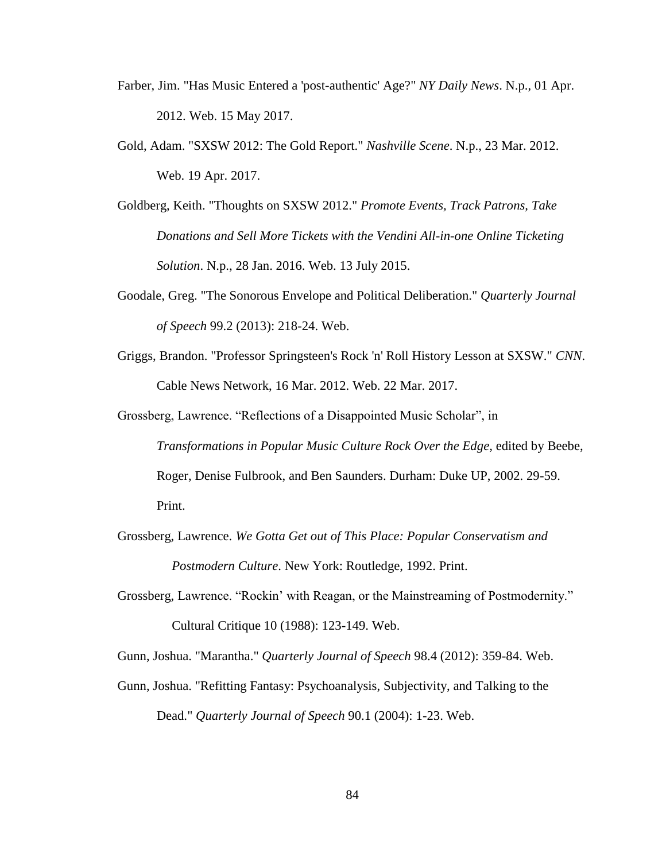- Farber, Jim. "Has Music Entered a 'post-authentic' Age?" *NY Daily News*. N.p., 01 Apr. 2012. Web. 15 May 2017.
- Gold, Adam. "SXSW 2012: The Gold Report." *Nashville Scene*. N.p., 23 Mar. 2012. Web. 19 Apr. 2017.
- Goldberg, Keith. "Thoughts on SXSW 2012." *Promote Events, Track Patrons, Take Donations and Sell More Tickets with the Vendini All-in-one Online Ticketing Solution*. N.p., 28 Jan. 2016. Web. 13 July 2015.
- Goodale, Greg. "The Sonorous Envelope and Political Deliberation." *Quarterly Journal of Speech* 99.2 (2013): 218-24. Web.
- Griggs, Brandon. "Professor Springsteen's Rock 'n' Roll History Lesson at SXSW." *CNN*. Cable News Network, 16 Mar. 2012. Web. 22 Mar. 2017.
- Grossberg, Lawrence. "Reflections of a Disappointed Music Scholar", in *Transformations in Popular Music Culture Rock Over the Edge,* edited by Beebe, Roger, Denise Fulbrook, and Ben Saunders. Durham: Duke UP, 2002. 29-59. Print.
- Grossberg, Lawrence. *We Gotta Get out of This Place: Popular Conservatism and Postmodern Culture*. New York: Routledge, 1992. Print.
- Grossberg, Lawrence. "Rockin' with Reagan, or the Mainstreaming of Postmodernity." Cultural Critique 10 (1988): 123-149. Web.

Gunn, Joshua. "Marantha." *Quarterly Journal of Speech* 98.4 (2012): 359-84. Web.

Gunn, Joshua. "Refitting Fantasy: Psychoanalysis, Subjectivity, and Talking to the Dead." *Quarterly Journal of Speech* 90.1 (2004): 1-23. Web.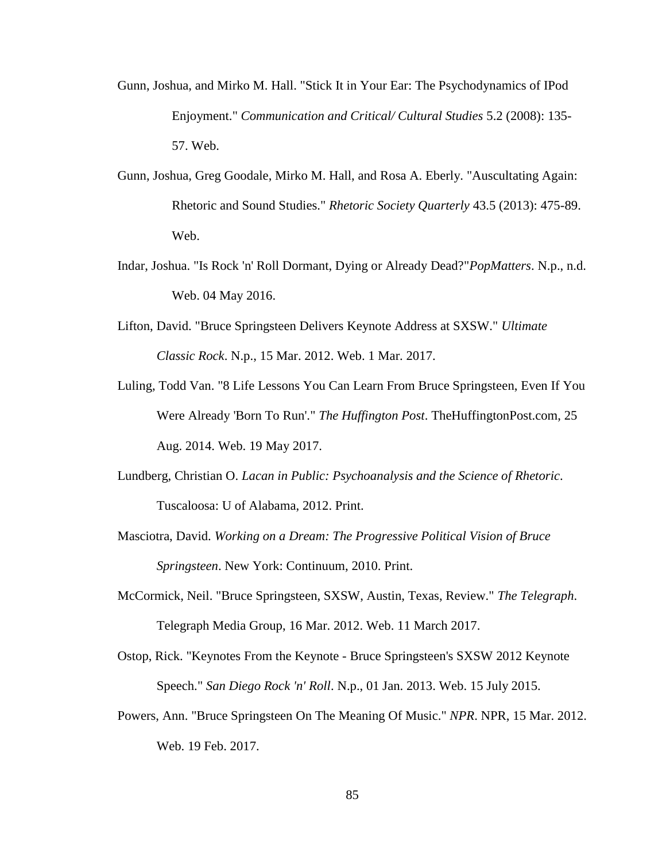- Gunn, Joshua, and Mirko M. Hall. "Stick It in Your Ear: The Psychodynamics of IPod Enjoyment." *Communication and Critical/ Cultural Studies* 5.2 (2008): 135- 57. Web.
- Gunn, Joshua, Greg Goodale, Mirko M. Hall, and Rosa A. Eberly. "Auscultating Again: Rhetoric and Sound Studies." *Rhetoric Society Quarterly* 43.5 (2013): 475-89. Web.
- Indar, Joshua. "Is Rock 'n' Roll Dormant, Dying or Already Dead?"*PopMatters*. N.p., n.d. Web. 04 May 2016.
- Lifton, David. "Bruce Springsteen Delivers Keynote Address at SXSW." *Ultimate Classic Rock*. N.p., 15 Mar. 2012. Web. 1 Mar. 2017.
- Luling, Todd Van. "8 Life Lessons You Can Learn From Bruce Springsteen, Even If You Were Already 'Born To Run'." *The Huffington Post*. TheHuffingtonPost.com, 25 Aug. 2014. Web. 19 May 2017.
- Lundberg, Christian O. *Lacan in Public: Psychoanalysis and the Science of Rhetoric*. Tuscaloosa: U of Alabama, 2012. Print.
- Masciotra, David. *Working on a Dream: The Progressive Political Vision of Bruce Springsteen*. New York: Continuum, 2010. Print.
- McCormick, Neil. "Bruce Springsteen, SXSW, Austin, Texas, Review." *The Telegraph*. Telegraph Media Group, 16 Mar. 2012. Web. 11 March 2017.
- Ostop, Rick. "Keynotes From the Keynote Bruce Springsteen's SXSW 2012 Keynote Speech." *San Diego Rock 'n' Roll*. N.p., 01 Jan. 2013. Web. 15 July 2015.
- Powers, Ann. "Bruce Springsteen On The Meaning Of Music." *NPR*. NPR, 15 Mar. 2012. Web. 19 Feb. 2017.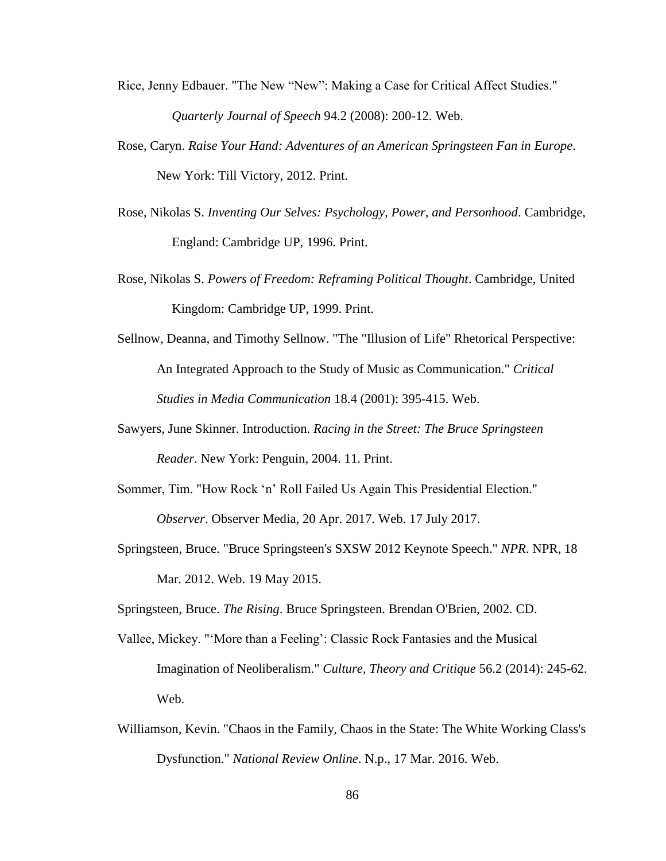- Rice, Jenny Edbauer. "The New "New": Making a Case for Critical Affect Studies." *Quarterly Journal of Speech* 94.2 (2008): 200-12. Web.
- Rose, Caryn. *Raise Your Hand: Adventures of an American Springsteen Fan in Europe*. New York: Till Victory, 2012. Print.
- Rose, Nikolas S. *Inventing Our Selves: Psychology, Power, and Personhood*. Cambridge, England: Cambridge UP, 1996. Print.
- Rose, Nikolas S. *Powers of Freedom: Reframing Political Thought*. Cambridge, United Kingdom: Cambridge UP, 1999. Print.
- Sellnow, Deanna, and Timothy Sellnow. "The "Illusion of Life" Rhetorical Perspective: An Integrated Approach to the Study of Music as Communication." *Critical Studies in Media Communication* 18.4 (2001): 395-415. Web.
- Sawyers, June Skinner. Introduction. *Racing in the Street: The Bruce Springsteen Reader*. New York: Penguin, 2004. 11. Print.
- Sommer, Tim. "How Rock 'n' Roll Failed Us Again This Presidential Election." *Observer*. Observer Media, 20 Apr. 2017. Web. 17 July 2017.
- Springsteen, Bruce. "Bruce Springsteen's SXSW 2012 Keynote Speech." *NPR*. NPR, 18 Mar. 2012. Web. 19 May 2015.
- Springsteen, Bruce. *The Rising*. Bruce Springsteen. Brendan O'Brien, 2002. CD.
- Vallee, Mickey. "'More than a Feeling': Classic Rock Fantasies and the Musical Imagination of Neoliberalism." *Culture, Theory and Critique* 56.2 (2014): 245-62. Web.
- Williamson, Kevin. "Chaos in the Family, Chaos in the State: The White Working Class's Dysfunction." *National Review Online*. N.p., 17 Mar. 2016. Web.